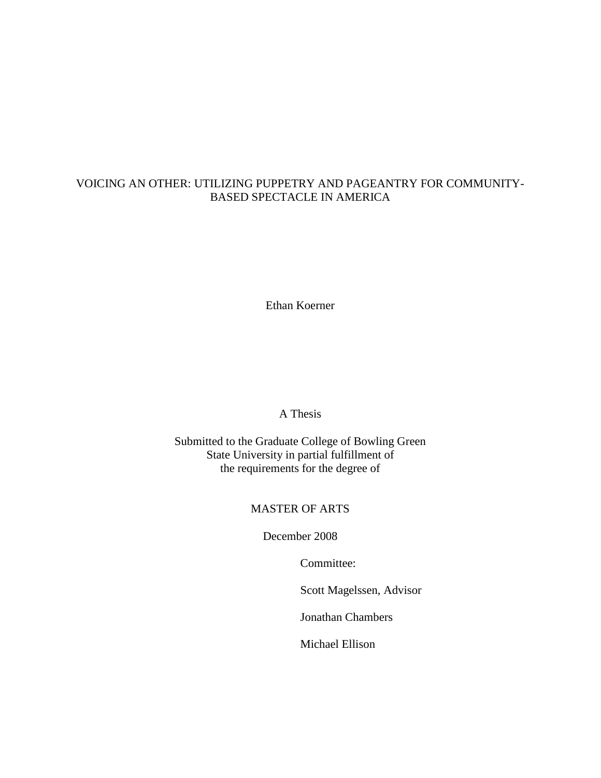# VOICING AN OTHER: UTILIZING PUPPETRY AND PAGEANTRY FOR COMMUNITY-BASED SPECTACLE IN AMERICA

Ethan Koerner

## A Thesis

Submitted to the Graduate College of Bowling Green State University in partial fulfillment of the requirements for the degree of

# MASTER OF ARTS

December 2008

Committee:

Scott Magelssen, Advisor

Jonathan Chambers

Michael Ellison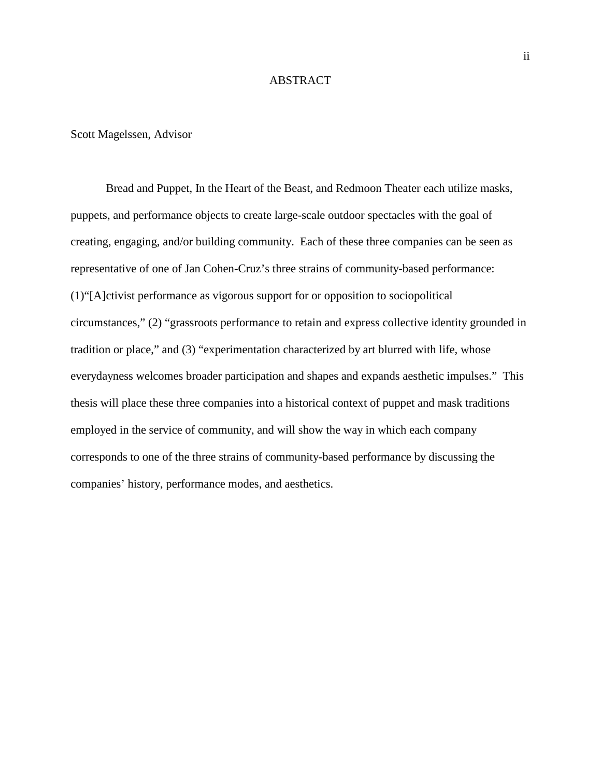#### ABSTRACT

#### Scott Magelssen, Advisor

Bread and Puppet, In the Heart of the Beast, and Redmoon Theater each utilize masks, puppets, and performance objects to create large-scale outdoor spectacles with the goal of creating, engaging, and/or building community. Each of these three companies can be seen as representative of one of Jan Cohen-Cruz's three strains of community-based performance: (1)"[A]ctivist performance as vigorous support for or opposition to sociopolitical circumstances," (2) "grassroots performance to retain and express collective identity grounded in tradition or place," and (3) "experimentation characterized by art blurred with life, whose everydayness welcomes broader participation and shapes and expands aesthetic impulses." This thesis will place these three companies into a historical context of puppet and mask traditions employed in the service of community, and will show the way in which each company corresponds to one of the three strains of community-based performance by discussing the companies' history, performance modes, and aesthetics.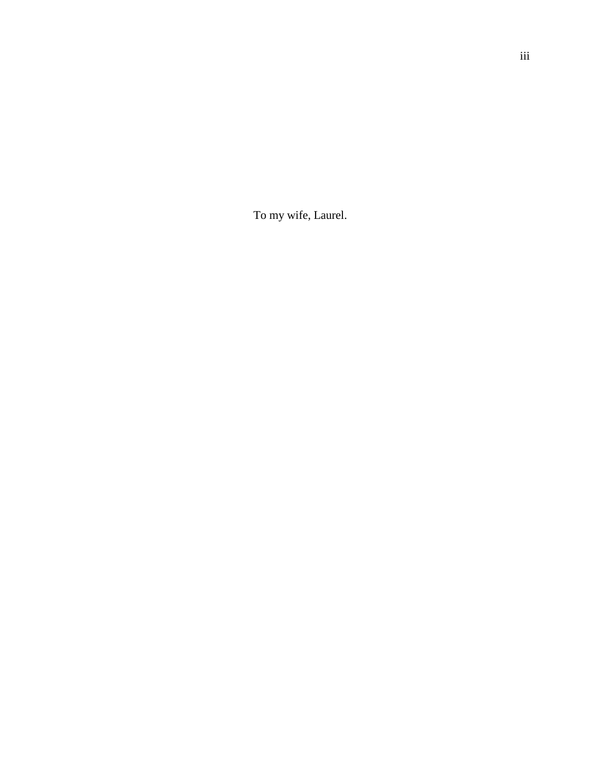To my wife, Laurel.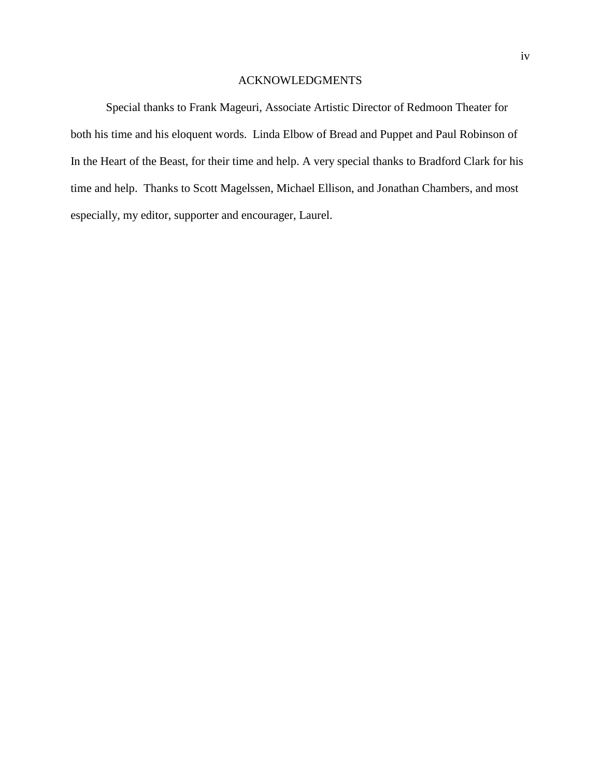#### ACKNOWLEDGMENTS

Special thanks to Frank Mageuri, Associate Artistic Director of Redmoon Theater for both his time and his eloquent words. Linda Elbow of Bread and Puppet and Paul Robinson of In the Heart of the Beast, for their time and help. A very special thanks to Bradford Clark for his time and help. Thanks to Scott Magelssen, Michael Ellison, and Jonathan Chambers, and most especially, my editor, supporter and encourager, Laurel.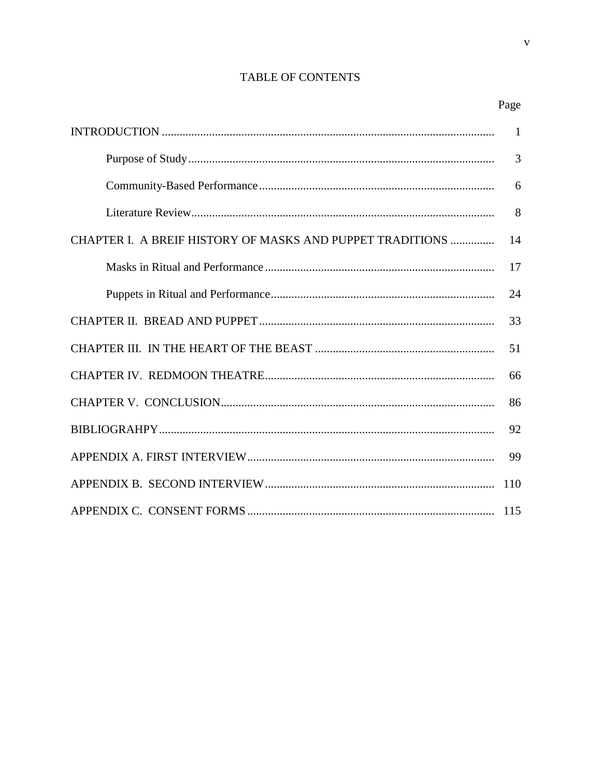# **TABLE OF CONTENTS**

 $\mathbf V$ 

|                                                           | $\mathbf{1}$ |
|-----------------------------------------------------------|--------------|
|                                                           | 3            |
|                                                           | 6            |
|                                                           | 8            |
| CHAPTER I. A BREIF HISTORY OF MASKS AND PUPPET TRADITIONS | 14           |
|                                                           | 17           |
|                                                           | 24           |
|                                                           | 33           |
|                                                           | 51           |
|                                                           | 66           |
|                                                           | 86           |
|                                                           | 92           |
|                                                           | 99           |
|                                                           | 110          |
|                                                           | 115          |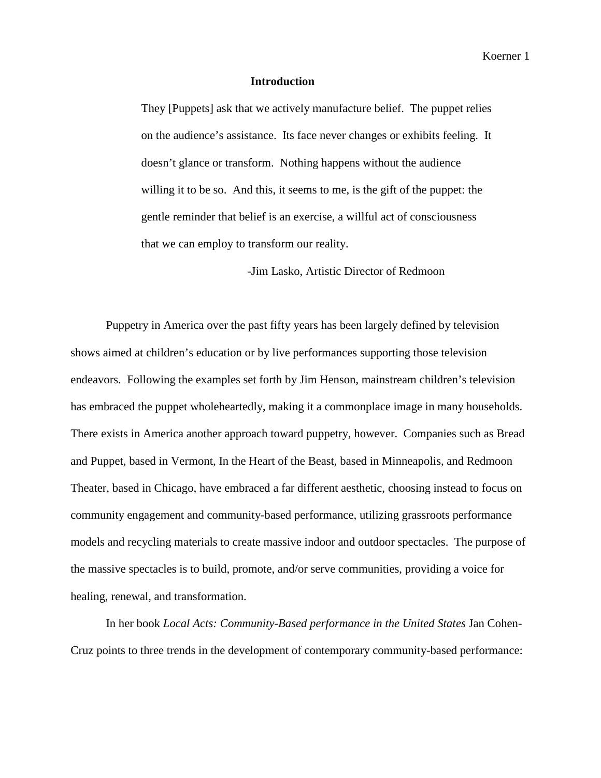#### **Introduction**

They [Puppets] ask that we actively manufacture belief. The puppet relies on the audience's assistance. Its face never changes or exhibits feeling. It doesn't glance or transform. Nothing happens without the audience willing it to be so. And this, it seems to me, is the gift of the puppet: the gentle reminder that belief is an exercise, a willful act of consciousness that we can employ to transform our reality.

-Jim Lasko, Artistic Director of Redmoon

Puppetry in America over the past fifty years has been largely defined by television shows aimed at children's education or by live performances supporting those television endeavors. Following the examples set forth by Jim Henson, mainstream children's television has embraced the puppet wholeheartedly, making it a commonplace image in many households. There exists in America another approach toward puppetry, however. Companies such as Bread and Puppet, based in Vermont, In the Heart of the Beast, based in Minneapolis, and Redmoon Theater, based in Chicago, have embraced a far different aesthetic, choosing instead to focus on community engagement and community-based performance, utilizing grassroots performance models and recycling materials to create massive indoor and outdoor spectacles. The purpose of the massive spectacles is to build, promote, and/or serve communities, providing a voice for healing, renewal, and transformation.

In her book *Local Acts: Community-Based performance in the United States* Jan Cohen-Cruz points to three trends in the development of contemporary community-based performance: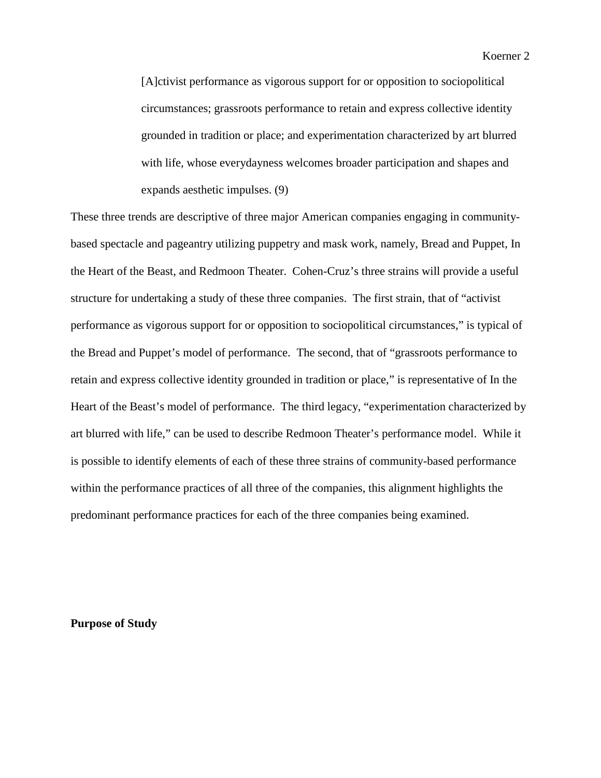[A]ctivist performance as vigorous support for or opposition to sociopolitical circumstances; grassroots performance to retain and express collective identity grounded in tradition or place; and experimentation characterized by art blurred with life, whose everydayness welcomes broader participation and shapes and expands aesthetic impulses. (9)

These three trends are descriptive of three major American companies engaging in communitybased spectacle and pageantry utilizing puppetry and mask work, namely, Bread and Puppet, In the Heart of the Beast, and Redmoon Theater. Cohen-Cruz's three strains will provide a useful structure for undertaking a study of these three companies. The first strain, that of "activist performance as vigorous support for or opposition to sociopolitical circumstances," is typical of the Bread and Puppet's model of performance. The second, that of "grassroots performance to retain and express collective identity grounded in tradition or place," is representative of In the Heart of the Beast's model of performance. The third legacy, "experimentation characterized by art blurred with life," can be used to describe Redmoon Theater's performance model. While it is possible to identify elements of each of these three strains of community-based performance within the performance practices of all three of the companies, this alignment highlights the predominant performance practices for each of the three companies being examined.

**Purpose of Study**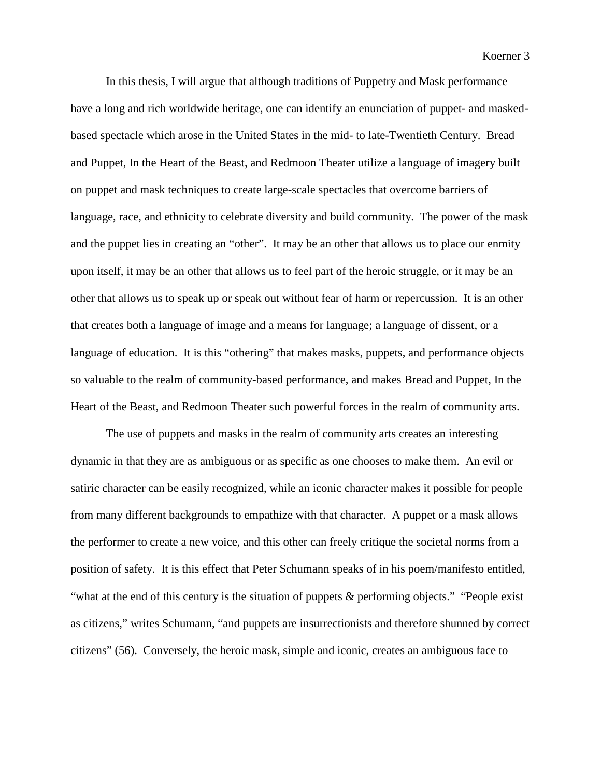In this thesis, I will argue that although traditions of Puppetry and Mask performance have a long and rich worldwide heritage, one can identify an enunciation of puppet- and maskedbased spectacle which arose in the United States in the mid- to late-Twentieth Century. Bread and Puppet, In the Heart of the Beast, and Redmoon Theater utilize a language of imagery built on puppet and mask techniques to create large-scale spectacles that overcome barriers of language, race, and ethnicity to celebrate diversity and build community.The power of the mask and the puppet lies in creating an "other". It may be an other that allows us to place our enmity upon itself, it may be an other that allows us to feel part of the heroic struggle, or it may be an other that allows us to speak up or speak out without fear of harm or repercussion. It is an other that creates both a language of image and a means for language; a language of dissent, or a language of education. It is this "othering" that makes masks, puppets, and performance objects so valuable to the realm of community-based performance, and makes Bread and Puppet, In the Heart of the Beast, and Redmoon Theater such powerful forces in the realm of community arts.

The use of puppets and masks in the realm of community arts creates an interesting dynamic in that they are as ambiguous or as specific as one chooses to make them. An evil or satiric character can be easily recognized, while an iconic character makes it possible for people from many different backgrounds to empathize with that character. A puppet or a mask allows the performer to create a new voice, and this other can freely critique the societal norms from a position of safety. It is this effect that Peter Schumann speaks of in his poem/manifesto entitled, "what at the end of this century is the situation of puppets & performing objects." "People exist" as citizens," writes Schumann, "and puppets are insurrectionists and therefore shunned by correct citizens" (56). Conversely, the heroic mask, simple and iconic, creates an ambiguous face to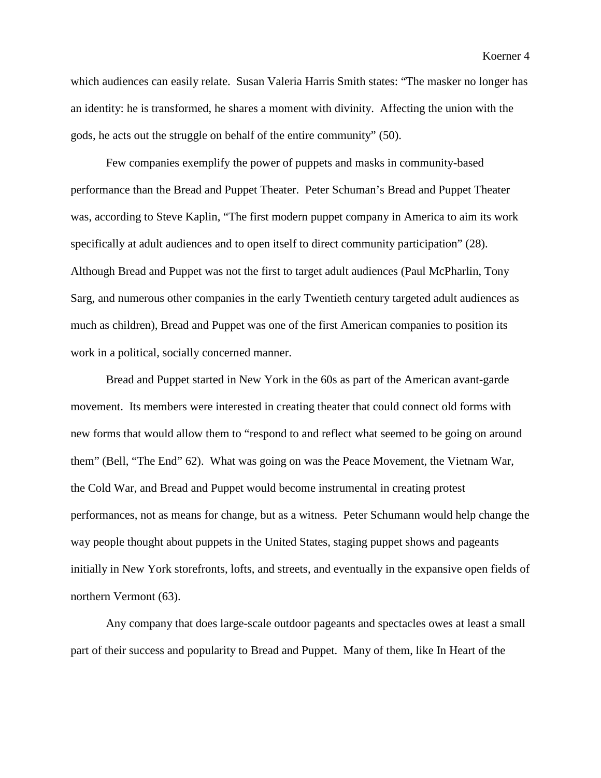which audiences can easily relate. Susan Valeria Harris Smith states: "The masker no longer has an identity: he is transformed, he shares a moment with divinity. Affecting the union with the gods, he acts out the struggle on behalf of the entire community" (50).

Few companies exemplify the power of puppets and masks in community-based performance than the Bread and Puppet Theater. Peter Schuman's Bread and Puppet Theater was, according to Steve Kaplin, "The first modern puppet company in America to aim its work specifically at adult audiences and to open itself to direct community participation" (28). Although Bread and Puppet was not the first to target adult audiences (Paul McPharlin, Tony Sarg, and numerous other companies in the early Twentieth century targeted adult audiences as much as children), Bread and Puppet was one of the first American companies to position its work in a political, socially concerned manner.

Bread and Puppet started in New York in the 60s as part of the American avant-garde movement. Its members were interested in creating theater that could connect old forms with new forms that would allow them to "respond to and reflect what seemed to be going on around them" (Bell, "The End" 62). What was going on was the Peace Movement, the Vietnam War, the Cold War, and Bread and Puppet would become instrumental in creating protest performances, not as means for change, but as a witness. Peter Schumann would help change the way people thought about puppets in the United States, staging puppet shows and pageants initially in New York storefronts, lofts, and streets, and eventually in the expansive open fields of northern Vermont (63).

Any company that does large-scale outdoor pageants and spectacles owes at least a small part of their success and popularity to Bread and Puppet. Many of them, like In Heart of the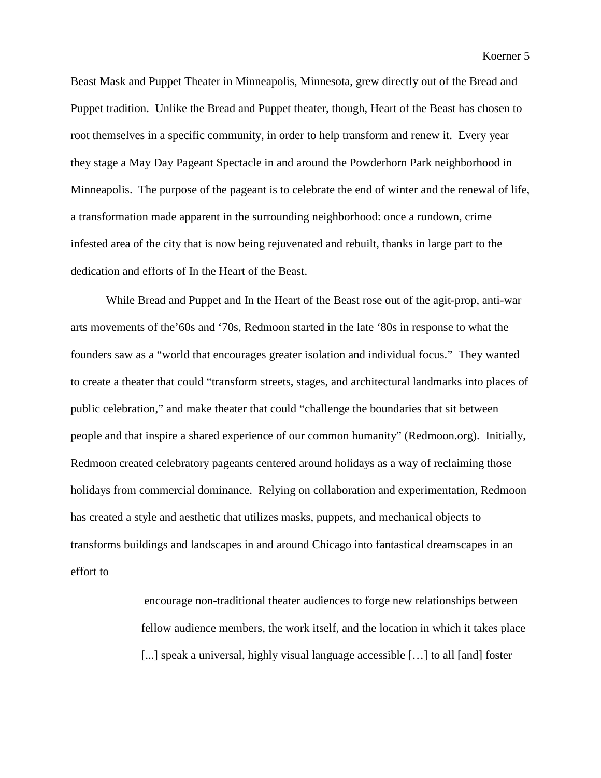Koerner 5

Beast Mask and Puppet Theater in Minneapolis, Minnesota, grew directly out of the Bread and Puppet tradition. Unlike the Bread and Puppet theater, though, Heart of the Beast has chosen to root themselves in a specific community, in order to help transform and renew it. Every year they stage a May Day Pageant Spectacle in and around the Powderhorn Park neighborhood in Minneapolis. The purpose of the pageant is to celebrate the end of winter and the renewal of life, a transformation made apparent in the surrounding neighborhood: once a rundown, crime infested area of the city that is now being rejuvenated and rebuilt, thanks in large part to the dedication and efforts of In the Heart of the Beast.

While Bread and Puppet and In the Heart of the Beast rose out of the agit-prop, anti-war arts movements of the'60s and '70s, Redmoon started in the late '80s in response to what the founders saw as a "world that encourages greater isolation and individual focus." They wanted to create a theater that could "transform streets, stages, and architectural landmarks into places of public celebration," and make theater that could "challenge the boundaries that sit between people and that inspire a shared experience of our common humanity" (Redmoon.org). Initially, Redmoon created celebratory pageants centered around holidays as a way of reclaiming those holidays from commercial dominance. Relying on collaboration and experimentation, Redmoon has created a style and aesthetic that utilizes masks, puppets, and mechanical objects to transforms buildings and landscapes in and around Chicago into fantastical dreamscapes in an effort to

> encourage non-traditional theater audiences to forge new relationships between fellow audience members, the work itself, and the location in which it takes place [...] speak a universal, highly visual language accessible [...] to all [and] foster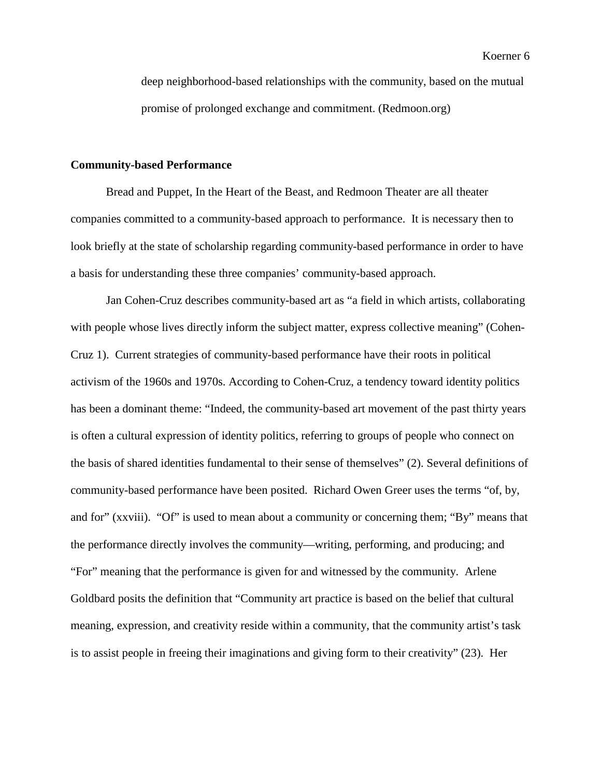deep neighborhood-based relationships with the community, based on the mutual promise of prolonged exchange and commitment. (Redmoon.org)

#### **Community-based Performance**

Bread and Puppet, In the Heart of the Beast, and Redmoon Theater are all theater companies committed to a community-based approach to performance. It is necessary then to look briefly at the state of scholarship regarding community-based performance in order to have a basis for understanding these three companies' community-based approach.

Jan Cohen-Cruz describes community-based art as "a field in which artists, collaborating with people whose lives directly inform the subject matter, express collective meaning" (Cohen-Cruz 1). Current strategies of community-based performance have their roots in political activism of the 1960s and 1970s. According to Cohen-Cruz, a tendency toward identity politics has been a dominant theme: "Indeed, the community-based art movement of the past thirty years is often a cultural expression of identity politics, referring to groups of people who connect on the basis of shared identities fundamental to their sense of themselves" (2). Several definitions of community-based performance have been posited. Richard Owen Greer uses the terms "of, by, and for" (xxviii). "Of" is used to mean about a community or concerning them; "By" means that the performance directly involves the community—writing, performing, and producing; and "For" meaning that the performance is given for and witnessed by the community. Arlene Goldbard posits the definition that "Community art practice is based on the belief that cultural meaning, expression, and creativity reside within a community, that the community artist's task is to assist people in freeing their imaginations and giving form to their creativity" (23). Her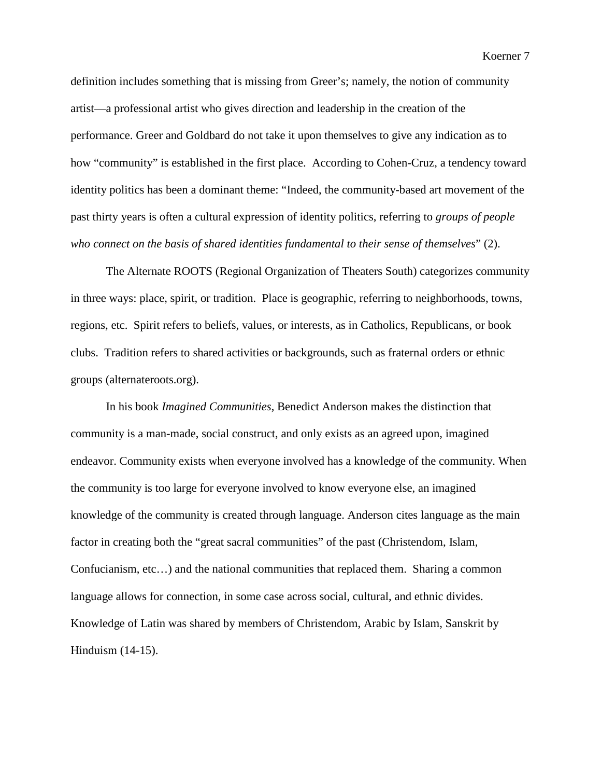definition includes something that is missing from Greer's; namely, the notion of community artist—a professional artist who gives direction and leadership in the creation of the performance. Greer and Goldbard do not take it upon themselves to give any indication as to how "community" is established in the first place. According to Cohen-Cruz, a tendency toward identity politics has been a dominant theme: "Indeed, the community-based art movement of the past thirty years is often a cultural expression of identity politics, referring to *groups of people who connect on the basis of shared identities fundamental to their sense of themselves*" (2).

The Alternate ROOTS (Regional Organization of Theaters South) categorizes community in three ways: place, spirit, or tradition. Place is geographic, referring to neighborhoods, towns, regions, etc. Spirit refers to beliefs, values, or interests, as in Catholics, Republicans, or book clubs. Tradition refers to shared activities or backgrounds, such as fraternal orders or ethnic groups (alternateroots.org).

In his book *Imagined Communities*, Benedict Anderson makes the distinction that community is a man-made, social construct, and only exists as an agreed upon, imagined endeavor. Community exists when everyone involved has a knowledge of the community. When the community is too large for everyone involved to know everyone else, an imagined knowledge of the community is created through language. Anderson cites language as the main factor in creating both the "great sacral communities" of the past (Christendom, Islam, Confucianism, etc…) and the national communities that replaced them. Sharing a common language allows for connection, in some case across social, cultural, and ethnic divides. Knowledge of Latin was shared by members of Christendom, Arabic by Islam, Sanskrit by Hinduism (14-15).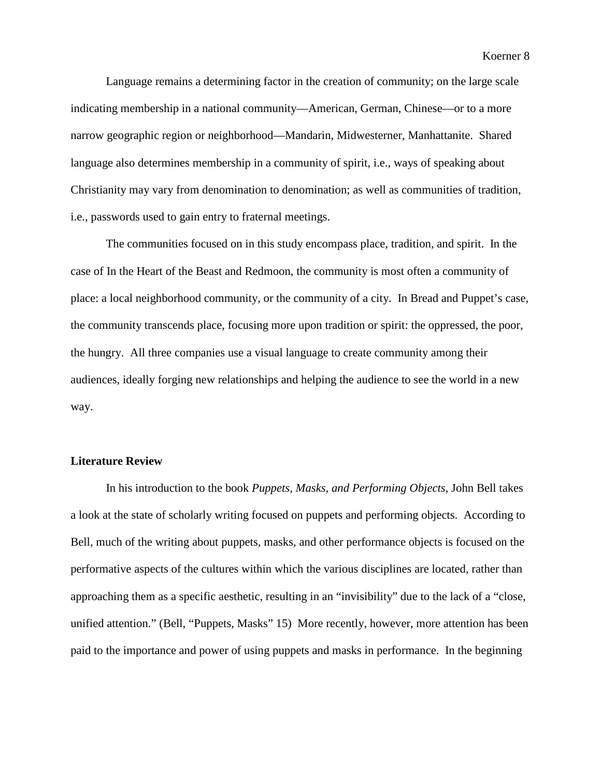Language remains a determining factor in the creation of community; on the large scale indicating membership in a national community—American, German, Chinese—or to a more narrow geographic region or neighborhood—Mandarin, Midwesterner, Manhattanite. Shared language also determines membership in a community of spirit, i.e., ways of speaking about Christianity may vary from denomination to denomination; as well as communities of tradition, i.e., passwords used to gain entry to fraternal meetings.

The communities focused on in this study encompass place, tradition, and spirit. In the case of In the Heart of the Beast and Redmoon, the community is most often a community of place: a local neighborhood community, or the community of a city. In Bread and Puppet's case, the community transcends place, focusing more upon tradition or spirit: the oppressed, the poor, the hungry. All three companies use a visual language to create community among their audiences, ideally forging new relationships and helping the audience to see the world in a new way.

## **Literature Review**

In his introduction to the book *Puppets, Masks, and Performing Objects,* John Bell takes a look at the state of scholarly writing focused on puppets and performing objects. According to Bell, much of the writing about puppets, masks, and other performance objects is focused on the performative aspects of the cultures within which the various disciplines are located, rather than approaching them as a specific aesthetic, resulting in an "invisibility" due to the lack of a "close, unified attention." (Bell, "Puppets, Masks" 15) More recently, however, more attention has been paid to the importance and power of using puppets and masks in performance. In the beginning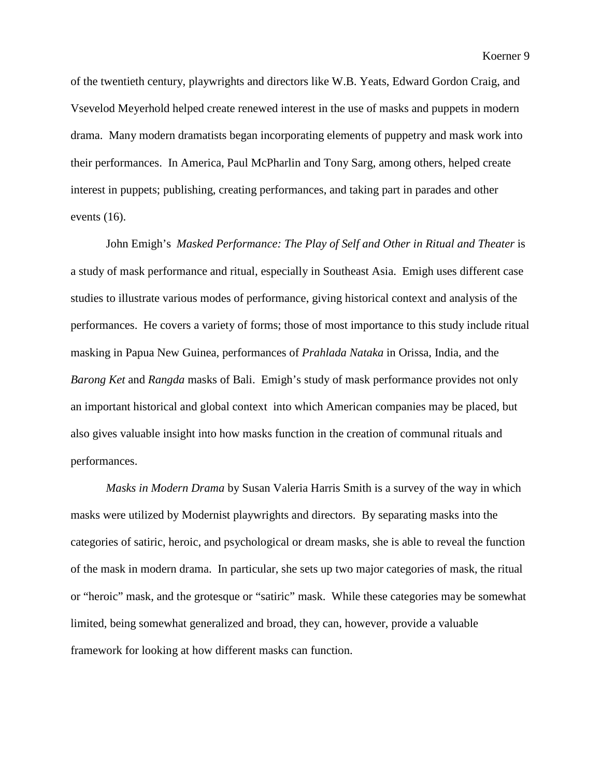of the twentieth century, playwrights and directors like W.B. Yeats, Edward Gordon Craig, and Vsevelod Meyerhold helped create renewed interest in the use of masks and puppets in modern drama. Many modern dramatists began incorporating elements of puppetry and mask work into their performances. In America, Paul McPharlin and Tony Sarg, among others, helped create interest in puppets; publishing, creating performances, and taking part in parades and other events (16).

John Emigh's *Masked Performance: The Play of Self and Other in Ritual and Theater* is a study of mask performance and ritual, especially in Southeast Asia. Emigh uses different case studies to illustrate various modes of performance, giving historical context and analysis of the performances. He covers a variety of forms; those of most importance to this study include ritual masking in Papua New Guinea, performances of *Prahlada Nataka* in Orissa, India, and the *Barong Ket* and *Rangda* masks of Bali. Emigh's study of mask performance provides not only an important historical and global context into which American companies may be placed, but also gives valuable insight into how masks function in the creation of communal rituals and performances.

*Masks in Modern Drama* by Susan Valeria Harris Smith is a survey of the way in which masks were utilized by Modernist playwrights and directors. By separating masks into the categories of satiric, heroic, and psychological or dream masks, she is able to reveal the function of the mask in modern drama. In particular, she sets up two major categories of mask, the ritual or "heroic" mask, and the grotesque or "satiric" mask. While these categories may be somewhat limited, being somewhat generalized and broad, they can, however, provide a valuable framework for looking at how different masks can function.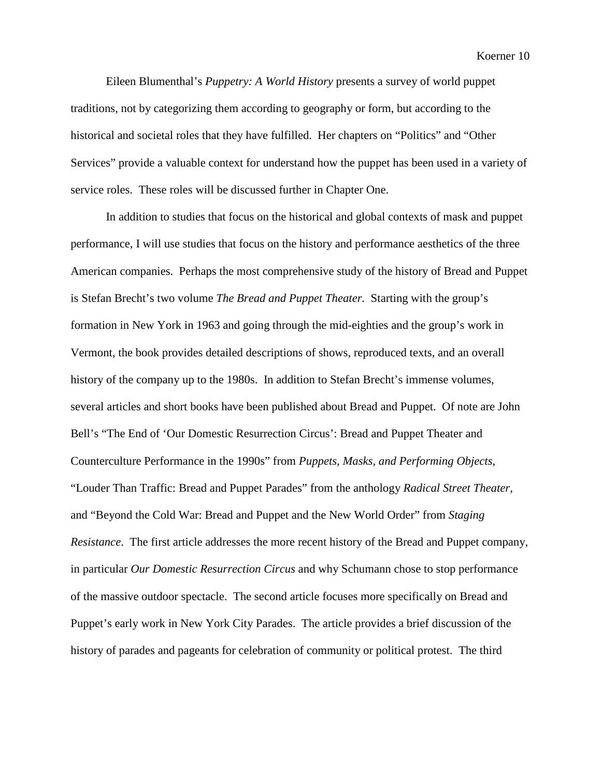Eileen Blumenthal's *Puppetry: A World History* presents a survey of world puppet traditions, not by categorizing them according to geography or form, but according to the historical and societal roles that they have fulfilled. Her chapters on "Politics" and "Other Services" provide a valuable context for understand how the puppet has been used in a variety of service roles. These roles will be discussed further in Chapter One.

In addition to studies that focus on the historical and global contexts of mask and puppet performance, I will use studies that focus on the history and performance aesthetics of the three American companies. Perhaps the most comprehensive study of the history of Bread and Puppet is Stefan Brecht's two volume *The Bread and Puppet Theater.* Starting with the group's formation in New York in 1963 and going through the mid-eighties and the group's work in Vermont, the book provides detailed descriptions of shows, reproduced texts, and an overall history of the company up to the 1980s. In addition to Stefan Brecht's immense volumes, several articles and short books have been published about Bread and Puppet. Of note are John Bell's "The End of 'Our Domestic Resurrection Circus': Bread and Puppet Theater and Counterculture Performance in the 1990s" from *Puppets, Masks, and Performing Objects*, "Louder Than Traffic: Bread and Puppet Parades" from the anthology *Radical Street Theater,*  and "Beyond the Cold War: Bread and Puppet and the New World Order" from *Staging Resistance*. The first article addresses the more recent history of the Bread and Puppet company, in particular *Our Domestic Resurrection Circus* and why Schumann chose to stop performance of the massive outdoor spectacle. The second article focuses more specifically on Bread and Puppet's early work in New York City Parades. The article provides a brief discussion of the history of parades and pageants for celebration of community or political protest. The third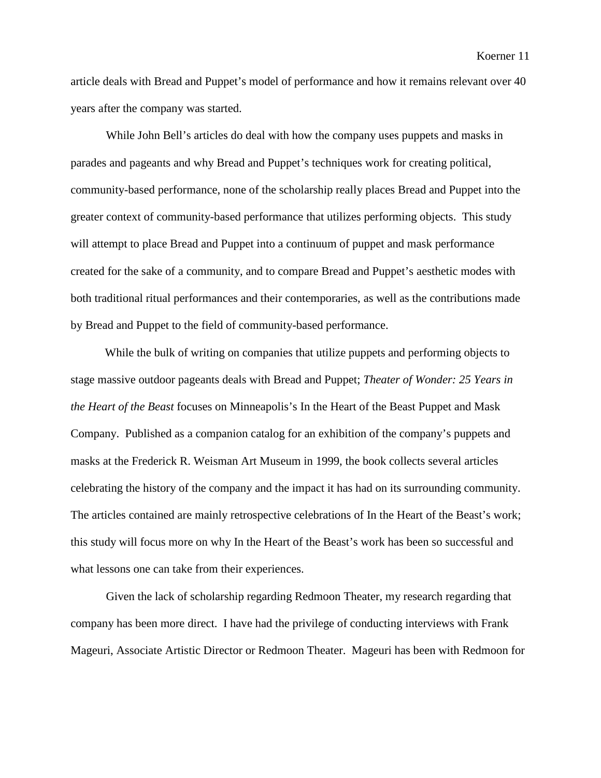article deals with Bread and Puppet's model of performance and how it remains relevant over 40 years after the company was started.

While John Bell's articles do deal with how the company uses puppets and masks in parades and pageants and why Bread and Puppet's techniques work for creating political, community-based performance, none of the scholarship really places Bread and Puppet into the greater context of community-based performance that utilizes performing objects. This study will attempt to place Bread and Puppet into a continuum of puppet and mask performance created for the sake of a community, and to compare Bread and Puppet's aesthetic modes with both traditional ritual performances and their contemporaries, as well as the contributions made by Bread and Puppet to the field of community-based performance.

While the bulk of writing on companies that utilize puppets and performing objects to stage massive outdoor pageants deals with Bread and Puppet; *Theater of Wonder: 25 Years in the Heart of the Beast* focuses on Minneapolis's In the Heart of the Beast Puppet and Mask Company. Published as a companion catalog for an exhibition of the company's puppets and masks at the Frederick R. Weisman Art Museum in 1999, the book collects several articles celebrating the history of the company and the impact it has had on its surrounding community. The articles contained are mainly retrospective celebrations of In the Heart of the Beast's work; this study will focus more on why In the Heart of the Beast's work has been so successful and what lessons one can take from their experiences.

Given the lack of scholarship regarding Redmoon Theater, my research regarding that company has been more direct. I have had the privilege of conducting interviews with Frank Mageuri, Associate Artistic Director or Redmoon Theater. Mageuri has been with Redmoon for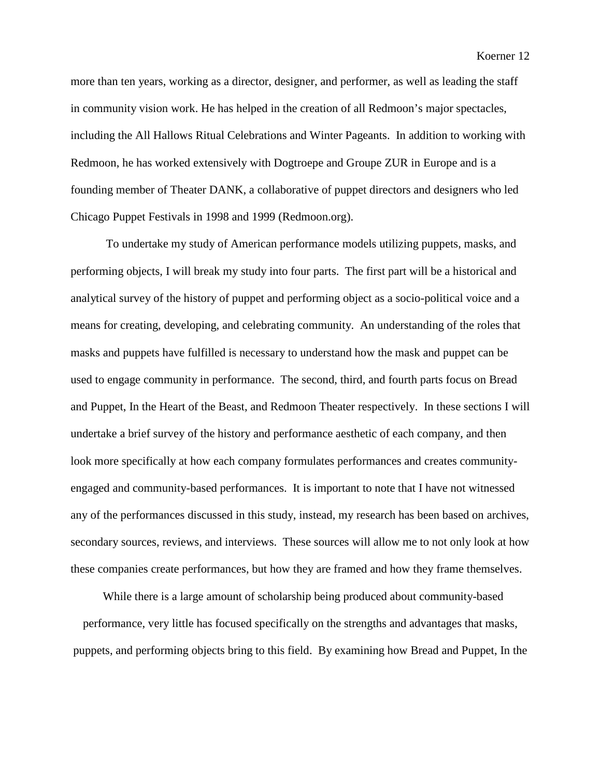more than ten years, working as a director, designer, and performer, as well as leading the staff in community vision work. He has helped in the creation of all Redmoon's major spectacles, including the All Hallows Ritual Celebrations and Winter Pageants. In addition to working with Redmoon, he has worked extensively with Dogtroepe and Groupe ZUR in Europe and is a founding member of Theater DANK, a collaborative of puppet directors and designers who led Chicago Puppet Festivals in 1998 and 1999 (Redmoon.org).

To undertake my study of American performance models utilizing puppets, masks, and performing objects, I will break my study into four parts. The first part will be a historical and analytical survey of the history of puppet and performing object as a socio-political voice and a means for creating, developing, and celebrating community. An understanding of the roles that masks and puppets have fulfilled is necessary to understand how the mask and puppet can be used to engage community in performance. The second, third, and fourth parts focus on Bread and Puppet, In the Heart of the Beast, and Redmoon Theater respectively. In these sections I will undertake a brief survey of the history and performance aesthetic of each company, and then look more specifically at how each company formulates performances and creates communityengaged and community-based performances. It is important to note that I have not witnessed any of the performances discussed in this study, instead, my research has been based on archives, secondary sources, reviews, and interviews. These sources will allow me to not only look at how these companies create performances, but how they are framed and how they frame themselves.

 While there is a large amount of scholarship being produced about community-based performance, very little has focused specifically on the strengths and advantages that masks, puppets, and performing objects bring to this field. By examining how Bread and Puppet, In the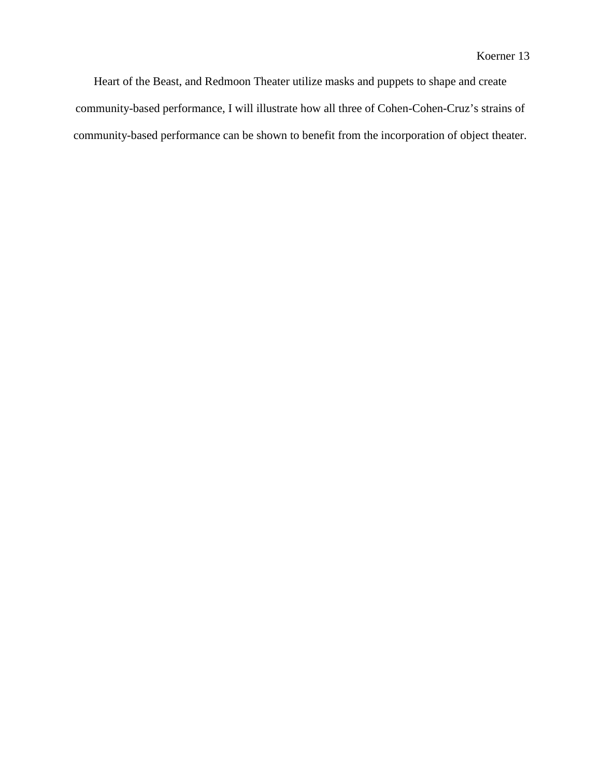Heart of the Beast, and Redmoon Theater utilize masks and puppets to shape and create community-based performance, I will illustrate how all three of Cohen-Cohen-Cruz's strains of community-based performance can be shown to benefit from the incorporation of object theater.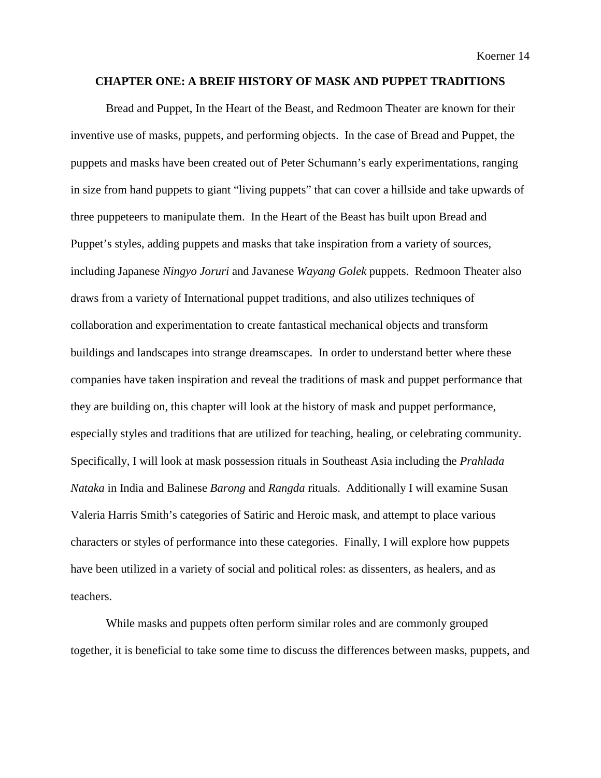### **CHAPTER ONE: A BREIF HISTORY OF MASK AND PUPPET TRADITIONS**

Bread and Puppet, In the Heart of the Beast, and Redmoon Theater are known for their inventive use of masks, puppets, and performing objects. In the case of Bread and Puppet, the puppets and masks have been created out of Peter Schumann's early experimentations, ranging in size from hand puppets to giant "living puppets" that can cover a hillside and take upwards of three puppeteers to manipulate them. In the Heart of the Beast has built upon Bread and Puppet's styles, adding puppets and masks that take inspiration from a variety of sources, including Japanese *Ningyo Joruri* and Javanese *Wayang Golek* puppets. Redmoon Theater also draws from a variety of International puppet traditions, and also utilizes techniques of collaboration and experimentation to create fantastical mechanical objects and transform buildings and landscapes into strange dreamscapes. In order to understand better where these companies have taken inspiration and reveal the traditions of mask and puppet performance that they are building on, this chapter will look at the history of mask and puppet performance, especially styles and traditions that are utilized for teaching, healing, or celebrating community. Specifically, I will look at mask possession rituals in Southeast Asia including the *Prahlada Nataka* in India and Balinese *Barong* and *Rangda* rituals. Additionally I will examine Susan Valeria Harris Smith's categories of Satiric and Heroic mask, and attempt to place various characters or styles of performance into these categories. Finally, I will explore how puppets have been utilized in a variety of social and political roles: as dissenters, as healers, and as teachers.

While masks and puppets often perform similar roles and are commonly grouped together, it is beneficial to take some time to discuss the differences between masks, puppets, and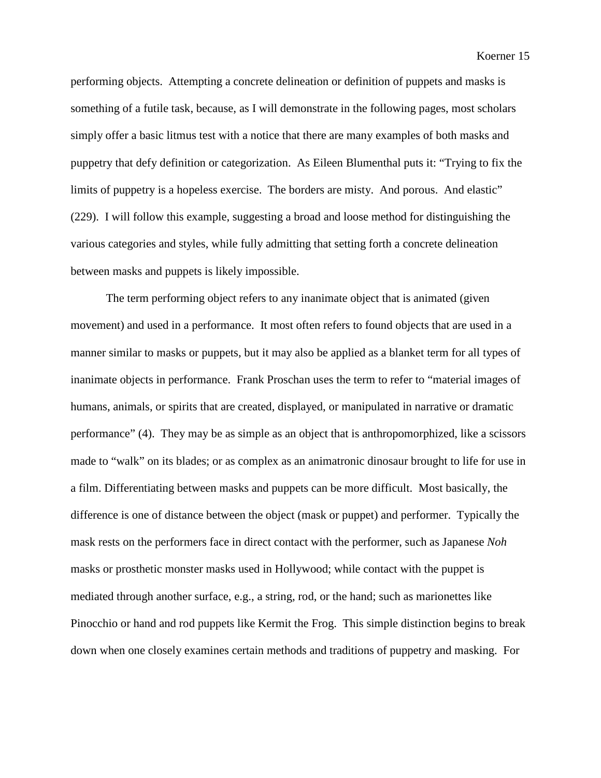Koerner 15

performing objects. Attempting a concrete delineation or definition of puppets and masks is something of a futile task, because, as I will demonstrate in the following pages, most scholars simply offer a basic litmus test with a notice that there are many examples of both masks and puppetry that defy definition or categorization. As Eileen Blumenthal puts it: "Trying to fix the limits of puppetry is a hopeless exercise. The borders are misty. And porous. And elastic" (229). I will follow this example, suggesting a broad and loose method for distinguishing the various categories and styles, while fully admitting that setting forth a concrete delineation between masks and puppets is likely impossible.

The term performing object refers to any inanimate object that is animated (given movement) and used in a performance. It most often refers to found objects that are used in a manner similar to masks or puppets, but it may also be applied as a blanket term for all types of inanimate objects in performance. Frank Proschan uses the term to refer to "material images of humans, animals, or spirits that are created, displayed, or manipulated in narrative or dramatic performance" (4). They may be as simple as an object that is anthropomorphized, like a scissors made to "walk" on its blades; or as complex as an animatronic dinosaur brought to life for use in a film. Differentiating between masks and puppets can be more difficult. Most basically, the difference is one of distance between the object (mask or puppet) and performer. Typically the mask rests on the performers face in direct contact with the performer, such as Japanese *Noh* masks or prosthetic monster masks used in Hollywood; while contact with the puppet is mediated through another surface, e.g., a string, rod, or the hand; such as marionettes like Pinocchio or hand and rod puppets like Kermit the Frog. This simple distinction begins to break down when one closely examines certain methods and traditions of puppetry and masking. For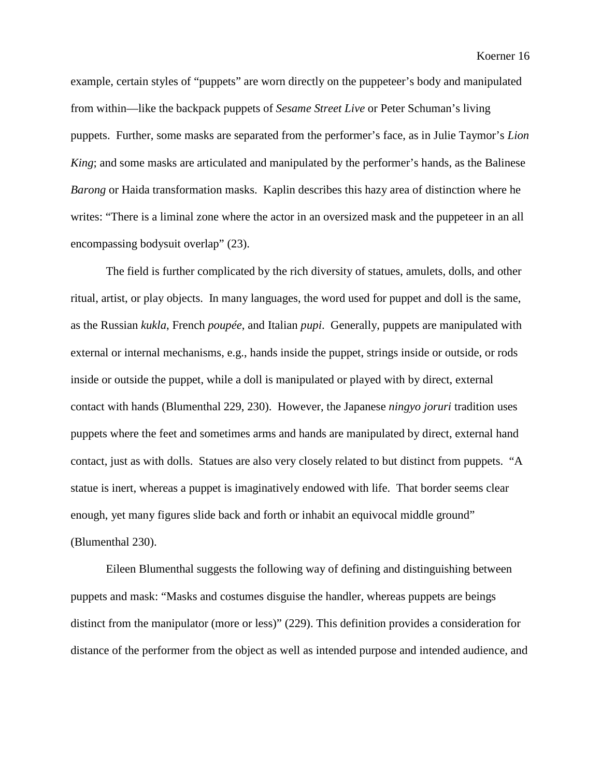example, certain styles of "puppets" are worn directly on the puppeteer's body and manipulated from within—like the backpack puppets of *Sesame Street Live* or Peter Schuman's living puppets. Further, some masks are separated from the performer's face, as in Julie Taymor's *Lion King*; and some masks are articulated and manipulated by the performer's hands, as the Balinese *Barong* or Haida transformation masks. Kaplin describes this hazy area of distinction where he writes: "There is a liminal zone where the actor in an oversized mask and the puppeteer in an all encompassing bodysuit overlap" (23).

The field is further complicated by the rich diversity of statues, amulets, dolls, and other ritual, artist, or play objects. In many languages, the word used for puppet and doll is the same, as the Russian *kukla*, French *poupée*, and Italian *pupi*. Generally, puppets are manipulated with external or internal mechanisms, e.g., hands inside the puppet, strings inside or outside, or rods inside or outside the puppet, while a doll is manipulated or played with by direct, external contact with hands (Blumenthal 229, 230). However, the Japanese *ningyo joruri* tradition uses puppets where the feet and sometimes arms and hands are manipulated by direct, external hand contact, just as with dolls. Statues are also very closely related to but distinct from puppets. "A statue is inert, whereas a puppet is imaginatively endowed with life. That border seems clear enough, yet many figures slide back and forth or inhabit an equivocal middle ground" (Blumenthal 230).

Eileen Blumenthal suggests the following way of defining and distinguishing between puppets and mask: "Masks and costumes disguise the handler, whereas puppets are beings distinct from the manipulator (more or less)" (229). This definition provides a consideration for distance of the performer from the object as well as intended purpose and intended audience, and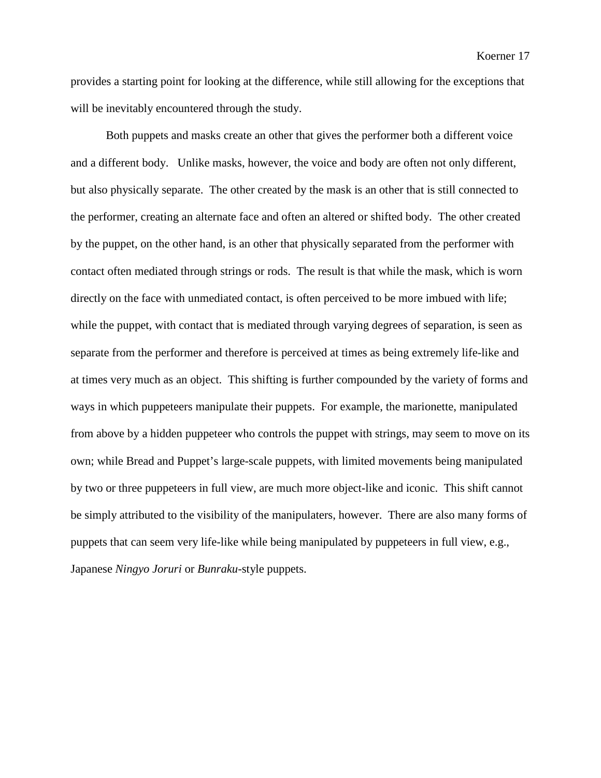provides a starting point for looking at the difference, while still allowing for the exceptions that will be inevitably encountered through the study.

Both puppets and masks create an other that gives the performer both a different voice and a different body. Unlike masks, however, the voice and body are often not only different, but also physically separate. The other created by the mask is an other that is still connected to the performer, creating an alternate face and often an altered or shifted body. The other created by the puppet, on the other hand, is an other that physically separated from the performer with contact often mediated through strings or rods. The result is that while the mask, which is worn directly on the face with unmediated contact, is often perceived to be more imbued with life; while the puppet, with contact that is mediated through varying degrees of separation, is seen as separate from the performer and therefore is perceived at times as being extremely life-like and at times very much as an object. This shifting is further compounded by the variety of forms and ways in which puppeteers manipulate their puppets. For example, the marionette, manipulated from above by a hidden puppeteer who controls the puppet with strings, may seem to move on its own; while Bread and Puppet's large-scale puppets, with limited movements being manipulated by two or three puppeteers in full view, are much more object-like and iconic. This shift cannot be simply attributed to the visibility of the manipulaters, however. There are also many forms of puppets that can seem very life-like while being manipulated by puppeteers in full view, e.g., Japanese *Ningyo Joruri* or *Bunraku-*style puppets.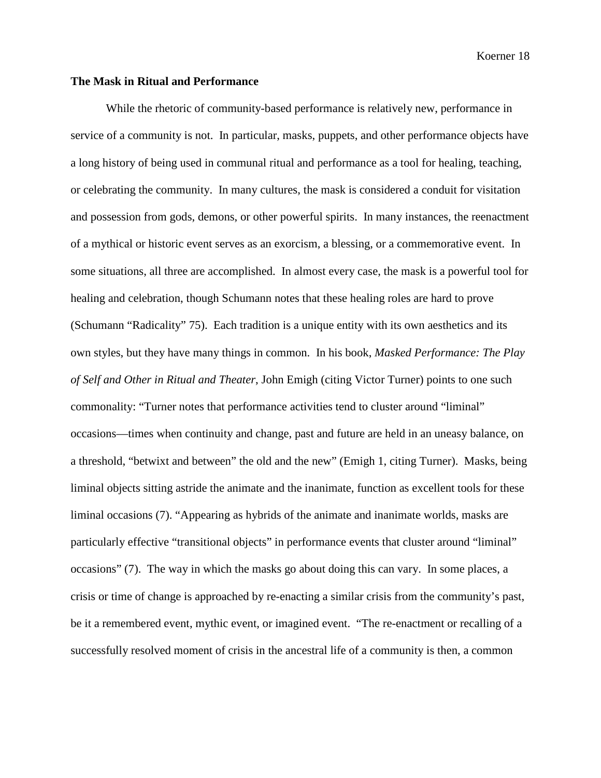Koerner 18

## **The Mask in Ritual and Performance**

While the rhetoric of community-based performance is relatively new, performance in service of a community is not. In particular, masks, puppets, and other performance objects have a long history of being used in communal ritual and performance as a tool for healing, teaching, or celebrating the community. In many cultures, the mask is considered a conduit for visitation and possession from gods, demons, or other powerful spirits. In many instances, the reenactment of a mythical or historic event serves as an exorcism, a blessing, or a commemorative event. In some situations, all three are accomplished. In almost every case, the mask is a powerful tool for healing and celebration, though Schumann notes that these healing roles are hard to prove (Schumann "Radicality" 75). Each tradition is a unique entity with its own aesthetics and its own styles, but they have many things in common. In his book, *Masked Performance: The Play of Self and Other in Ritual and Theater*, John Emigh (citing Victor Turner) points to one such commonality: "Turner notes that performance activities tend to cluster around "liminal" occasions—times when continuity and change, past and future are held in an uneasy balance, on a threshold, "betwixt and between" the old and the new" (Emigh 1, citing Turner). Masks, being liminal objects sitting astride the animate and the inanimate, function as excellent tools for these liminal occasions (7). "Appearing as hybrids of the animate and inanimate worlds, masks are particularly effective "transitional objects" in performance events that cluster around "liminal" occasions" (7). The way in which the masks go about doing this can vary. In some places, a crisis or time of change is approached by re-enacting a similar crisis from the community's past, be it a remembered event, mythic event, or imagined event. "The re-enactment or recalling of a successfully resolved moment of crisis in the ancestral life of a community is then, a common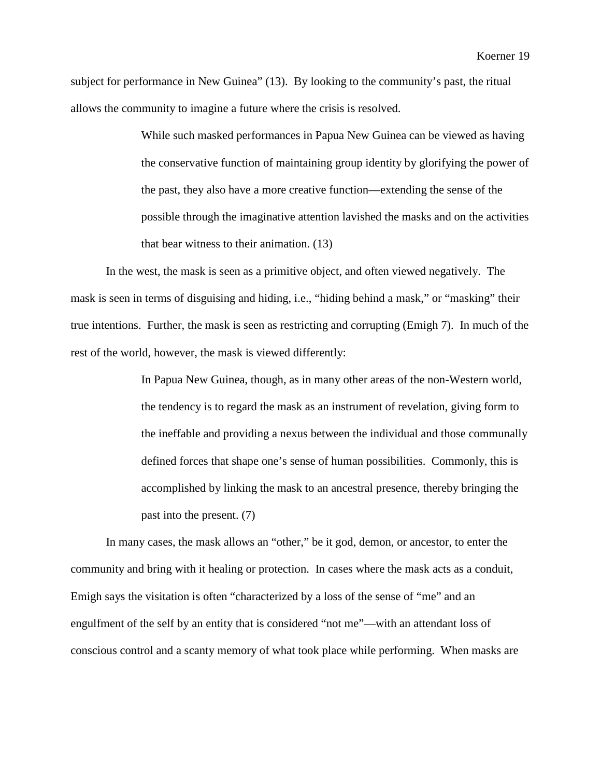subject for performance in New Guinea" (13). By looking to the community's past, the ritual allows the community to imagine a future where the crisis is resolved.

> While such masked performances in Papua New Guinea can be viewed as having the conservative function of maintaining group identity by glorifying the power of the past, they also have a more creative function—extending the sense of the possible through the imaginative attention lavished the masks and on the activities that bear witness to their animation. (13)

In the west, the mask is seen as a primitive object, and often viewed negatively. The mask is seen in terms of disguising and hiding, i.e., "hiding behind a mask," or "masking" their true intentions. Further, the mask is seen as restricting and corrupting (Emigh 7). In much of the rest of the world, however, the mask is viewed differently:

> In Papua New Guinea, though, as in many other areas of the non-Western world, the tendency is to regard the mask as an instrument of revelation, giving form to the ineffable and providing a nexus between the individual and those communally defined forces that shape one's sense of human possibilities. Commonly, this is accomplished by linking the mask to an ancestral presence, thereby bringing the past into the present. (7)

In many cases, the mask allows an "other," be it god, demon, or ancestor, to enter the community and bring with it healing or protection. In cases where the mask acts as a conduit, Emigh says the visitation is often "characterized by a loss of the sense of "me" and an engulfment of the self by an entity that is considered "not me"—with an attendant loss of conscious control and a scanty memory of what took place while performing. When masks are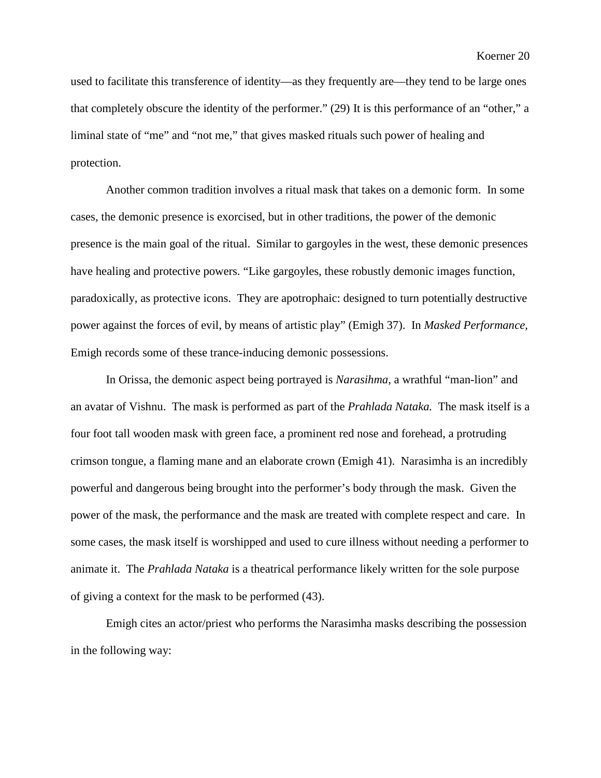used to facilitate this transference of identity—as they frequently are—they tend to be large ones that completely obscure the identity of the performer." (29) It is this performance of an "other," a liminal state of "me" and "not me," that gives masked rituals such power of healing and protection.

Another common tradition involves a ritual mask that takes on a demonic form. In some cases, the demonic presence is exorcised, but in other traditions, the power of the demonic presence is the main goal of the ritual. Similar to gargoyles in the west, these demonic presences have healing and protective powers. "Like gargoyles, these robustly demonic images function, paradoxically, as protective icons. They are apotrophaic: designed to turn potentially destructive power against the forces of evil, by means of artistic play" (Emigh 37). In *Masked Performance,* Emigh records some of these trance-inducing demonic possessions.

In Orissa, the demonic aspect being portrayed is *Narasihma*, a wrathful "man-lion" and an avatar of Vishnu. The mask is performed as part of the *Prahlada Nataka.* The mask itself is a four foot tall wooden mask with green face, a prominent red nose and forehead, a protruding crimson tongue, a flaming mane and an elaborate crown (Emigh 41). Narasimha is an incredibly powerful and dangerous being brought into the performer's body through the mask. Given the power of the mask, the performance and the mask are treated with complete respect and care. In some cases, the mask itself is worshipped and used to cure illness without needing a performer to animate it. The *Prahlada Nataka* is a theatrical performance likely written for the sole purpose of giving a context for the mask to be performed (43).

Emigh cites an actor/priest who performs the Narasimha masks describing the possession in the following way: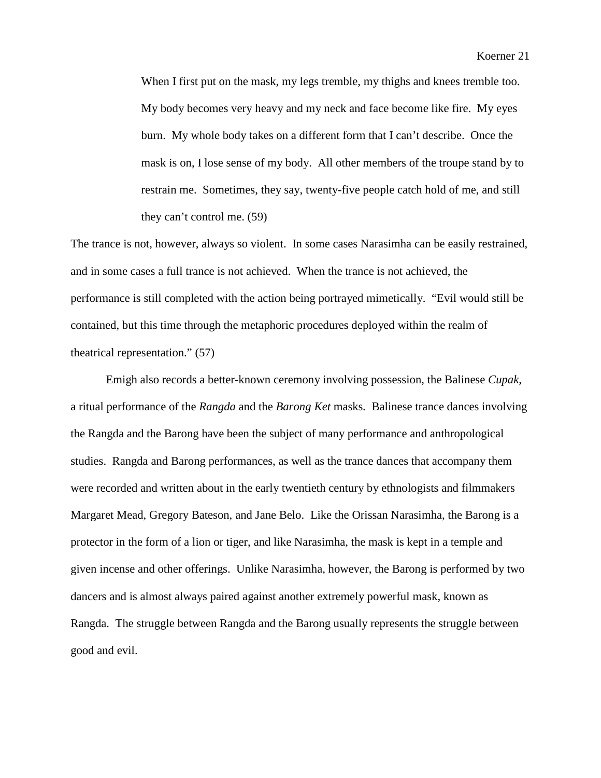When I first put on the mask, my legs tremble, my thighs and knees tremble too. My body becomes very heavy and my neck and face become like fire. My eyes burn. My whole body takes on a different form that I can't describe. Once the mask is on, I lose sense of my body. All other members of the troupe stand by to restrain me. Sometimes, they say, twenty-five people catch hold of me, and still they can't control me. (59)

The trance is not, however, always so violent. In some cases Narasimha can be easily restrained, and in some cases a full trance is not achieved. When the trance is not achieved, the performance is still completed with the action being portrayed mimetically. "Evil would still be contained, but this time through the metaphoric procedures deployed within the realm of theatrical representation." (57)

Emigh also records a better-known ceremony involving possession, the Balinese *Cupak*, a ritual performance of the *Rangda* and the *Barong Ket* masks*.* Balinese trance dances involving the Rangda and the Barong have been the subject of many performance and anthropological studies. Rangda and Barong performances, as well as the trance dances that accompany them were recorded and written about in the early twentieth century by ethnologists and filmmakers Margaret Mead, Gregory Bateson, and Jane Belo. Like the Orissan Narasimha, the Barong is a protector in the form of a lion or tiger, and like Narasimha, the mask is kept in a temple and given incense and other offerings. Unlike Narasimha, however, the Barong is performed by two dancers and is almost always paired against another extremely powerful mask, known as Rangda. The struggle between Rangda and the Barong usually represents the struggle between good and evil.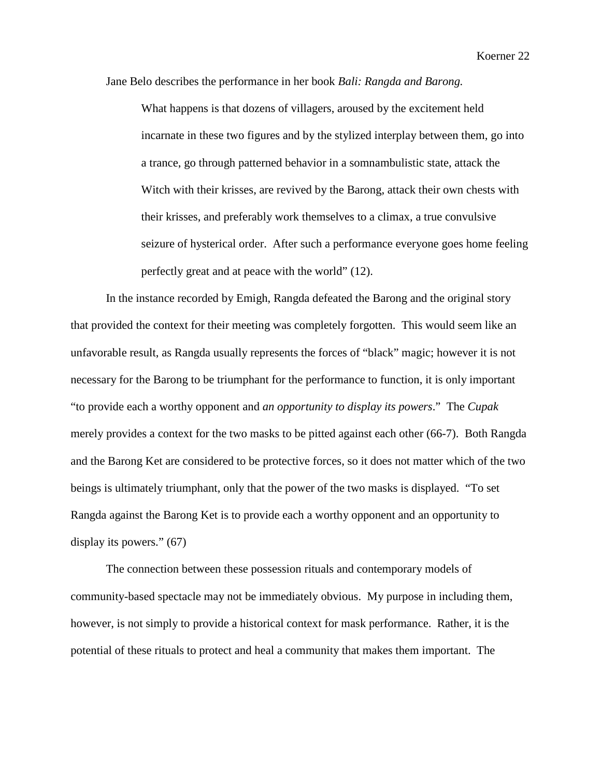Jane Belo describes the performance in her book *Bali: Rangda and Barong.*

What happens is that dozens of villagers, aroused by the excitement held incarnate in these two figures and by the stylized interplay between them, go into a trance, go through patterned behavior in a somnambulistic state, attack the Witch with their krisses, are revived by the Barong, attack their own chests with their krisses, and preferably work themselves to a climax, a true convulsive seizure of hysterical order. After such a performance everyone goes home feeling perfectly great and at peace with the world" (12).

In the instance recorded by Emigh, Rangda defeated the Barong and the original story that provided the context for their meeting was completely forgotten. This would seem like an unfavorable result, as Rangda usually represents the forces of "black" magic; however it is not necessary for the Barong to be triumphant for the performance to function, it is only important "to provide each a worthy opponent and *an opportunity to display its powers*." The *Cupak* merely provides a context for the two masks to be pitted against each other (66-7). Both Rangda and the Barong Ket are considered to be protective forces, so it does not matter which of the two beings is ultimately triumphant, only that the power of the two masks is displayed. "To set Rangda against the Barong Ket is to provide each a worthy opponent and an opportunity to display its powers." (67)

The connection between these possession rituals and contemporary models of community-based spectacle may not be immediately obvious. My purpose in including them, however, is not simply to provide a historical context for mask performance. Rather, it is the potential of these rituals to protect and heal a community that makes them important. The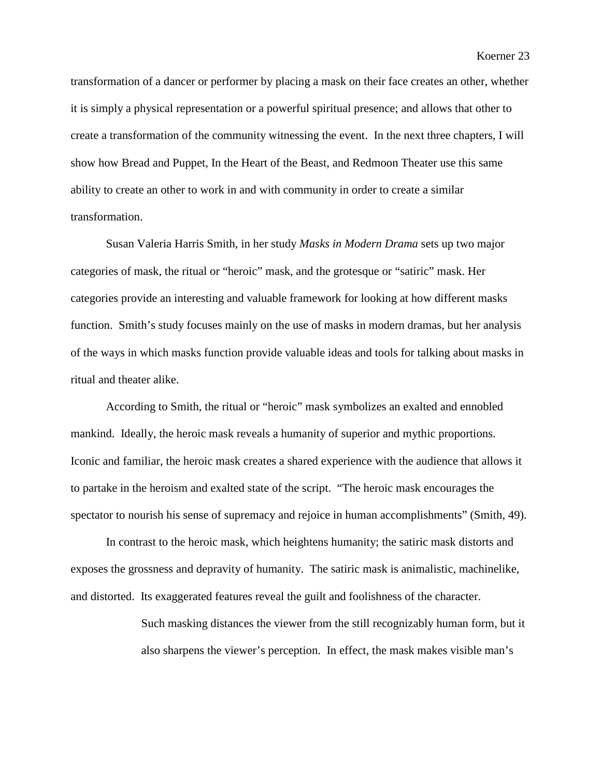transformation of a dancer or performer by placing a mask on their face creates an other, whether it is simply a physical representation or a powerful spiritual presence; and allows that other to create a transformation of the community witnessing the event. In the next three chapters, I will show how Bread and Puppet, In the Heart of the Beast, and Redmoon Theater use this same ability to create an other to work in and with community in order to create a similar transformation.

Susan Valeria Harris Smith, in her study *Masks in Modern Drama* sets up two major categories of mask, the ritual or "heroic" mask, and the grotesque or "satiric" mask. Her categories provide an interesting and valuable framework for looking at how different masks function. Smith's study focuses mainly on the use of masks in modern dramas, but her analysis of the ways in which masks function provide valuable ideas and tools for talking about masks in ritual and theater alike.

According to Smith, the ritual or "heroic" mask symbolizes an exalted and ennobled mankind. Ideally, the heroic mask reveals a humanity of superior and mythic proportions. Iconic and familiar, the heroic mask creates a shared experience with the audience that allows it to partake in the heroism and exalted state of the script. "The heroic mask encourages the spectator to nourish his sense of supremacy and rejoice in human accomplishments" (Smith, 49).

In contrast to the heroic mask, which heightens humanity; the satiric mask distorts and exposes the grossness and depravity of humanity. The satiric mask is animalistic, machinelike, and distorted. Its exaggerated features reveal the guilt and foolishness of the character.

> Such masking distances the viewer from the still recognizably human form, but it also sharpens the viewer's perception. In effect, the mask makes visible man's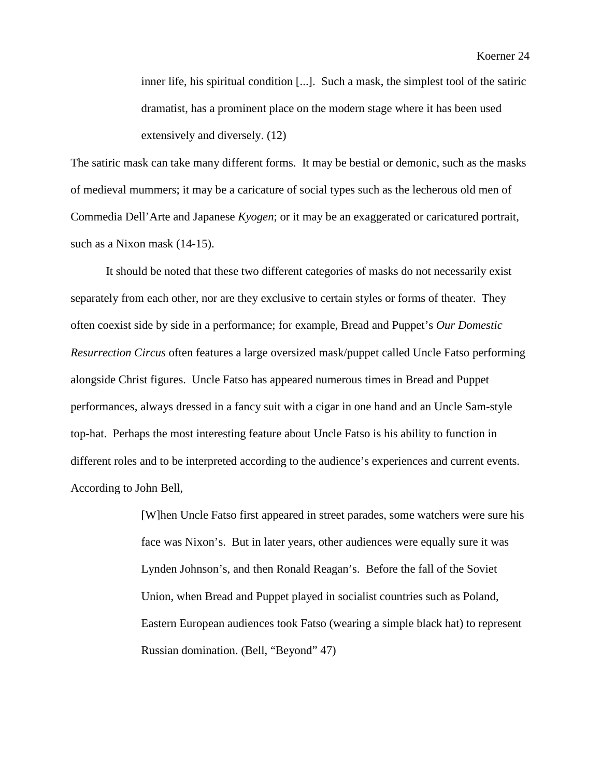inner life, his spiritual condition [...]. Such a mask, the simplest tool of the satiric dramatist, has a prominent place on the modern stage where it has been used extensively and diversely. (12)

The satiric mask can take many different forms. It may be bestial or demonic, such as the masks of medieval mummers; it may be a caricature of social types such as the lecherous old men of Commedia Dell'Arte and Japanese *Kyogen*; or it may be an exaggerated or caricatured portrait, such as a Nixon mask (14-15).

It should be noted that these two different categories of masks do not necessarily exist separately from each other, nor are they exclusive to certain styles or forms of theater. They often coexist side by side in a performance; for example, Bread and Puppet's *Our Domestic Resurrection Circus* often features a large oversized mask/puppet called Uncle Fatso performing alongside Christ figures. Uncle Fatso has appeared numerous times in Bread and Puppet performances, always dressed in a fancy suit with a cigar in one hand and an Uncle Sam-style top-hat. Perhaps the most interesting feature about Uncle Fatso is his ability to function in different roles and to be interpreted according to the audience's experiences and current events. According to John Bell,

> [W]hen Uncle Fatso first appeared in street parades, some watchers were sure his face was Nixon's. But in later years, other audiences were equally sure it was Lynden Johnson's, and then Ronald Reagan's. Before the fall of the Soviet Union, when Bread and Puppet played in socialist countries such as Poland, Eastern European audiences took Fatso (wearing a simple black hat) to represent Russian domination. (Bell, "Beyond" 47)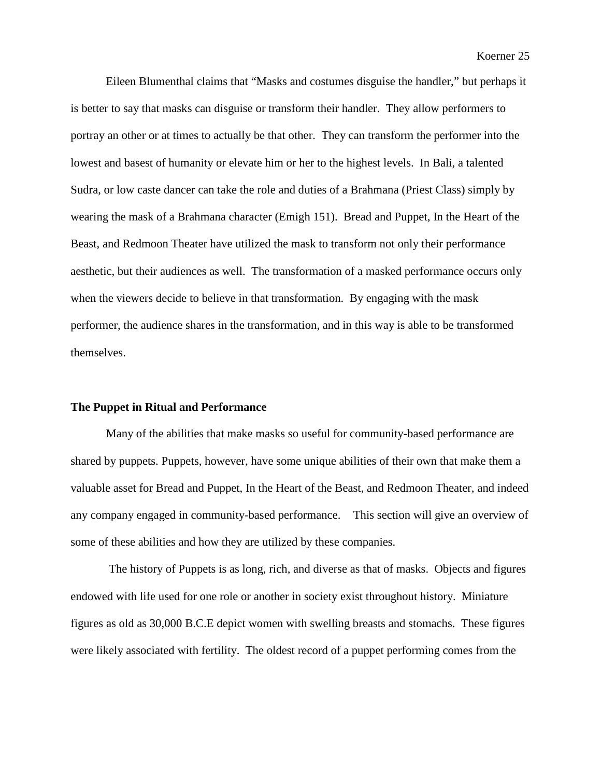Eileen Blumenthal claims that "Masks and costumes disguise the handler," but perhaps it is better to say that masks can disguise or transform their handler. They allow performers to portray an other or at times to actually be that other. They can transform the performer into the lowest and basest of humanity or elevate him or her to the highest levels. In Bali, a talented Sudra, or low caste dancer can take the role and duties of a Brahmana (Priest Class) simply by wearing the mask of a Brahmana character (Emigh 151). Bread and Puppet, In the Heart of the Beast, and Redmoon Theater have utilized the mask to transform not only their performance aesthetic, but their audiences as well. The transformation of a masked performance occurs only when the viewers decide to believe in that transformation. By engaging with the mask performer, the audience shares in the transformation, and in this way is able to be transformed themselves.

#### **The Puppet in Ritual and Performance**

Many of the abilities that make masks so useful for community-based performance are shared by puppets. Puppets, however, have some unique abilities of their own that make them a valuable asset for Bread and Puppet, In the Heart of the Beast, and Redmoon Theater, and indeed any company engaged in community-based performance. This section will give an overview of some of these abilities and how they are utilized by these companies.

The history of Puppets is as long, rich, and diverse as that of masks. Objects and figures endowed with life used for one role or another in society exist throughout history. Miniature figures as old as 30,000 B.C.E depict women with swelling breasts and stomachs. These figures were likely associated with fertility. The oldest record of a puppet performing comes from the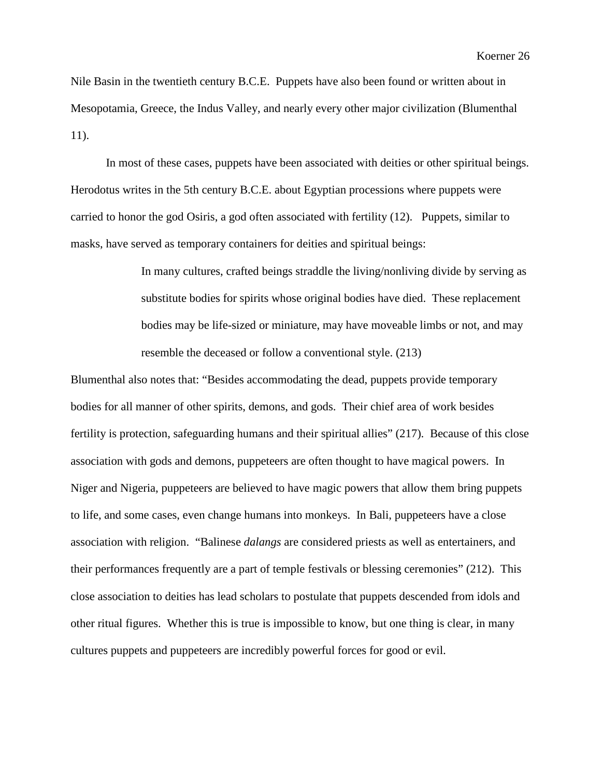Nile Basin in the twentieth century B.C.E. Puppets have also been found or written about in Mesopotamia, Greece, the Indus Valley, and nearly every other major civilization (Blumenthal 11).

In most of these cases, puppets have been associated with deities or other spiritual beings. Herodotus writes in the 5th century B.C.E. about Egyptian processions where puppets were carried to honor the god Osiris, a god often associated with fertility (12). Puppets, similar to masks, have served as temporary containers for deities and spiritual beings:

> In many cultures, crafted beings straddle the living/nonliving divide by serving as substitute bodies for spirits whose original bodies have died. These replacement bodies may be life-sized or miniature, may have moveable limbs or not, and may resemble the deceased or follow a conventional style. (213)

Blumenthal also notes that: "Besides accommodating the dead, puppets provide temporary bodies for all manner of other spirits, demons, and gods. Their chief area of work besides fertility is protection, safeguarding humans and their spiritual allies" (217). Because of this close association with gods and demons, puppeteers are often thought to have magical powers. In Niger and Nigeria, puppeteers are believed to have magic powers that allow them bring puppets to life, and some cases, even change humans into monkeys. In Bali, puppeteers have a close association with religion. "Balinese *dalangs* are considered priests as well as entertainers, and their performances frequently are a part of temple festivals or blessing ceremonies" (212). This close association to deities has lead scholars to postulate that puppets descended from idols and other ritual figures. Whether this is true is impossible to know, but one thing is clear, in many cultures puppets and puppeteers are incredibly powerful forces for good or evil.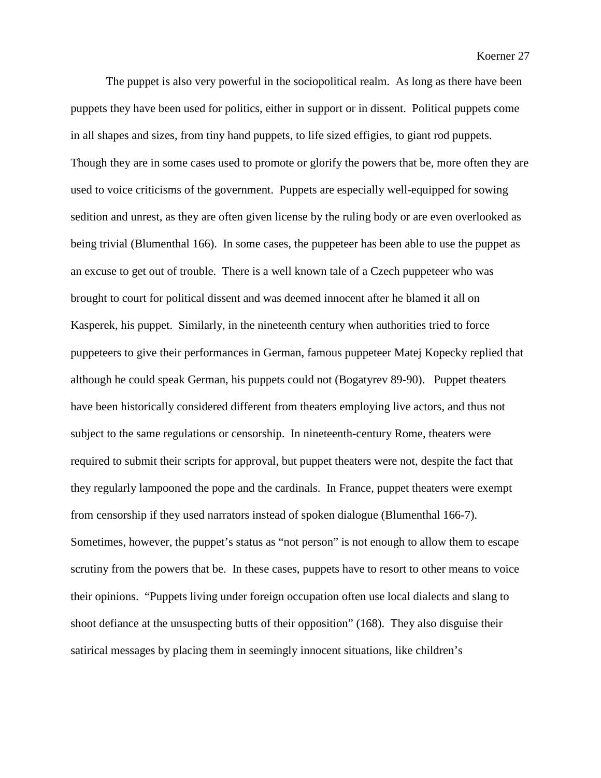The puppet is also very powerful in the sociopolitical realm. As long as there have been puppets they have been used for politics, either in support or in dissent. Political puppets come in all shapes and sizes, from tiny hand puppets, to life sized effigies, to giant rod puppets. Though they are in some cases used to promote or glorify the powers that be, more often they are used to voice criticisms of the government. Puppets are especially well-equipped for sowing sedition and unrest, as they are often given license by the ruling body or are even overlooked as being trivial (Blumenthal 166). In some cases, the puppeteer has been able to use the puppet as an excuse to get out of trouble. There is a well known tale of a Czech puppeteer who was brought to court for political dissent and was deemed innocent after he blamed it all on Kasperek, his puppet. Similarly, in the nineteenth century when authorities tried to force puppeteers to give their performances in German, famous puppeteer Matej Kopecky replied that although he could speak German, his puppets could not (Bogatyrev 89-90). Puppet theaters have been historically considered different from theaters employing live actors, and thus not subject to the same regulations or censorship. In nineteenth-century Rome, theaters were required to submit their scripts for approval, but puppet theaters were not, despite the fact that they regularly lampooned the pope and the cardinals. In France, puppet theaters were exempt from censorship if they used narrators instead of spoken dialogue (Blumenthal 166-7). Sometimes, however, the puppet's status as "not person" is not enough to allow them to escape scrutiny from the powers that be. In these cases, puppets have to resort to other means to voice their opinions. "Puppets living under foreign occupation often use local dialects and slang to shoot defiance at the unsuspecting butts of their opposition" (168). They also disguise their satirical messages by placing them in seemingly innocent situations, like children's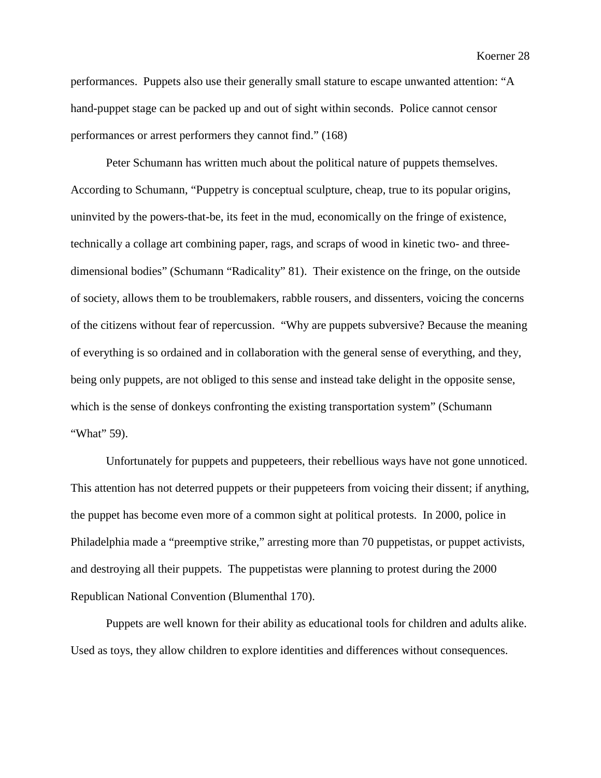performances. Puppets also use their generally small stature to escape unwanted attention: "A hand-puppet stage can be packed up and out of sight within seconds. Police cannot censor performances or arrest performers they cannot find." (168)

Peter Schumann has written much about the political nature of puppets themselves. According to Schumann, "Puppetry is conceptual sculpture, cheap, true to its popular origins, uninvited by the powers-that-be, its feet in the mud, economically on the fringe of existence, technically a collage art combining paper, rags, and scraps of wood in kinetic two- and threedimensional bodies" (Schumann "Radicality" 81). Their existence on the fringe, on the outside of society, allows them to be troublemakers, rabble rousers, and dissenters, voicing the concerns of the citizens without fear of repercussion. "Why are puppets subversive? Because the meaning of everything is so ordained and in collaboration with the general sense of everything, and they, being only puppets, are not obliged to this sense and instead take delight in the opposite sense, which is the sense of donkeys confronting the existing transportation system" (Schumann "What" 59).

Unfortunately for puppets and puppeteers, their rebellious ways have not gone unnoticed. This attention has not deterred puppets or their puppeteers from voicing their dissent; if anything, the puppet has become even more of a common sight at political protests. In 2000, police in Philadelphia made a "preemptive strike," arresting more than 70 puppetistas, or puppet activists, and destroying all their puppets. The puppetistas were planning to protest during the 2000 Republican National Convention (Blumenthal 170).

Puppets are well known for their ability as educational tools for children and adults alike. Used as toys, they allow children to explore identities and differences without consequences.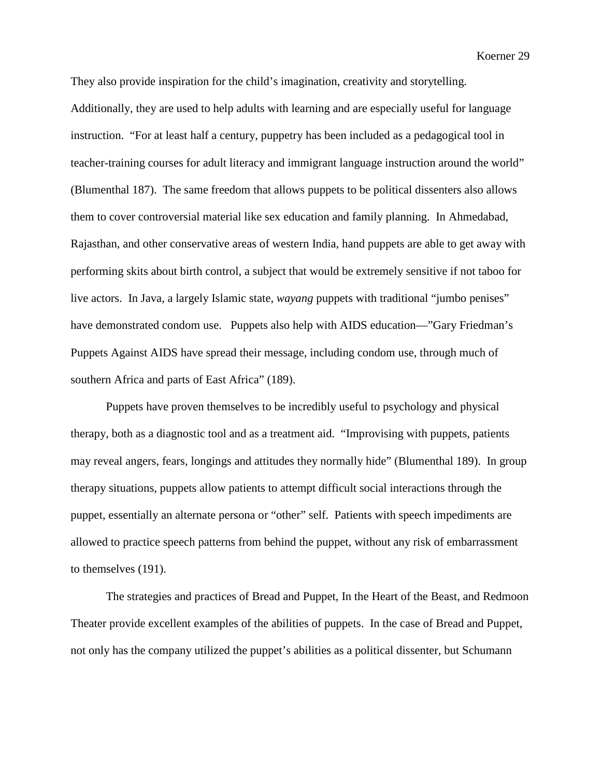They also provide inspiration for the child's imagination, creativity and storytelling. Additionally, they are used to help adults with learning and are especially useful for language instruction. "For at least half a century, puppetry has been included as a pedagogical tool in teacher-training courses for adult literacy and immigrant language instruction around the world" (Blumenthal 187). The same freedom that allows puppets to be political dissenters also allows them to cover controversial material like sex education and family planning. In Ahmedabad, Rajasthan, and other conservative areas of western India, hand puppets are able to get away with performing skits about birth control, a subject that would be extremely sensitive if not taboo for live actors. In Java, a largely Islamic state, *wayang* puppets with traditional "jumbo penises" have demonstrated condom use. Puppets also help with AIDS education—"Gary Friedman's Puppets Against AIDS have spread their message, including condom use, through much of southern Africa and parts of East Africa" (189).

Puppets have proven themselves to be incredibly useful to psychology and physical therapy, both as a diagnostic tool and as a treatment aid. "Improvising with puppets, patients may reveal angers, fears, longings and attitudes they normally hide" (Blumenthal 189). In group therapy situations, puppets allow patients to attempt difficult social interactions through the puppet, essentially an alternate persona or "other" self. Patients with speech impediments are allowed to practice speech patterns from behind the puppet, without any risk of embarrassment to themselves (191).

The strategies and practices of Bread and Puppet, In the Heart of the Beast, and Redmoon Theater provide excellent examples of the abilities of puppets. In the case of Bread and Puppet, not only has the company utilized the puppet's abilities as a political dissenter, but Schumann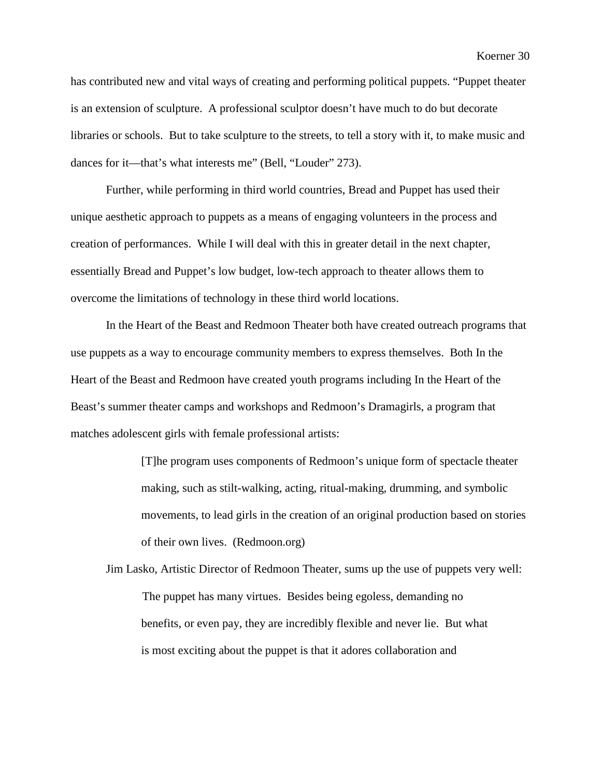has contributed new and vital ways of creating and performing political puppets. "Puppet theater is an extension of sculpture. A professional sculptor doesn't have much to do but decorate libraries or schools. But to take sculpture to the streets, to tell a story with it, to make music and dances for it—that's what interests me" (Bell, "Louder" 273).

Further, while performing in third world countries, Bread and Puppet has used their unique aesthetic approach to puppets as a means of engaging volunteers in the process and creation of performances. While I will deal with this in greater detail in the next chapter, essentially Bread and Puppet's low budget, low-tech approach to theater allows them to overcome the limitations of technology in these third world locations.

In the Heart of the Beast and Redmoon Theater both have created outreach programs that use puppets as a way to encourage community members to express themselves. Both In the Heart of the Beast and Redmoon have created youth programs including In the Heart of the Beast's summer theater camps and workshops and Redmoon's Dramagirls, a program that matches adolescent girls with female professional artists:

> [T]he program uses components of Redmoon's unique form of spectacle theater making, such as stilt-walking, acting, ritual-making, drumming, and symbolic movements, to lead girls in the creation of an original production based on stories of their own lives. (Redmoon.org)

Jim Lasko, Artistic Director of Redmoon Theater, sums up the use of puppets very well: The puppet has many virtues. Besides being egoless, demanding no benefits, or even pay, they are incredibly flexible and never lie. But what is most exciting about the puppet is that it adores collaboration and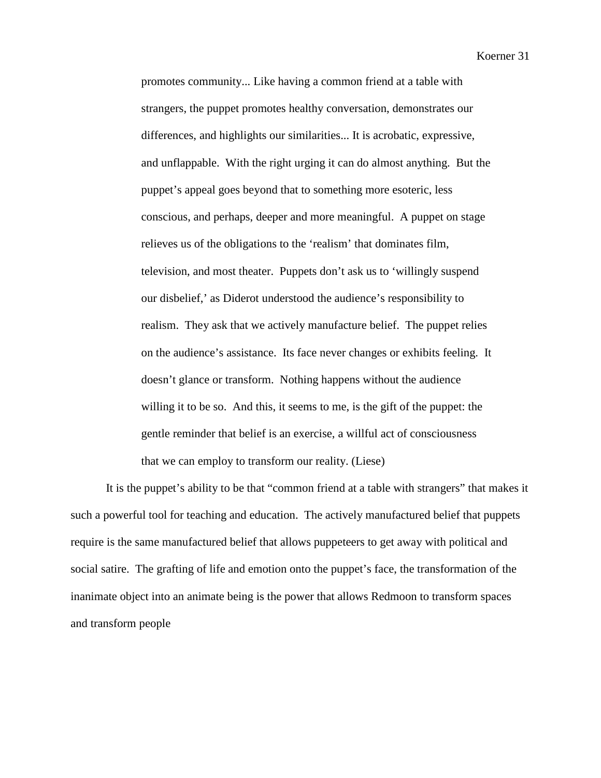promotes community... Like having a common friend at a table with strangers, the puppet promotes healthy conversation, demonstrates our differences, and highlights our similarities... It is acrobatic, expressive, and unflappable. With the right urging it can do almost anything. But the puppet's appeal goes beyond that to something more esoteric, less conscious, and perhaps, deeper and more meaningful. A puppet on stage relieves us of the obligations to the 'realism' that dominates film, television, and most theater. Puppets don't ask us to 'willingly suspend our disbelief,' as Diderot understood the audience's responsibility to realism. They ask that we actively manufacture belief. The puppet relies on the audience's assistance. Its face never changes or exhibits feeling. It doesn't glance or transform. Nothing happens without the audience willing it to be so. And this, it seems to me, is the gift of the puppet: the gentle reminder that belief is an exercise, a willful act of consciousness that we can employ to transform our reality. (Liese)

It is the puppet's ability to be that "common friend at a table with strangers" that makes it such a powerful tool for teaching and education. The actively manufactured belief that puppets require is the same manufactured belief that allows puppeteers to get away with political and social satire. The grafting of life and emotion onto the puppet's face, the transformation of the inanimate object into an animate being is the power that allows Redmoon to transform spaces and transform people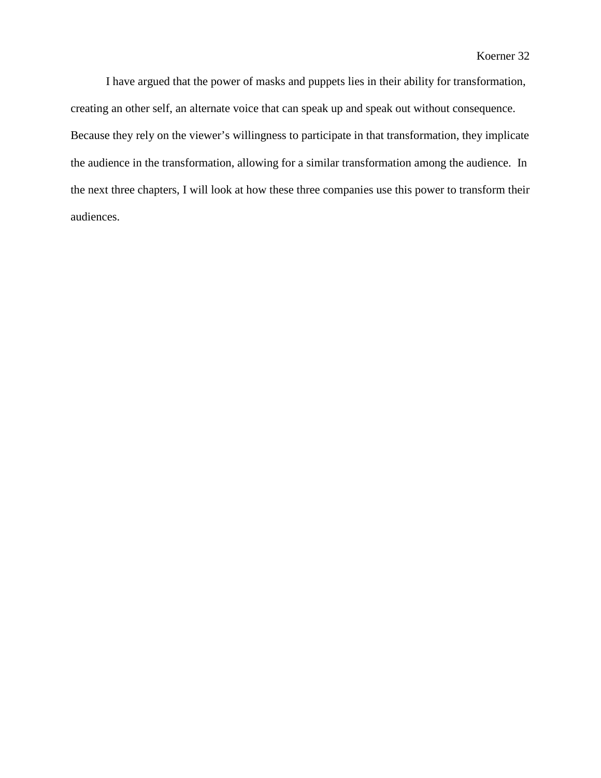I have argued that the power of masks and puppets lies in their ability for transformation, creating an other self, an alternate voice that can speak up and speak out without consequence. Because they rely on the viewer's willingness to participate in that transformation, they implicate the audience in the transformation, allowing for a similar transformation among the audience. In the next three chapters, I will look at how these three companies use this power to transform their audiences.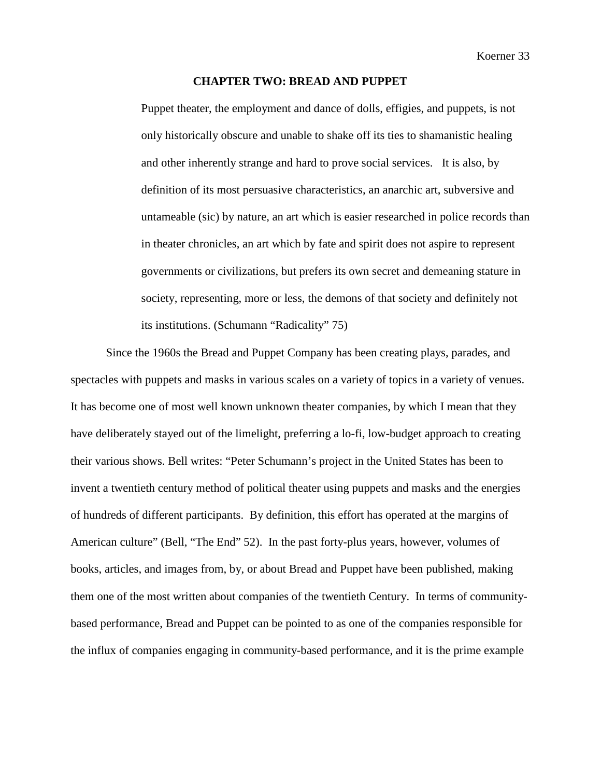## **CHAPTER TWO: BREAD AND PUPPET**

Puppet theater, the employment and dance of dolls, effigies, and puppets, is not only historically obscure and unable to shake off its ties to shamanistic healing and other inherently strange and hard to prove social services. It is also, by definition of its most persuasive characteristics, an anarchic art, subversive and untameable (sic) by nature, an art which is easier researched in police records than in theater chronicles, an art which by fate and spirit does not aspire to represent governments or civilizations, but prefers its own secret and demeaning stature in society, representing, more or less, the demons of that society and definitely not its institutions. (Schumann "Radicality" 75)

Since the 1960s the Bread and Puppet Company has been creating plays, parades, and spectacles with puppets and masks in various scales on a variety of topics in a variety of venues. It has become one of most well known unknown theater companies, by which I mean that they have deliberately stayed out of the limelight, preferring a lo-fi, low-budget approach to creating their various shows. Bell writes: "Peter Schumann's project in the United States has been to invent a twentieth century method of political theater using puppets and masks and the energies of hundreds of different participants. By definition, this effort has operated at the margins of American culture" (Bell, "The End" 52). In the past forty-plus years, however, volumes of books, articles, and images from, by, or about Bread and Puppet have been published, making them one of the most written about companies of the twentieth Century. In terms of communitybased performance, Bread and Puppet can be pointed to as one of the companies responsible for the influx of companies engaging in community-based performance, and it is the prime example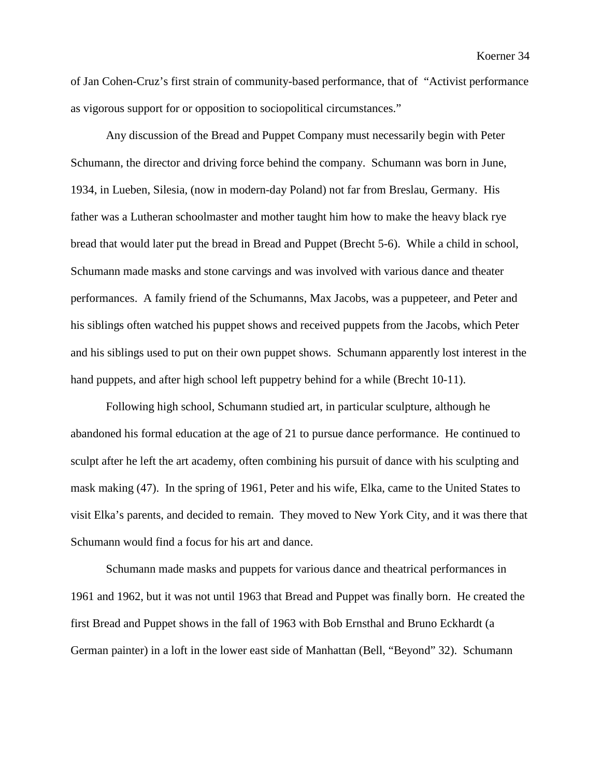of Jan Cohen-Cruz's first strain of community-based performance, that of "Activist performance as vigorous support for or opposition to sociopolitical circumstances."

Any discussion of the Bread and Puppet Company must necessarily begin with Peter Schumann, the director and driving force behind the company. Schumann was born in June, 1934, in Lueben, Silesia, (now in modern-day Poland) not far from Breslau, Germany. His father was a Lutheran schoolmaster and mother taught him how to make the heavy black rye bread that would later put the bread in Bread and Puppet (Brecht 5-6). While a child in school, Schumann made masks and stone carvings and was involved with various dance and theater performances. A family friend of the Schumanns, Max Jacobs, was a puppeteer, and Peter and his siblings often watched his puppet shows and received puppets from the Jacobs, which Peter and his siblings used to put on their own puppet shows. Schumann apparently lost interest in the hand puppets, and after high school left puppetry behind for a while (Brecht 10-11).

Following high school, Schumann studied art, in particular sculpture, although he abandoned his formal education at the age of 21 to pursue dance performance. He continued to sculpt after he left the art academy, often combining his pursuit of dance with his sculpting and mask making (47). In the spring of 1961, Peter and his wife, Elka, came to the United States to visit Elka's parents, and decided to remain. They moved to New York City, and it was there that Schumann would find a focus for his art and dance.

Schumann made masks and puppets for various dance and theatrical performances in 1961 and 1962, but it was not until 1963 that Bread and Puppet was finally born. He created the first Bread and Puppet shows in the fall of 1963 with Bob Ernsthal and Bruno Eckhardt (a German painter) in a loft in the lower east side of Manhattan (Bell, "Beyond" 32). Schumann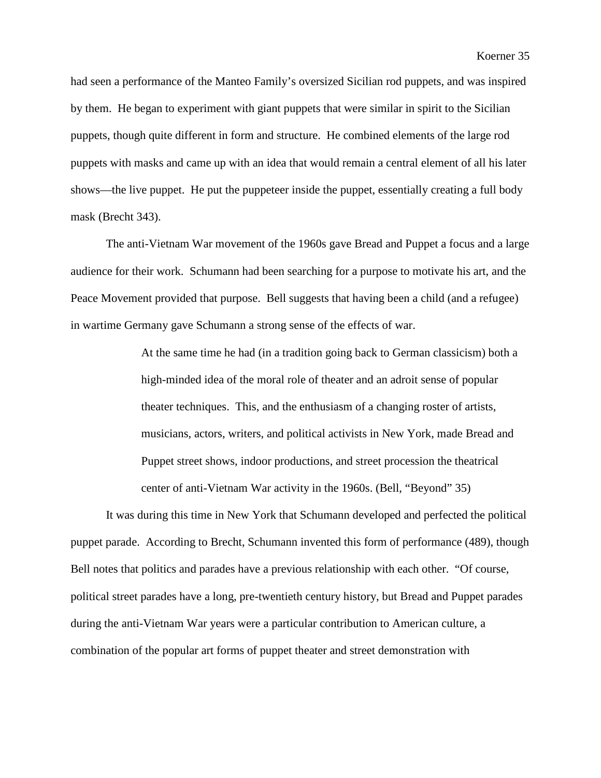had seen a performance of the Manteo Family's oversized Sicilian rod puppets, and was inspired by them. He began to experiment with giant puppets that were similar in spirit to the Sicilian puppets, though quite different in form and structure. He combined elements of the large rod puppets with masks and came up with an idea that would remain a central element of all his later shows—the live puppet. He put the puppeteer inside the puppet, essentially creating a full body mask (Brecht 343).

The anti-Vietnam War movement of the 1960s gave Bread and Puppet a focus and a large audience for their work. Schumann had been searching for a purpose to motivate his art, and the Peace Movement provided that purpose. Bell suggests that having been a child (and a refugee) in wartime Germany gave Schumann a strong sense of the effects of war.

> At the same time he had (in a tradition going back to German classicism) both a high-minded idea of the moral role of theater and an adroit sense of popular theater techniques. This, and the enthusiasm of a changing roster of artists, musicians, actors, writers, and political activists in New York, made Bread and Puppet street shows, indoor productions, and street procession the theatrical center of anti-Vietnam War activity in the 1960s. (Bell, "Beyond" 35)

It was during this time in New York that Schumann developed and perfected the political puppet parade. According to Brecht, Schumann invented this form of performance (489), though Bell notes that politics and parades have a previous relationship with each other. "Of course, political street parades have a long, pre-twentieth century history, but Bread and Puppet parades during the anti-Vietnam War years were a particular contribution to American culture, a combination of the popular art forms of puppet theater and street demonstration with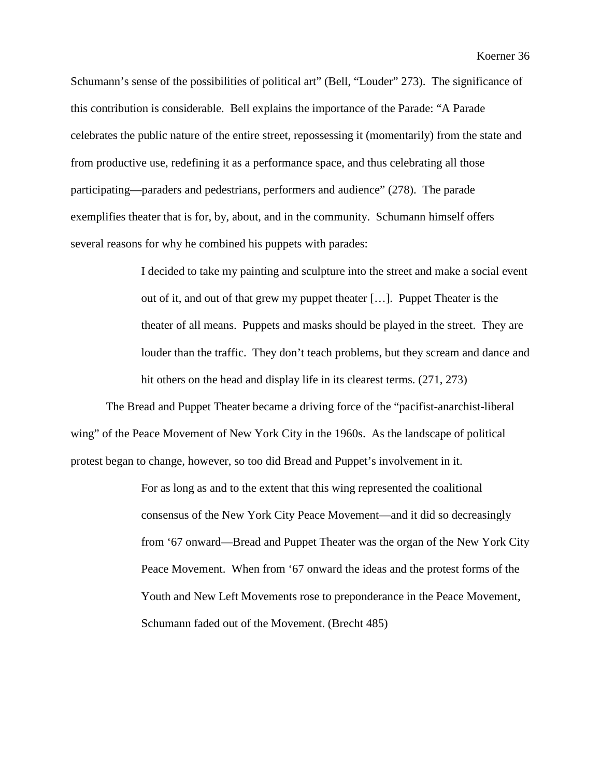Schumann's sense of the possibilities of political art" (Bell, "Louder" 273). The significance of this contribution is considerable. Bell explains the importance of the Parade: "A Parade celebrates the public nature of the entire street, repossessing it (momentarily) from the state and from productive use, redefining it as a performance space, and thus celebrating all those participating—paraders and pedestrians, performers and audience" (278). The parade exemplifies theater that is for, by, about, and in the community. Schumann himself offers several reasons for why he combined his puppets with parades:

> I decided to take my painting and sculpture into the street and make a social event out of it, and out of that grew my puppet theater […]. Puppet Theater is the theater of all means. Puppets and masks should be played in the street. They are louder than the traffic. They don't teach problems, but they scream and dance and hit others on the head and display life in its clearest terms. (271, 273)

The Bread and Puppet Theater became a driving force of the "pacifist-anarchist-liberal wing" of the Peace Movement of New York City in the 1960s. As the landscape of political protest began to change, however, so too did Bread and Puppet's involvement in it.

> For as long as and to the extent that this wing represented the coalitional consensus of the New York City Peace Movement—and it did so decreasingly from '67 onward—Bread and Puppet Theater was the organ of the New York City Peace Movement. When from '67 onward the ideas and the protest forms of the Youth and New Left Movements rose to preponderance in the Peace Movement, Schumann faded out of the Movement. (Brecht 485)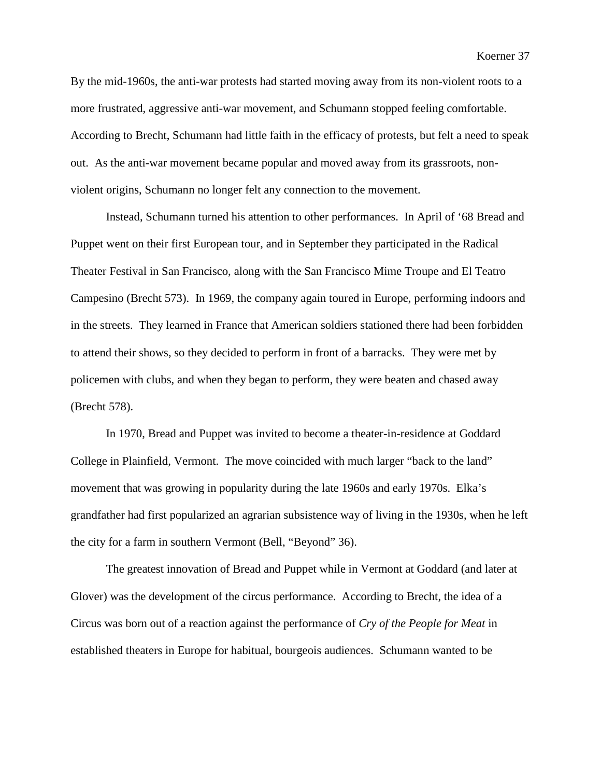By the mid-1960s, the anti-war protests had started moving away from its non-violent roots to a more frustrated, aggressive anti-war movement, and Schumann stopped feeling comfortable. According to Brecht, Schumann had little faith in the efficacy of protests, but felt a need to speak out. As the anti-war movement became popular and moved away from its grassroots, nonviolent origins, Schumann no longer felt any connection to the movement.

Instead, Schumann turned his attention to other performances. In April of '68 Bread and Puppet went on their first European tour, and in September they participated in the Radical Theater Festival in San Francisco, along with the San Francisco Mime Troupe and El Teatro Campesino (Brecht 573). In 1969, the company again toured in Europe, performing indoors and in the streets. They learned in France that American soldiers stationed there had been forbidden to attend their shows, so they decided to perform in front of a barracks. They were met by policemen with clubs, and when they began to perform, they were beaten and chased away (Brecht 578).

In 1970, Bread and Puppet was invited to become a theater-in-residence at Goddard College in Plainfield, Vermont. The move coincided with much larger "back to the land" movement that was growing in popularity during the late 1960s and early 1970s. Elka's grandfather had first popularized an agrarian subsistence way of living in the 1930s, when he left the city for a farm in southern Vermont (Bell, "Beyond" 36).

The greatest innovation of Bread and Puppet while in Vermont at Goddard (and later at Glover) was the development of the circus performance. According to Brecht, the idea of a Circus was born out of a reaction against the performance of *Cry of the People for Meat* in established theaters in Europe for habitual, bourgeois audiences. Schumann wanted to be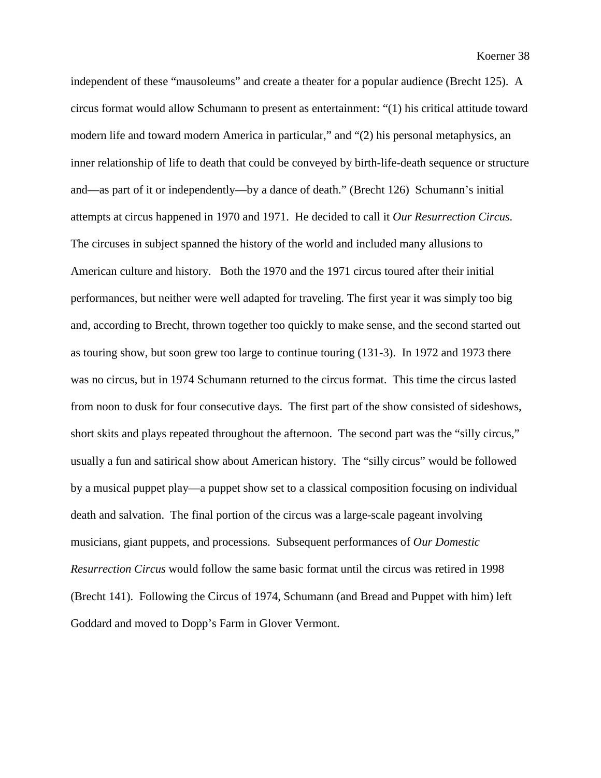independent of these "mausoleums" and create a theater for a popular audience (Brecht 125). A circus format would allow Schumann to present as entertainment: "(1) his critical attitude toward modern life and toward modern America in particular," and "(2) his personal metaphysics, an inner relationship of life to death that could be conveyed by birth-life-death sequence or structure and—as part of it or independently—by a dance of death." (Brecht 126) Schumann's initial attempts at circus happened in 1970 and 1971. He decided to call it *Our Resurrection Circus.*  The circuses in subject spanned the history of the world and included many allusions to American culture and history. Both the 1970 and the 1971 circus toured after their initial performances, but neither were well adapted for traveling. The first year it was simply too big and, according to Brecht, thrown together too quickly to make sense, and the second started out as touring show, but soon grew too large to continue touring (131-3). In 1972 and 1973 there was no circus, but in 1974 Schumann returned to the circus format. This time the circus lasted from noon to dusk for four consecutive days. The first part of the show consisted of sideshows, short skits and plays repeated throughout the afternoon. The second part was the "silly circus," usually a fun and satirical show about American history. The "silly circus" would be followed by a musical puppet play—a puppet show set to a classical composition focusing on individual death and salvation. The final portion of the circus was a large-scale pageant involving musicians, giant puppets, and processions. Subsequent performances of *Our Domestic Resurrection Circus* would follow the same basic format until the circus was retired in 1998 (Brecht 141). Following the Circus of 1974, Schumann (and Bread and Puppet with him) left Goddard and moved to Dopp's Farm in Glover Vermont.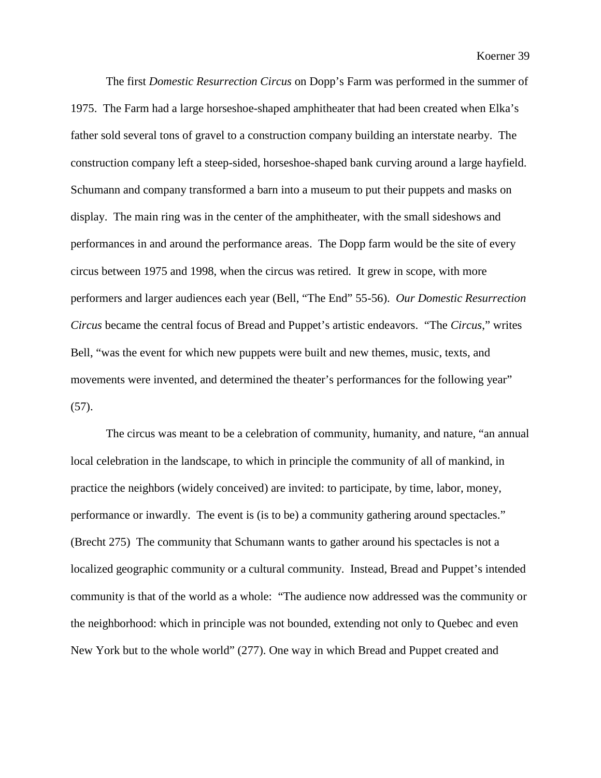The first *Domestic Resurrection Circus* on Dopp's Farm was performed in the summer of 1975. The Farm had a large horseshoe-shaped amphitheater that had been created when Elka's father sold several tons of gravel to a construction company building an interstate nearby. The construction company left a steep-sided, horseshoe-shaped bank curving around a large hayfield. Schumann and company transformed a barn into a museum to put their puppets and masks on display. The main ring was in the center of the amphitheater, with the small sideshows and performances in and around the performance areas. The Dopp farm would be the site of every circus between 1975 and 1998, when the circus was retired. It grew in scope, with more performers and larger audiences each year (Bell, "The End" 55-56). *Our Domestic Resurrection Circus* became the central focus of Bread and Puppet's artistic endeavors. "The *Circus*," writes Bell, "was the event for which new puppets were built and new themes, music, texts, and movements were invented, and determined the theater's performances for the following year" (57).

The circus was meant to be a celebration of community, humanity, and nature, "an annual local celebration in the landscape, to which in principle the community of all of mankind, in practice the neighbors (widely conceived) are invited: to participate, by time, labor, money, performance or inwardly. The event is (is to be) a community gathering around spectacles." (Brecht 275) The community that Schumann wants to gather around his spectacles is not a localized geographic community or a cultural community. Instead, Bread and Puppet's intended community is that of the world as a whole: "The audience now addressed was the community or the neighborhood: which in principle was not bounded, extending not only to Quebec and even New York but to the whole world" (277). One way in which Bread and Puppet created and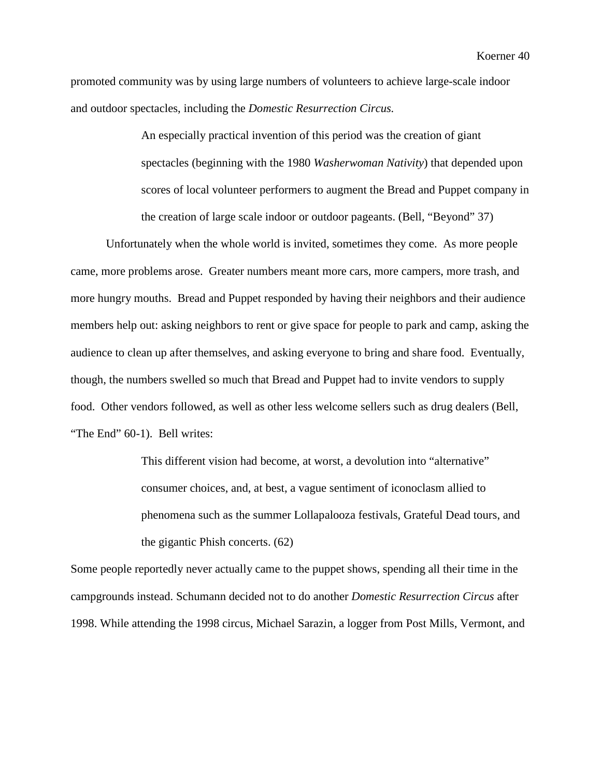promoted community was by using large numbers of volunteers to achieve large-scale indoor and outdoor spectacles, including the *Domestic Resurrection Circus.* 

> An especially practical invention of this period was the creation of giant spectacles (beginning with the 1980 *Washerwoman Nativity*) that depended upon scores of local volunteer performers to augment the Bread and Puppet company in the creation of large scale indoor or outdoor pageants. (Bell, "Beyond" 37)

Unfortunately when the whole world is invited, sometimes they come. As more people came, more problems arose. Greater numbers meant more cars, more campers, more trash, and more hungry mouths. Bread and Puppet responded by having their neighbors and their audience members help out: asking neighbors to rent or give space for people to park and camp, asking the audience to clean up after themselves, and asking everyone to bring and share food. Eventually, though, the numbers swelled so much that Bread and Puppet had to invite vendors to supply food. Other vendors followed, as well as other less welcome sellers such as drug dealers (Bell, "The End" 60-1). Bell writes:

> This different vision had become, at worst, a devolution into "alternative" consumer choices, and, at best, a vague sentiment of iconoclasm allied to phenomena such as the summer Lollapalooza festivals, Grateful Dead tours, and the gigantic Phish concerts. (62)

Some people reportedly never actually came to the puppet shows, spending all their time in the campgrounds instead. Schumann decided not to do another *Domestic Resurrection Circus* after 1998. While attending the 1998 circus, Michael Sarazin, a logger from Post Mills, Vermont, and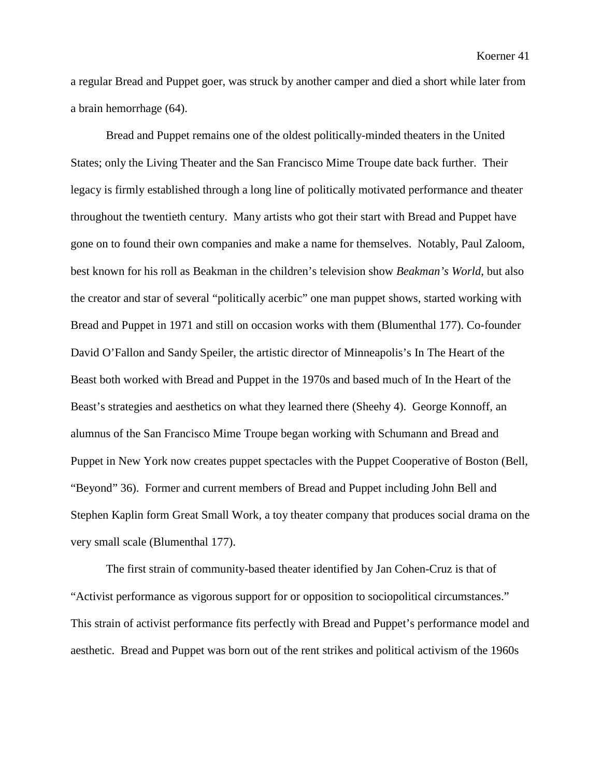a regular Bread and Puppet goer, was struck by another camper and died a short while later from a brain hemorrhage (64).

Bread and Puppet remains one of the oldest politically-minded theaters in the United States; only the Living Theater and the San Francisco Mime Troupe date back further. Their legacy is firmly established through a long line of politically motivated performance and theater throughout the twentieth century. Many artists who got their start with Bread and Puppet have gone on to found their own companies and make a name for themselves. Notably, Paul Zaloom, best known for his roll as Beakman in the children's television show *Beakman's World,* but also the creator and star of several "politically acerbic" one man puppet shows, started working with Bread and Puppet in 1971 and still on occasion works with them (Blumenthal 177). Co-founder David O'Fallon and Sandy Speiler, the artistic director of Minneapolis's In The Heart of the Beast both worked with Bread and Puppet in the 1970s and based much of In the Heart of the Beast's strategies and aesthetics on what they learned there (Sheehy 4). George Konnoff, an alumnus of the San Francisco Mime Troupe began working with Schumann and Bread and Puppet in New York now creates puppet spectacles with the Puppet Cooperative of Boston (Bell, "Beyond" 36). Former and current members of Bread and Puppet including John Bell and Stephen Kaplin form Great Small Work, a toy theater company that produces social drama on the very small scale (Blumenthal 177).

The first strain of community-based theater identified by Jan Cohen-Cruz is that of "Activist performance as vigorous support for or opposition to sociopolitical circumstances." This strain of activist performance fits perfectly with Bread and Puppet's performance model and aesthetic. Bread and Puppet was born out of the rent strikes and political activism of the 1960s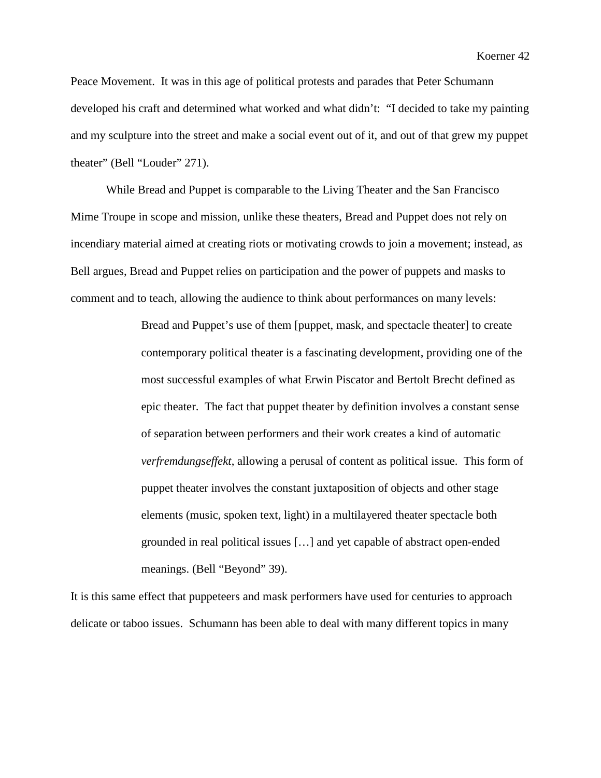Koerner 42

Peace Movement. It was in this age of political protests and parades that Peter Schumann developed his craft and determined what worked and what didn't: "I decided to take my painting and my sculpture into the street and make a social event out of it, and out of that grew my puppet theater" (Bell "Louder" 271).

While Bread and Puppet is comparable to the Living Theater and the San Francisco Mime Troupe in scope and mission, unlike these theaters, Bread and Puppet does not rely on incendiary material aimed at creating riots or motivating crowds to join a movement; instead, as Bell argues, Bread and Puppet relies on participation and the power of puppets and masks to comment and to teach, allowing the audience to think about performances on many levels:

> Bread and Puppet's use of them [puppet, mask, and spectacle theater] to create contemporary political theater is a fascinating development, providing one of the most successful examples of what Erwin Piscator and Bertolt Brecht defined as epic theater. The fact that puppet theater by definition involves a constant sense of separation between performers and their work creates a kind of automatic *verfremdungseffekt*, allowing a perusal of content as political issue. This form of puppet theater involves the constant juxtaposition of objects and other stage elements (music, spoken text, light) in a multilayered theater spectacle both grounded in real political issues […] and yet capable of abstract open-ended meanings. (Bell "Beyond" 39).

It is this same effect that puppeteers and mask performers have used for centuries to approach delicate or taboo issues. Schumann has been able to deal with many different topics in many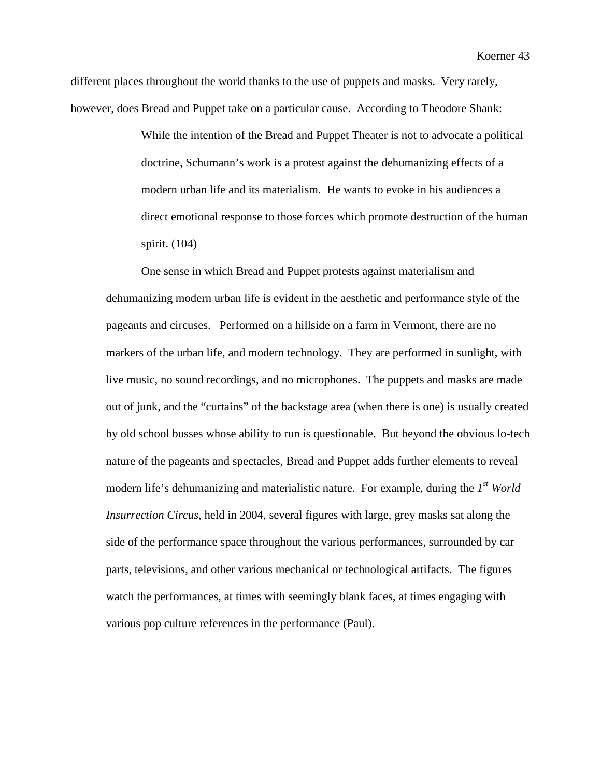different places throughout the world thanks to the use of puppets and masks. Very rarely, however, does Bread and Puppet take on a particular cause. According to Theodore Shank:

> While the intention of the Bread and Puppet Theater is not to advocate a political doctrine, Schumann's work is a protest against the dehumanizing effects of a modern urban life and its materialism. He wants to evoke in his audiences a direct emotional response to those forces which promote destruction of the human spirit. (104)

One sense in which Bread and Puppet protests against materialism and dehumanizing modern urban life is evident in the aesthetic and performance style of the pageants and circuses. Performed on a hillside on a farm in Vermont, there are no markers of the urban life, and modern technology. They are performed in sunlight, with live music, no sound recordings, and no microphones. The puppets and masks are made out of junk, and the "curtains" of the backstage area (when there is one) is usually created by old school busses whose ability to run is questionable. But beyond the obvious lo-tech nature of the pageants and spectacles, Bread and Puppet adds further elements to reveal modern life's dehumanizing and materialistic nature. For example, during the *1st World Insurrection Circus*, held in 2004, several figures with large, grey masks sat along the side of the performance space throughout the various performances, surrounded by car parts, televisions, and other various mechanical or technological artifacts. The figures watch the performances, at times with seemingly blank faces, at times engaging with various pop culture references in the performance (Paul).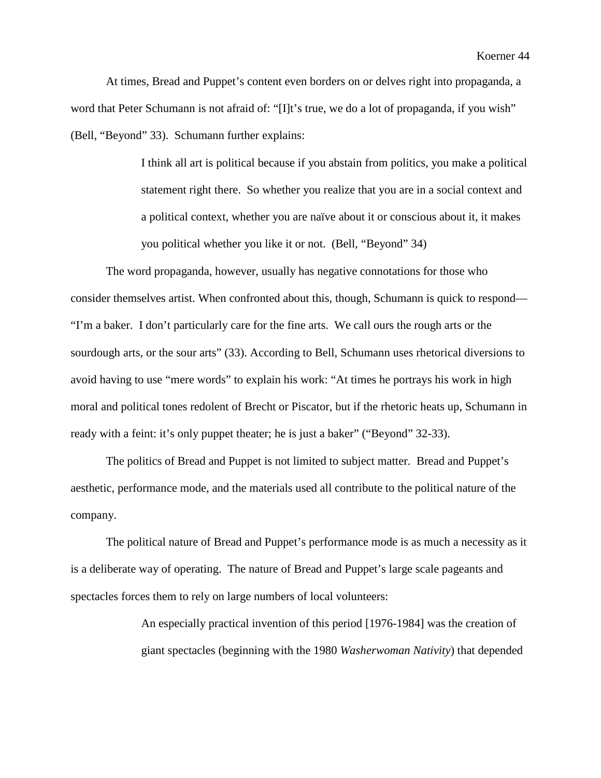At times, Bread and Puppet's content even borders on or delves right into propaganda, a word that Peter Schumann is not afraid of: "[I]t's true, we do a lot of propaganda, if you wish" (Bell, "Beyond" 33). Schumann further explains:

> I think all art is political because if you abstain from politics, you make a political statement right there. So whether you realize that you are in a social context and a political context, whether you are naïve about it or conscious about it, it makes you political whether you like it or not. (Bell, "Beyond" 34)

The word propaganda, however, usually has negative connotations for those who consider themselves artist. When confronted about this, though, Schumann is quick to respond— "I'm a baker. I don't particularly care for the fine arts. We call ours the rough arts or the sourdough arts, or the sour arts" (33). According to Bell, Schumann uses rhetorical diversions to avoid having to use "mere words" to explain his work: "At times he portrays his work in high moral and political tones redolent of Brecht or Piscator, but if the rhetoric heats up, Schumann in ready with a feint: it's only puppet theater; he is just a baker" ("Beyond" 32-33).

The politics of Bread and Puppet is not limited to subject matter. Bread and Puppet's aesthetic, performance mode, and the materials used all contribute to the political nature of the company.

The political nature of Bread and Puppet's performance mode is as much a necessity as it is a deliberate way of operating. The nature of Bread and Puppet's large scale pageants and spectacles forces them to rely on large numbers of local volunteers:

> An especially practical invention of this period [1976-1984] was the creation of giant spectacles (beginning with the 1980 *Washerwoman Nativity*) that depended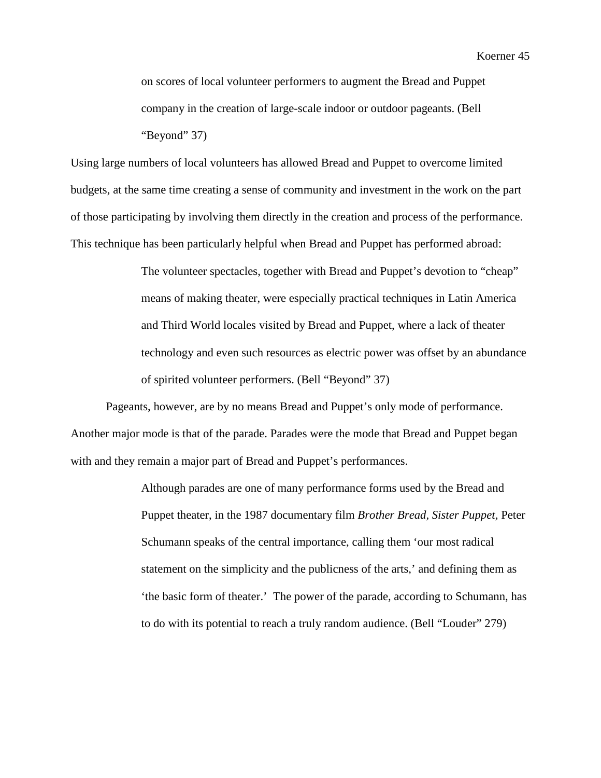on scores of local volunteer performers to augment the Bread and Puppet company in the creation of large-scale indoor or outdoor pageants. (Bell "Beyond" 37)

Using large numbers of local volunteers has allowed Bread and Puppet to overcome limited budgets, at the same time creating a sense of community and investment in the work on the part of those participating by involving them directly in the creation and process of the performance. This technique has been particularly helpful when Bread and Puppet has performed abroad:

> The volunteer spectacles, together with Bread and Puppet's devotion to "cheap" means of making theater, were especially practical techniques in Latin America and Third World locales visited by Bread and Puppet, where a lack of theater technology and even such resources as electric power was offset by an abundance of spirited volunteer performers. (Bell "Beyond" 37)

Pageants, however, are by no means Bread and Puppet's only mode of performance. Another major mode is that of the parade. Parades were the mode that Bread and Puppet began with and they remain a major part of Bread and Puppet's performances.

> Although parades are one of many performance forms used by the Bread and Puppet theater, in the 1987 documentary film *Brother Bread, Sister Puppet,* Peter Schumann speaks of the central importance, calling them 'our most radical statement on the simplicity and the publicness of the arts,' and defining them as 'the basic form of theater.' The power of the parade, according to Schumann, has to do with its potential to reach a truly random audience. (Bell "Louder" 279)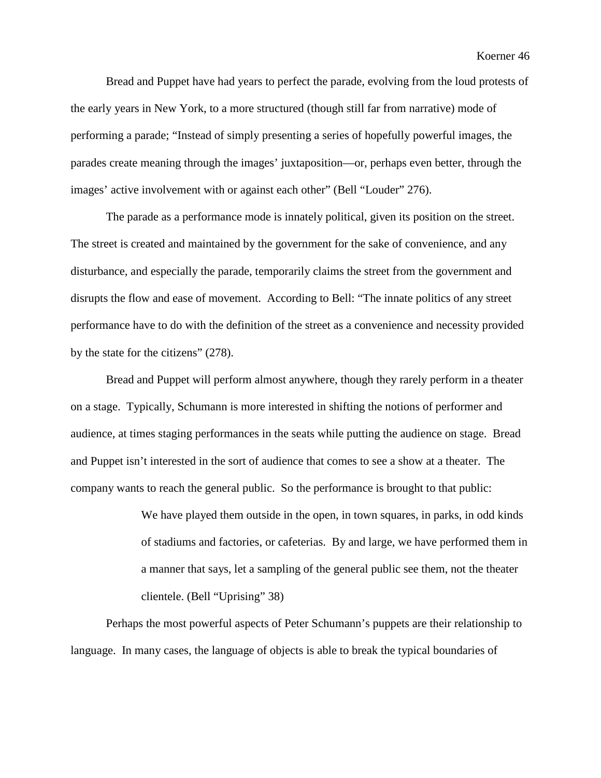Bread and Puppet have had years to perfect the parade, evolving from the loud protests of the early years in New York, to a more structured (though still far from narrative) mode of performing a parade; "Instead of simply presenting a series of hopefully powerful images, the parades create meaning through the images' juxtaposition—or, perhaps even better, through the images' active involvement with or against each other" (Bell "Louder" 276).

The parade as a performance mode is innately political, given its position on the street. The street is created and maintained by the government for the sake of convenience, and any disturbance, and especially the parade, temporarily claims the street from the government and disrupts the flow and ease of movement. According to Bell: "The innate politics of any street performance have to do with the definition of the street as a convenience and necessity provided by the state for the citizens" (278).

Bread and Puppet will perform almost anywhere, though they rarely perform in a theater on a stage. Typically, Schumann is more interested in shifting the notions of performer and audience, at times staging performances in the seats while putting the audience on stage. Bread and Puppet isn't interested in the sort of audience that comes to see a show at a theater. The company wants to reach the general public. So the performance is brought to that public:

> We have played them outside in the open, in town squares, in parks, in odd kinds of stadiums and factories, or cafeterias. By and large, we have performed them in a manner that says, let a sampling of the general public see them, not the theater clientele. (Bell "Uprising" 38)

Perhaps the most powerful aspects of Peter Schumann's puppets are their relationship to language. In many cases, the language of objects is able to break the typical boundaries of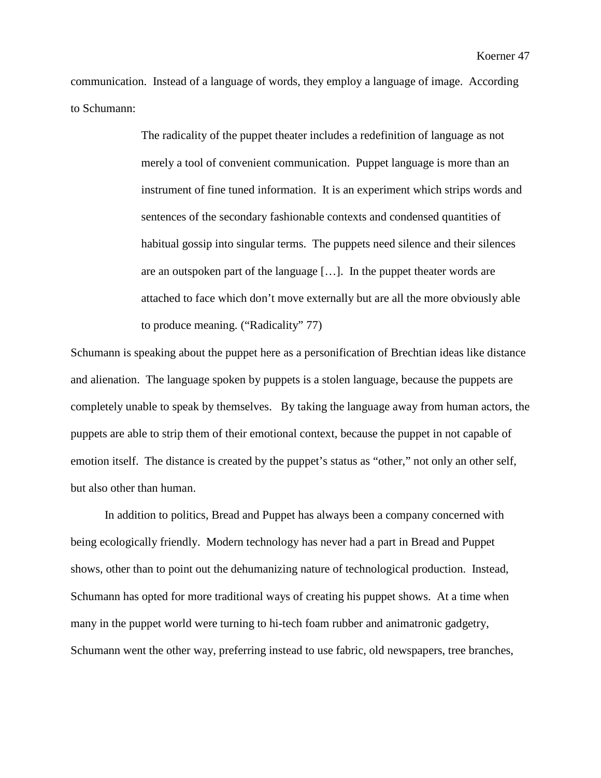communication. Instead of a language of words, they employ a language of image. According to Schumann:

> The radicality of the puppet theater includes a redefinition of language as not merely a tool of convenient communication. Puppet language is more than an instrument of fine tuned information. It is an experiment which strips words and sentences of the secondary fashionable contexts and condensed quantities of habitual gossip into singular terms. The puppets need silence and their silences are an outspoken part of the language […]. In the puppet theater words are attached to face which don't move externally but are all the more obviously able to produce meaning. ("Radicality" 77)

Schumann is speaking about the puppet here as a personification of Brechtian ideas like distance and alienation. The language spoken by puppets is a stolen language, because the puppets are completely unable to speak by themselves. By taking the language away from human actors, the puppets are able to strip them of their emotional context, because the puppet in not capable of emotion itself. The distance is created by the puppet's status as "other," not only an other self, but also other than human.

In addition to politics, Bread and Puppet has always been a company concerned with being ecologically friendly. Modern technology has never had a part in Bread and Puppet shows, other than to point out the dehumanizing nature of technological production. Instead, Schumann has opted for more traditional ways of creating his puppet shows. At a time when many in the puppet world were turning to hi-tech foam rubber and animatronic gadgetry, Schumann went the other way, preferring instead to use fabric, old newspapers, tree branches,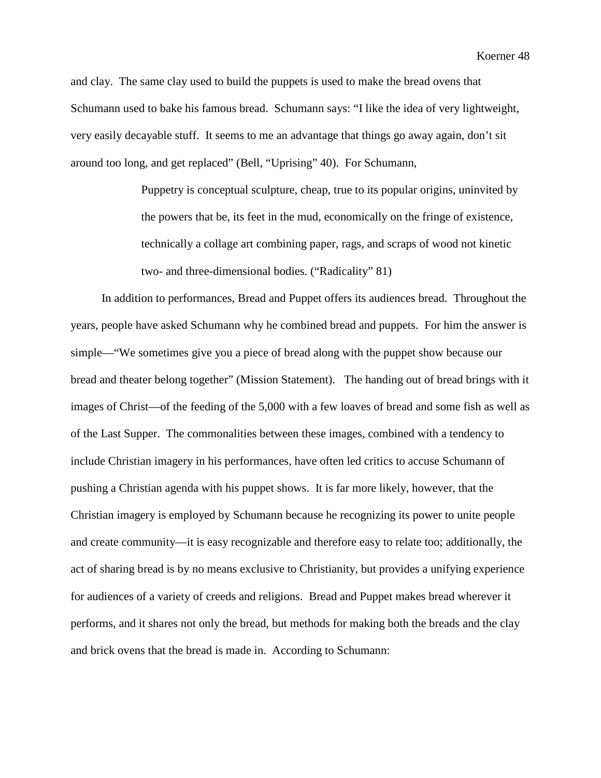Koerner 48

and clay. The same clay used to build the puppets is used to make the bread ovens that Schumann used to bake his famous bread. Schumann says: "I like the idea of very lightweight, very easily decayable stuff. It seems to me an advantage that things go away again, don't sit around too long, and get replaced" (Bell, "Uprising" 40). For Schumann,

> Puppetry is conceptual sculpture, cheap, true to its popular origins, uninvited by the powers that be, its feet in the mud, economically on the fringe of existence, technically a collage art combining paper, rags, and scraps of wood not kinetic two- and three-dimensional bodies. ("Radicality" 81)

In addition to performances, Bread and Puppet offers its audiences bread. Throughout the years, people have asked Schumann why he combined bread and puppets. For him the answer is simple—"We sometimes give you a piece of bread along with the puppet show because our bread and theater belong together" (Mission Statement). The handing out of bread brings with it images of Christ—of the feeding of the 5,000 with a few loaves of bread and some fish as well as of the Last Supper. The commonalities between these images, combined with a tendency to include Christian imagery in his performances, have often led critics to accuse Schumann of pushing a Christian agenda with his puppet shows. It is far more likely, however, that the Christian imagery is employed by Schumann because he recognizing its power to unite people and create community—it is easy recognizable and therefore easy to relate too; additionally, the act of sharing bread is by no means exclusive to Christianity, but provides a unifying experience for audiences of a variety of creeds and religions. Bread and Puppet makes bread wherever it performs, and it shares not only the bread, but methods for making both the breads and the clay and brick ovens that the bread is made in. According to Schumann: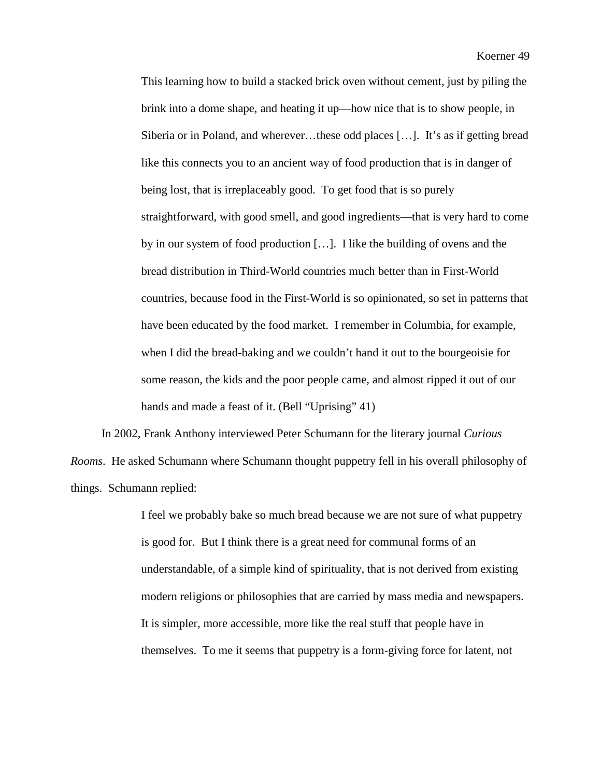This learning how to build a stacked brick oven without cement, just by piling the brink into a dome shape, and heating it up—how nice that is to show people, in Siberia or in Poland, and wherever…these odd places […]. It's as if getting bread like this connects you to an ancient way of food production that is in danger of being lost, that is irreplaceably good. To get food that is so purely straightforward, with good smell, and good ingredients—that is very hard to come by in our system of food production […]. I like the building of ovens and the bread distribution in Third-World countries much better than in First-World countries, because food in the First-World is so opinionated, so set in patterns that have been educated by the food market. I remember in Columbia, for example, when I did the bread-baking and we couldn't hand it out to the bourgeoisie for some reason, the kids and the poor people came, and almost ripped it out of our hands and made a feast of it. (Bell "Uprising" 41)

In 2002, Frank Anthony interviewed Peter Schumann for the literary journal *Curious Rooms*. He asked Schumann where Schumann thought puppetry fell in his overall philosophy of things. Schumann replied:

> I feel we probably bake so much bread because we are not sure of what puppetry is good for. But I think there is a great need for communal forms of an understandable, of a simple kind of spirituality, that is not derived from existing modern religions or philosophies that are carried by mass media and newspapers. It is simpler, more accessible, more like the real stuff that people have in themselves. To me it seems that puppetry is a form-giving force for latent, not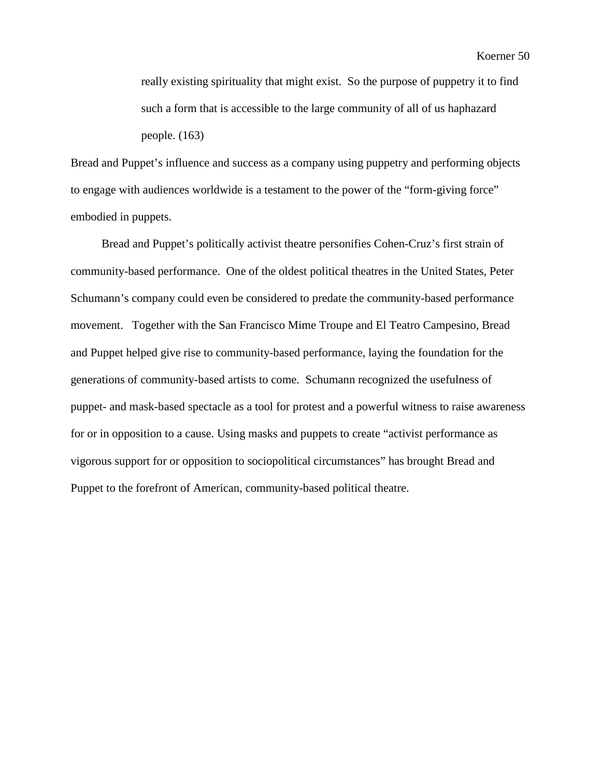really existing spirituality that might exist. So the purpose of puppetry it to find such a form that is accessible to the large community of all of us haphazard people. (163)

Bread and Puppet's influence and success as a company using puppetry and performing objects to engage with audiences worldwide is a testament to the power of the "form-giving force" embodied in puppets.

Bread and Puppet's politically activist theatre personifies Cohen-Cruz's first strain of community-based performance. One of the oldest political theatres in the United States, Peter Schumann's company could even be considered to predate the community-based performance movement. Together with the San Francisco Mime Troupe and El Teatro Campesino, Bread and Puppet helped give rise to community-based performance, laying the foundation for the generations of community-based artists to come. Schumann recognized the usefulness of puppet- and mask-based spectacle as a tool for protest and a powerful witness to raise awareness for or in opposition to a cause. Using masks and puppets to create "activist performance as vigorous support for or opposition to sociopolitical circumstances" has brought Bread and Puppet to the forefront of American, community-based political theatre.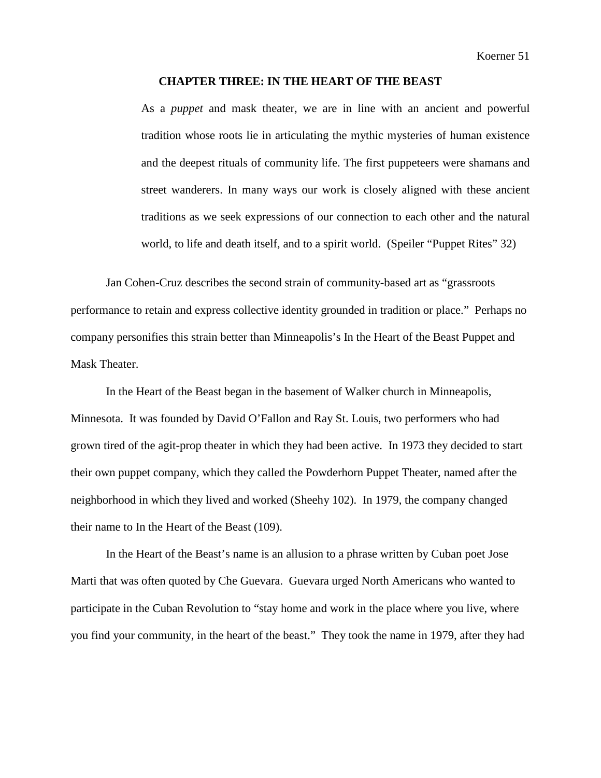## **CHAPTER THREE: IN THE HEART OF THE BEAST**

As a *puppet* and mask theater, we are in line with an ancient and powerful tradition whose roots lie in articulating the mythic mysteries of human existence and the deepest rituals of community life. The first puppeteers were shamans and street wanderers. In many ways our work is closely aligned with these ancient traditions as we seek expressions of our connection to each other and the natural world, to life and death itself, and to a spirit world. (Speiler "Puppet Rites" 32)

Jan Cohen-Cruz describes the second strain of community-based art as "grassroots performance to retain and express collective identity grounded in tradition or place." Perhaps no company personifies this strain better than Minneapolis's In the Heart of the Beast Puppet and Mask Theater.

In the Heart of the Beast began in the basement of Walker church in Minneapolis, Minnesota. It was founded by David O'Fallon and Ray St. Louis, two performers who had grown tired of the agit-prop theater in which they had been active. In 1973 they decided to start their own puppet company, which they called the Powderhorn Puppet Theater, named after the neighborhood in which they lived and worked (Sheehy 102). In 1979, the company changed their name to In the Heart of the Beast (109).

In the Heart of the Beast's name is an allusion to a phrase written by Cuban poet Jose Marti that was often quoted by Che Guevara. Guevara urged North Americans who wanted to participate in the Cuban Revolution to "stay home and work in the place where you live, where you find your community, in the heart of the beast." They took the name in 1979, after they had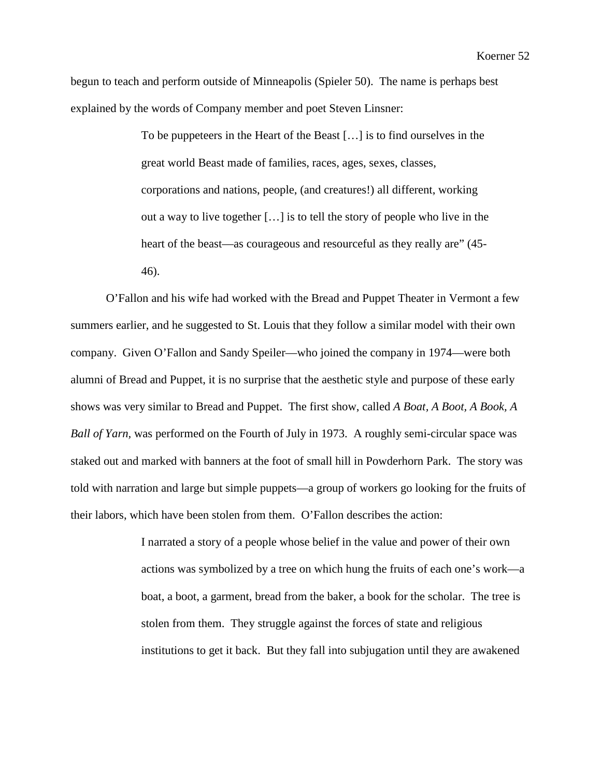begun to teach and perform outside of Minneapolis (Spieler 50). The name is perhaps best explained by the words of Company member and poet Steven Linsner:

> To be puppeteers in the Heart of the Beast […] is to find ourselves in the great world Beast made of families, races, ages, sexes, classes, corporations and nations, people, (and creatures!) all different, working out a way to live together […] is to tell the story of people who live in the heart of the beast—as courageous and resourceful as they really are" (45- 46).

O'Fallon and his wife had worked with the Bread and Puppet Theater in Vermont a few summers earlier, and he suggested to St. Louis that they follow a similar model with their own company. Given O'Fallon and Sandy Speiler—who joined the company in 1974—were both alumni of Bread and Puppet, it is no surprise that the aesthetic style and purpose of these early shows was very similar to Bread and Puppet. The first show, called *A Boat, A Boot, A Book, A Ball of Yarn*, was performed on the Fourth of July in 1973. A roughly semi-circular space was staked out and marked with banners at the foot of small hill in Powderhorn Park. The story was told with narration and large but simple puppets—a group of workers go looking for the fruits of their labors, which have been stolen from them. O'Fallon describes the action:

> I narrated a story of a people whose belief in the value and power of their own actions was symbolized by a tree on which hung the fruits of each one's work—a boat, a boot, a garment, bread from the baker, a book for the scholar. The tree is stolen from them. They struggle against the forces of state and religious institutions to get it back. But they fall into subjugation until they are awakened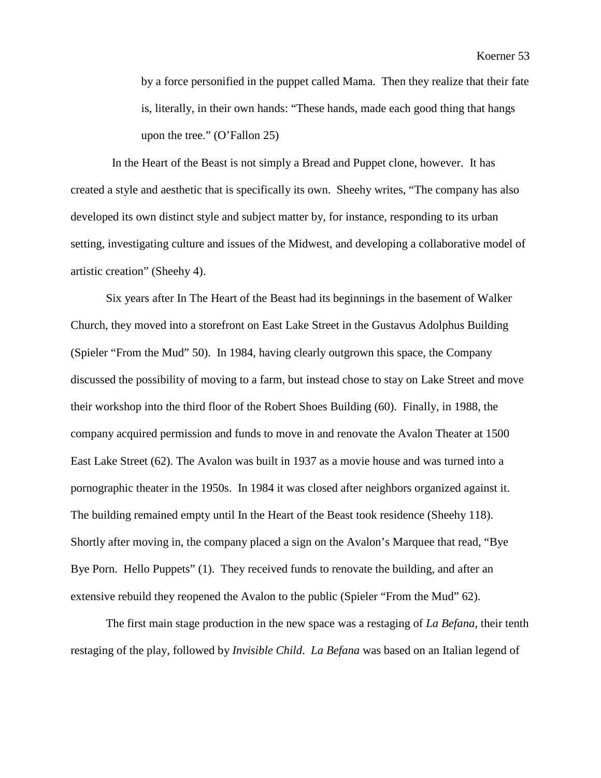by a force personified in the puppet called Mama. Then they realize that their fate is, literally, in their own hands: "These hands, made each good thing that hangs upon the tree." (O'Fallon 25)

 In the Heart of the Beast is not simply a Bread and Puppet clone, however. It has created a style and aesthetic that is specifically its own. Sheehy writes, "The company has also developed its own distinct style and subject matter by, for instance, responding to its urban setting, investigating culture and issues of the Midwest, and developing a collaborative model of artistic creation" (Sheehy 4).

Six years after In The Heart of the Beast had its beginnings in the basement of Walker Church, they moved into a storefront on East Lake Street in the Gustavus Adolphus Building (Spieler "From the Mud" 50). In 1984, having clearly outgrown this space, the Company discussed the possibility of moving to a farm, but instead chose to stay on Lake Street and move their workshop into the third floor of the Robert Shoes Building (60). Finally, in 1988, the company acquired permission and funds to move in and renovate the Avalon Theater at 1500 East Lake Street (62). The Avalon was built in 1937 as a movie house and was turned into a pornographic theater in the 1950s. In 1984 it was closed after neighbors organized against it. The building remained empty until In the Heart of the Beast took residence (Sheehy 118). Shortly after moving in, the company placed a sign on the Avalon's Marquee that read, "Bye Bye Porn. Hello Puppets" (1). They received funds to renovate the building, and after an extensive rebuild they reopened the Avalon to the public (Spieler "From the Mud" 62).

The first main stage production in the new space was a restaging of *La Befana,* their tenth restaging of the play, followed by *Invisible Child*. *La Befana* was based on an Italian legend of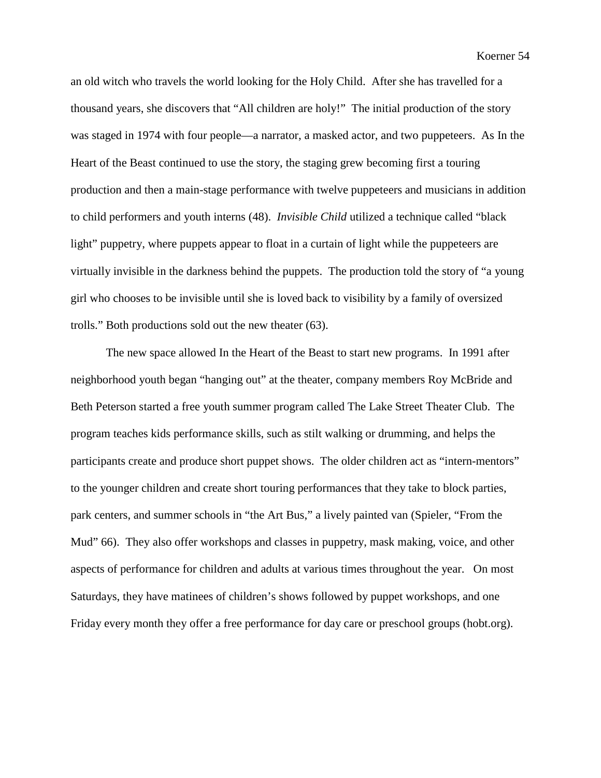Koerner 54

an old witch who travels the world looking for the Holy Child. After she has travelled for a thousand years, she discovers that "All children are holy!" The initial production of the story was staged in 1974 with four people—a narrator, a masked actor, and two puppeteers. As In the Heart of the Beast continued to use the story, the staging grew becoming first a touring production and then a main-stage performance with twelve puppeteers and musicians in addition to child performers and youth interns (48). *Invisible Child* utilized a technique called "black light" puppetry, where puppets appear to float in a curtain of light while the puppeteers are virtually invisible in the darkness behind the puppets. The production told the story of "a young girl who chooses to be invisible until she is loved back to visibility by a family of oversized trolls." Both productions sold out the new theater (63).

The new space allowed In the Heart of the Beast to start new programs. In 1991 after neighborhood youth began "hanging out" at the theater, company members Roy McBride and Beth Peterson started a free youth summer program called The Lake Street Theater Club. The program teaches kids performance skills, such as stilt walking or drumming, and helps the participants create and produce short puppet shows. The older children act as "intern-mentors" to the younger children and create short touring performances that they take to block parties, park centers, and summer schools in "the Art Bus," a lively painted van (Spieler, "From the Mud" 66). They also offer workshops and classes in puppetry, mask making, voice, and other aspects of performance for children and adults at various times throughout the year. On most Saturdays, they have matinees of children's shows followed by puppet workshops, and one Friday every month they offer a free performance for day care or preschool groups (hobt.org).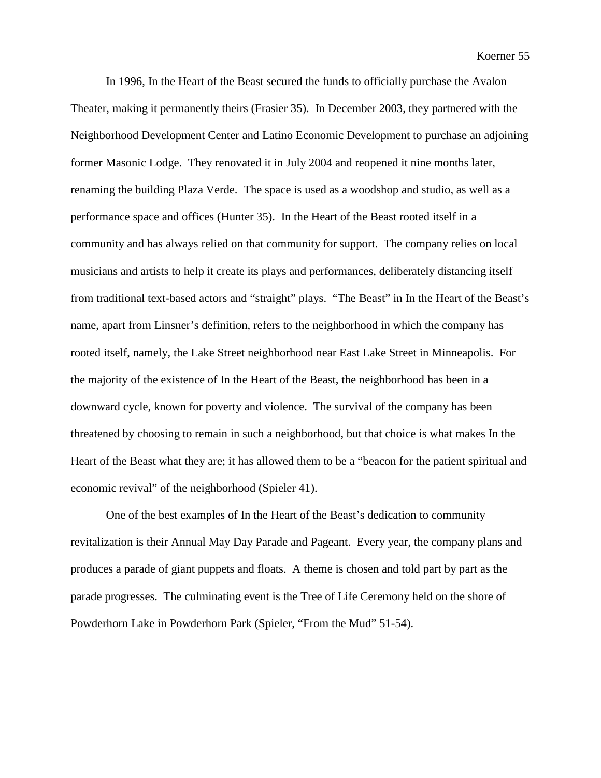In 1996, In the Heart of the Beast secured the funds to officially purchase the Avalon Theater, making it permanently theirs (Frasier 35). In December 2003, they partnered with the Neighborhood Development Center and Latino Economic Development to purchase an adjoining former Masonic Lodge. They renovated it in July 2004 and reopened it nine months later, renaming the building Plaza Verde. The space is used as a woodshop and studio, as well as a performance space and offices (Hunter 35). In the Heart of the Beast rooted itself in a community and has always relied on that community for support. The company relies on local musicians and artists to help it create its plays and performances, deliberately distancing itself from traditional text-based actors and "straight" plays. "The Beast" in In the Heart of the Beast's name, apart from Linsner's definition, refers to the neighborhood in which the company has rooted itself, namely, the Lake Street neighborhood near East Lake Street in Minneapolis. For the majority of the existence of In the Heart of the Beast, the neighborhood has been in a downward cycle, known for poverty and violence. The survival of the company has been threatened by choosing to remain in such a neighborhood, but that choice is what makes In the Heart of the Beast what they are; it has allowed them to be a "beacon for the patient spiritual and economic revival" of the neighborhood (Spieler 41).

One of the best examples of In the Heart of the Beast's dedication to community revitalization is their Annual May Day Parade and Pageant. Every year, the company plans and produces a parade of giant puppets and floats. A theme is chosen and told part by part as the parade progresses. The culminating event is the Tree of Life Ceremony held on the shore of Powderhorn Lake in Powderhorn Park (Spieler, "From the Mud" 51-54).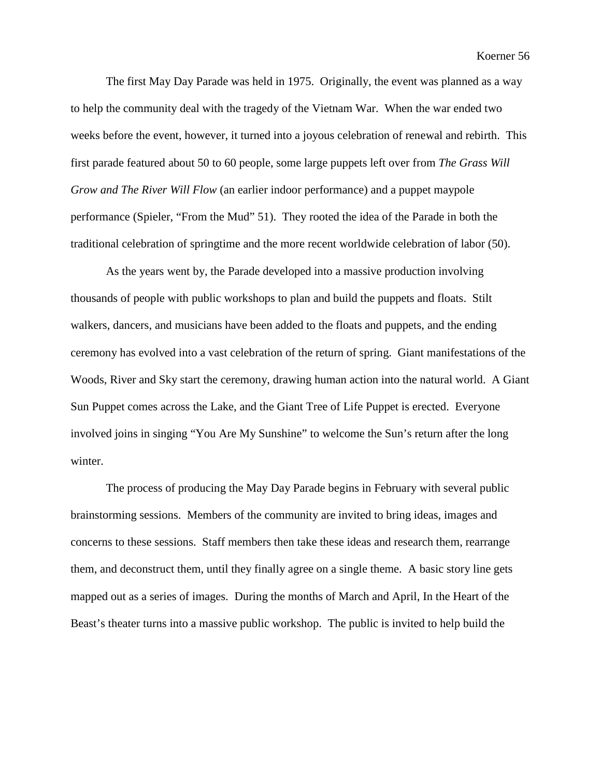The first May Day Parade was held in 1975. Originally, the event was planned as a way to help the community deal with the tragedy of the Vietnam War. When the war ended two weeks before the event, however, it turned into a joyous celebration of renewal and rebirth. This first parade featured about 50 to 60 people, some large puppets left over from *The Grass Will Grow and The River Will Flow* (an earlier indoor performance) and a puppet maypole performance (Spieler, "From the Mud" 51). They rooted the idea of the Parade in both the traditional celebration of springtime and the more recent worldwide celebration of labor (50).

As the years went by, the Parade developed into a massive production involving thousands of people with public workshops to plan and build the puppets and floats. Stilt walkers, dancers, and musicians have been added to the floats and puppets, and the ending ceremony has evolved into a vast celebration of the return of spring. Giant manifestations of the Woods, River and Sky start the ceremony, drawing human action into the natural world. A Giant Sun Puppet comes across the Lake, and the Giant Tree of Life Puppet is erected. Everyone involved joins in singing "You Are My Sunshine" to welcome the Sun's return after the long winter.

The process of producing the May Day Parade begins in February with several public brainstorming sessions. Members of the community are invited to bring ideas, images and concerns to these sessions. Staff members then take these ideas and research them, rearrange them, and deconstruct them, until they finally agree on a single theme. A basic story line gets mapped out as a series of images. During the months of March and April, In the Heart of the Beast's theater turns into a massive public workshop. The public is invited to help build the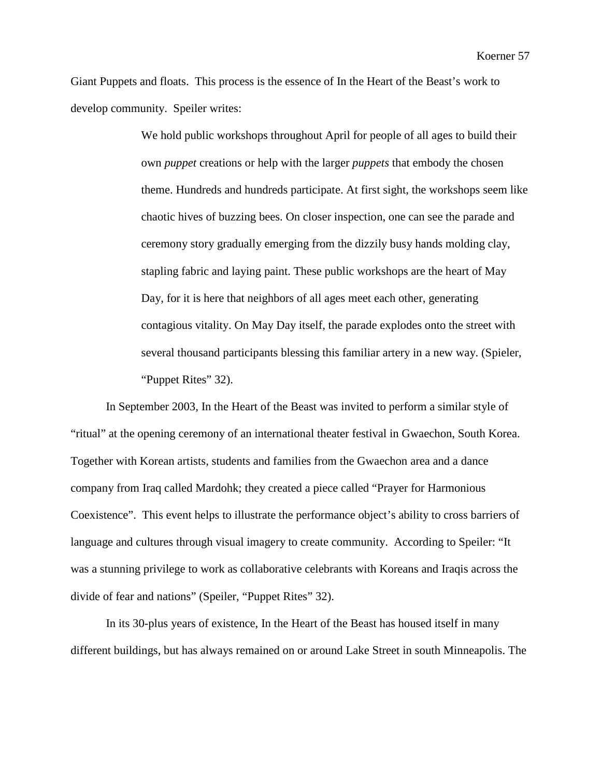Giant Puppets and floats. This process is the essence of In the Heart of the Beast's work to develop community. Speiler writes:

> We hold public workshops throughout April for people of all ages to build their own *puppet* creations or help with the larger *puppets* that embody the chosen theme. Hundreds and hundreds participate. At first sight, the workshops seem like chaotic hives of buzzing bees. On closer inspection, one can see the parade and ceremony story gradually emerging from the dizzily busy hands molding clay, stapling fabric and laying paint. These public workshops are the heart of May Day, for it is here that neighbors of all ages meet each other, generating contagious vitality. On May Day itself, the parade explodes onto the street with several thousand participants blessing this familiar artery in a new way. (Spieler, "Puppet Rites" 32).

In September 2003, In the Heart of the Beast was invited to perform a similar style of "ritual" at the opening ceremony of an international theater festival in Gwaechon, South Korea. Together with Korean artists, students and families from the Gwaechon area and a dance company from Iraq called Mardohk; they created a piece called "Prayer for Harmonious Coexistence". This event helps to illustrate the performance object's ability to cross barriers of language and cultures through visual imagery to create community. According to Speiler: "It was a stunning privilege to work as collaborative celebrants with Koreans and Iraqis across the divide of fear and nations" (Speiler, "Puppet Rites" 32).

In its 30-plus years of existence, In the Heart of the Beast has housed itself in many different buildings, but has always remained on or around Lake Street in south Minneapolis. The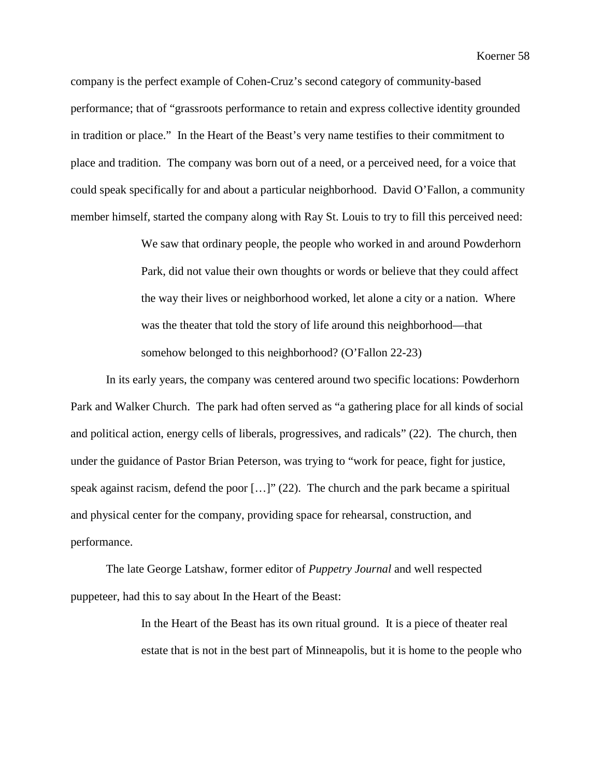Koerner 58

company is the perfect example of Cohen-Cruz's second category of community-based performance; that of "grassroots performance to retain and express collective identity grounded in tradition or place." In the Heart of the Beast's very name testifies to their commitment to place and tradition. The company was born out of a need, or a perceived need, for a voice that could speak specifically for and about a particular neighborhood. David O'Fallon, a community member himself, started the company along with Ray St. Louis to try to fill this perceived need:

> We saw that ordinary people, the people who worked in and around Powderhorn Park, did not value their own thoughts or words or believe that they could affect the way their lives or neighborhood worked, let alone a city or a nation. Where was the theater that told the story of life around this neighborhood—that somehow belonged to this neighborhood? (O'Fallon 22-23)

In its early years, the company was centered around two specific locations: Powderhorn Park and Walker Church. The park had often served as "a gathering place for all kinds of social and political action, energy cells of liberals, progressives, and radicals" (22). The church, then under the guidance of Pastor Brian Peterson, was trying to "work for peace, fight for justice, speak against racism, defend the poor [...]" (22). The church and the park became a spiritual and physical center for the company, providing space for rehearsal, construction, and performance.

The late George Latshaw, former editor of *Puppetry Journal* and well respected puppeteer, had this to say about In the Heart of the Beast:

> In the Heart of the Beast has its own ritual ground. It is a piece of theater real estate that is not in the best part of Minneapolis, but it is home to the people who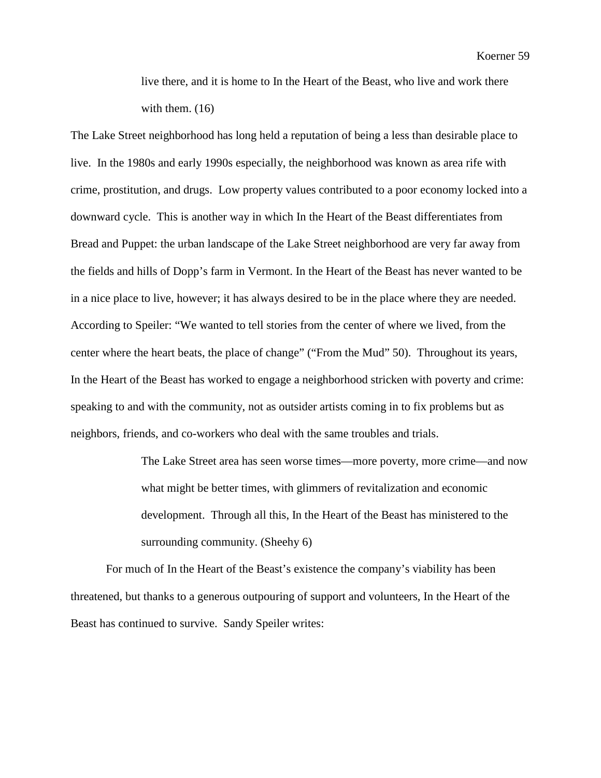live there, and it is home to In the Heart of the Beast, who live and work there with them.  $(16)$ 

The Lake Street neighborhood has long held a reputation of being a less than desirable place to live. In the 1980s and early 1990s especially, the neighborhood was known as area rife with crime, prostitution, and drugs. Low property values contributed to a poor economy locked into a downward cycle. This is another way in which In the Heart of the Beast differentiates from Bread and Puppet: the urban landscape of the Lake Street neighborhood are very far away from the fields and hills of Dopp's farm in Vermont. In the Heart of the Beast has never wanted to be in a nice place to live, however; it has always desired to be in the place where they are needed. According to Speiler: "We wanted to tell stories from the center of where we lived, from the center where the heart beats, the place of change" ("From the Mud" 50). Throughout its years, In the Heart of the Beast has worked to engage a neighborhood stricken with poverty and crime: speaking to and with the community, not as outsider artists coming in to fix problems but as neighbors, friends, and co-workers who deal with the same troubles and trials.

> The Lake Street area has seen worse times—more poverty, more crime—and now what might be better times, with glimmers of revitalization and economic development. Through all this, In the Heart of the Beast has ministered to the surrounding community. (Sheehy 6)

For much of In the Heart of the Beast's existence the company's viability has been threatened, but thanks to a generous outpouring of support and volunteers, In the Heart of the Beast has continued to survive. Sandy Speiler writes: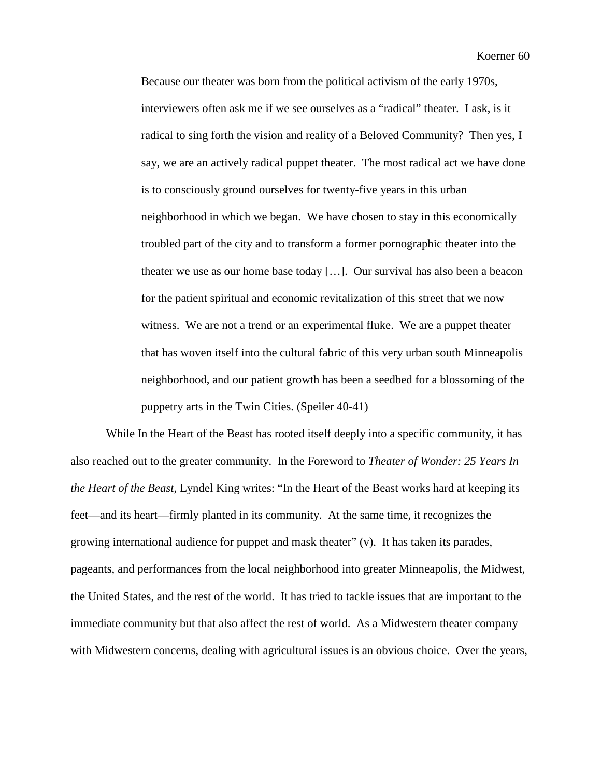Because our theater was born from the political activism of the early 1970s, interviewers often ask me if we see ourselves as a "radical" theater. I ask, is it radical to sing forth the vision and reality of a Beloved Community? Then yes, I say, we are an actively radical puppet theater. The most radical act we have done is to consciously ground ourselves for twenty-five years in this urban neighborhood in which we began. We have chosen to stay in this economically troubled part of the city and to transform a former pornographic theater into the theater we use as our home base today […]. Our survival has also been a beacon for the patient spiritual and economic revitalization of this street that we now witness. We are not a trend or an experimental fluke. We are a puppet theater that has woven itself into the cultural fabric of this very urban south Minneapolis neighborhood, and our patient growth has been a seedbed for a blossoming of the puppetry arts in the Twin Cities. (Speiler 40-41)

While In the Heart of the Beast has rooted itself deeply into a specific community, it has also reached out to the greater community. In the Foreword to *Theater of Wonder: 25 Years In the Heart of the Beast*, Lyndel King writes: "In the Heart of the Beast works hard at keeping its feet—and its heart—firmly planted in its community. At the same time, it recognizes the growing international audience for puppet and mask theater" (v). It has taken its parades, pageants, and performances from the local neighborhood into greater Minneapolis, the Midwest, the United States, and the rest of the world. It has tried to tackle issues that are important to the immediate community but that also affect the rest of world. As a Midwestern theater company with Midwestern concerns, dealing with agricultural issues is an obvious choice. Over the years,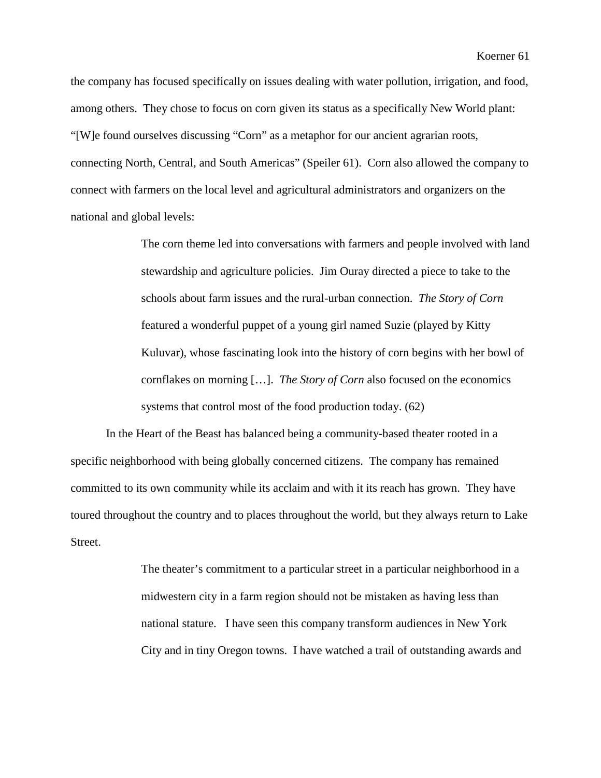the company has focused specifically on issues dealing with water pollution, irrigation, and food, among others. They chose to focus on corn given its status as a specifically New World plant: "[W]e found ourselves discussing "Corn" as a metaphor for our ancient agrarian roots, connecting North, Central, and South Americas" (Speiler 61). Corn also allowed the company to connect with farmers on the local level and agricultural administrators and organizers on the national and global levels:

> The corn theme led into conversations with farmers and people involved with land stewardship and agriculture policies. Jim Ouray directed a piece to take to the schools about farm issues and the rural-urban connection. *The Story of Corn* featured a wonderful puppet of a young girl named Suzie (played by Kitty Kuluvar), whose fascinating look into the history of corn begins with her bowl of cornflakes on morning […]. *The Story of Corn* also focused on the economics systems that control most of the food production today. (62)

In the Heart of the Beast has balanced being a community-based theater rooted in a specific neighborhood with being globally concerned citizens. The company has remained committed to its own community while its acclaim and with it its reach has grown. They have toured throughout the country and to places throughout the world, but they always return to Lake Street.

> The theater's commitment to a particular street in a particular neighborhood in a midwestern city in a farm region should not be mistaken as having less than national stature. I have seen this company transform audiences in New York City and in tiny Oregon towns. I have watched a trail of outstanding awards and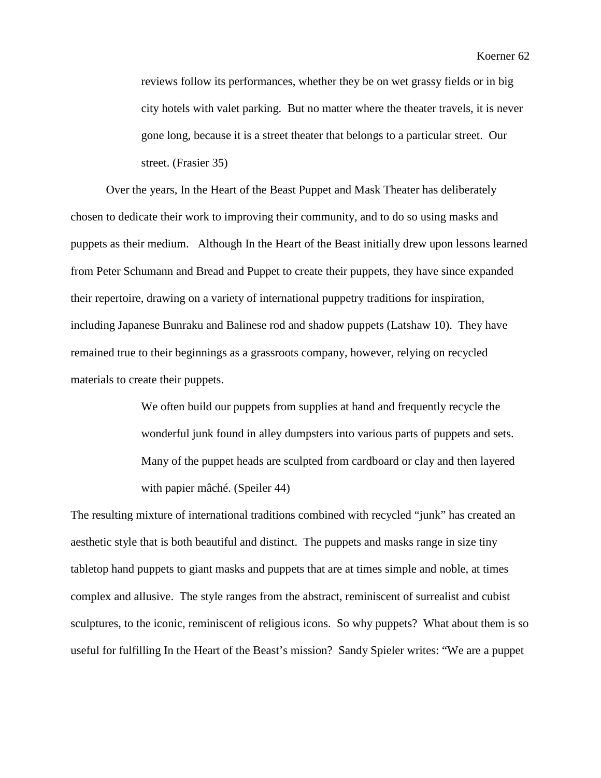reviews follow its performances, whether they be on wet grassy fields or in big city hotels with valet parking. But no matter where the theater travels, it is never gone long, because it is a street theater that belongs to a particular street. Our street. (Frasier 35)

Over the years, In the Heart of the Beast Puppet and Mask Theater has deliberately chosen to dedicate their work to improving their community, and to do so using masks and puppets as their medium. Although In the Heart of the Beast initially drew upon lessons learned from Peter Schumann and Bread and Puppet to create their puppets, they have since expanded their repertoire, drawing on a variety of international puppetry traditions for inspiration, including Japanese Bunraku and Balinese rod and shadow puppets (Latshaw 10). They have remained true to their beginnings as a grassroots company, however, relying on recycled materials to create their puppets.

> We often build our puppets from supplies at hand and frequently recycle the wonderful junk found in alley dumpsters into various parts of puppets and sets. Many of the puppet heads are sculpted from cardboard or clay and then layered with papier mâché. (Speiler 44)

The resulting mixture of international traditions combined with recycled "junk" has created an aesthetic style that is both beautiful and distinct. The puppets and masks range in size tiny tabletop hand puppets to giant masks and puppets that are at times simple and noble, at times complex and allusive. The style ranges from the abstract, reminiscent of surrealist and cubist sculptures, to the iconic, reminiscent of religious icons. So why puppets? What about them is so useful for fulfilling In the Heart of the Beast's mission? Sandy Spieler writes: "We are a puppet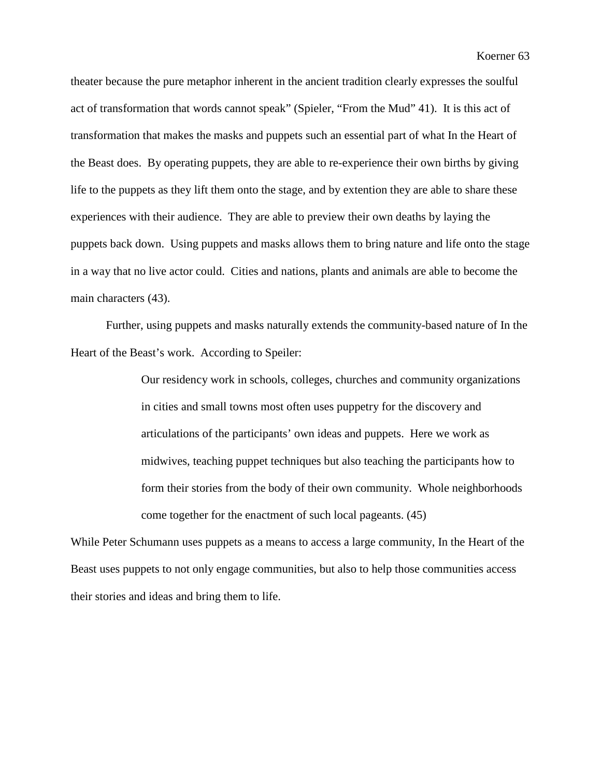theater because the pure metaphor inherent in the ancient tradition clearly expresses the soulful act of transformation that words cannot speak" (Spieler, "From the Mud" 41). It is this act of transformation that makes the masks and puppets such an essential part of what In the Heart of the Beast does. By operating puppets, they are able to re-experience their own births by giving life to the puppets as they lift them onto the stage, and by extention they are able to share these experiences with their audience. They are able to preview their own deaths by laying the puppets back down. Using puppets and masks allows them to bring nature and life onto the stage in a way that no live actor could. Cities and nations, plants and animals are able to become the main characters (43).

Further, using puppets and masks naturally extends the community-based nature of In the Heart of the Beast's work. According to Speiler:

> Our residency work in schools, colleges, churches and community organizations in cities and small towns most often uses puppetry for the discovery and articulations of the participants' own ideas and puppets. Here we work as midwives, teaching puppet techniques but also teaching the participants how to form their stories from the body of their own community. Whole neighborhoods come together for the enactment of such local pageants. (45)

While Peter Schumann uses puppets as a means to access a large community, In the Heart of the Beast uses puppets to not only engage communities, but also to help those communities access their stories and ideas and bring them to life.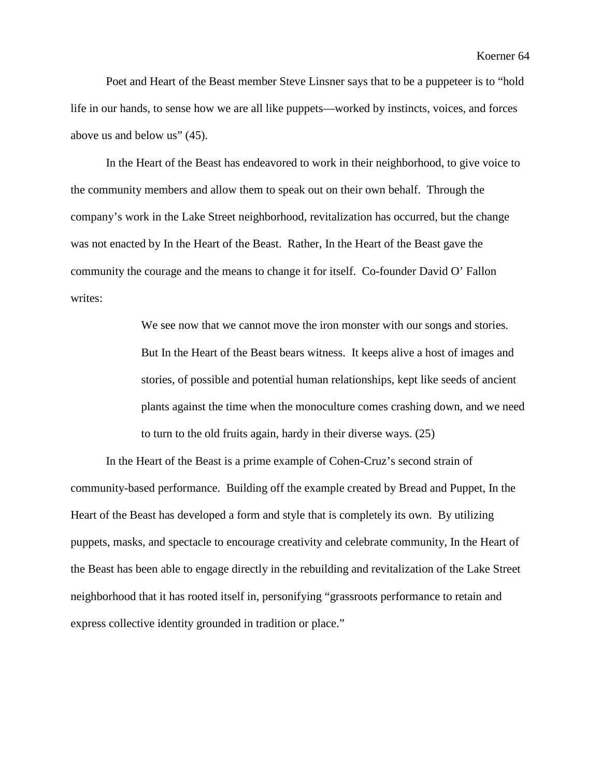Poet and Heart of the Beast member Steve Linsner says that to be a puppeteer is to "hold life in our hands, to sense how we are all like puppets—worked by instincts, voices, and forces above us and below us" (45).

In the Heart of the Beast has endeavored to work in their neighborhood, to give voice to the community members and allow them to speak out on their own behalf. Through the company's work in the Lake Street neighborhood, revitalization has occurred, but the change was not enacted by In the Heart of the Beast. Rather, In the Heart of the Beast gave the community the courage and the means to change it for itself. Co-founder David O' Fallon writes:

> We see now that we cannot move the iron monster with our songs and stories. But In the Heart of the Beast bears witness. It keeps alive a host of images and stories, of possible and potential human relationships, kept like seeds of ancient plants against the time when the monoculture comes crashing down, and we need to turn to the old fruits again, hardy in their diverse ways. (25)

In the Heart of the Beast is a prime example of Cohen-Cruz's second strain of community-based performance. Building off the example created by Bread and Puppet, In the Heart of the Beast has developed a form and style that is completely its own. By utilizing puppets, masks, and spectacle to encourage creativity and celebrate community, In the Heart of the Beast has been able to engage directly in the rebuilding and revitalization of the Lake Street neighborhood that it has rooted itself in, personifying "grassroots performance to retain and express collective identity grounded in tradition or place."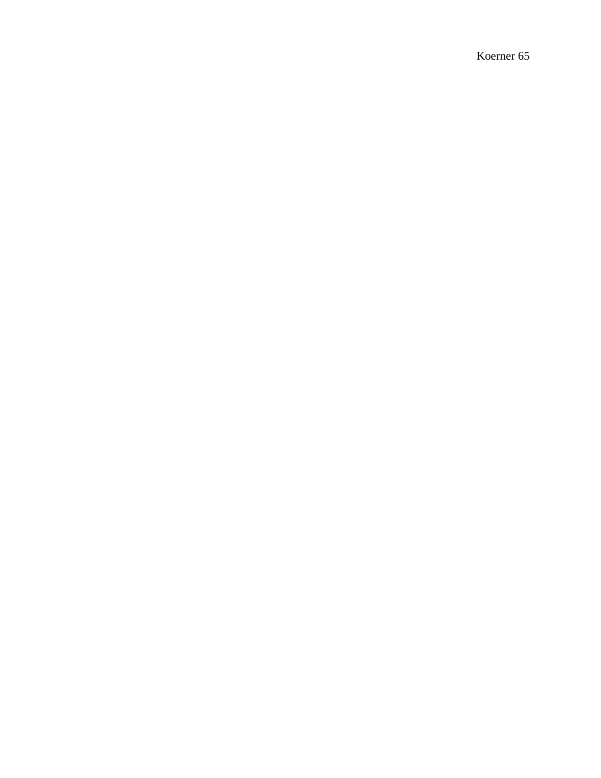Koerner 65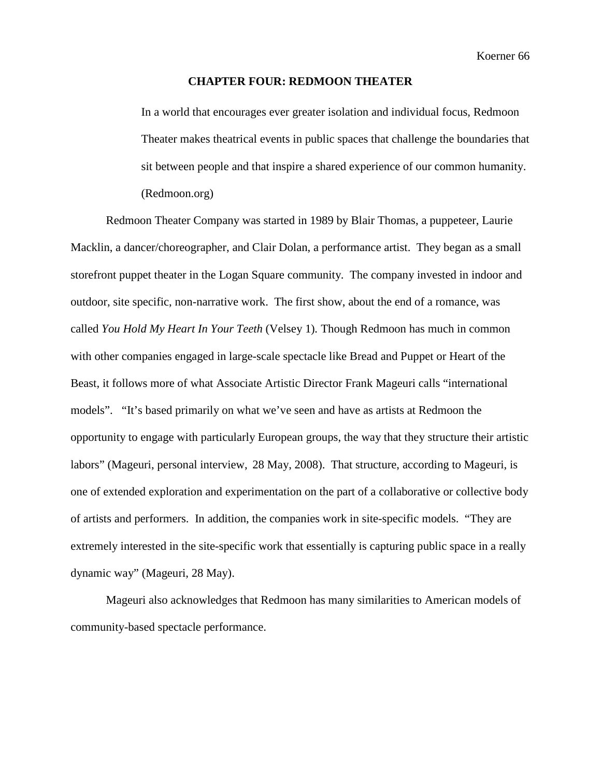## **CHAPTER FOUR: REDMOON THEATER**

In a world that encourages ever greater isolation and individual focus, Redmoon Theater makes theatrical events in public spaces that challenge the boundaries that sit between people and that inspire a shared experience of our common humanity. (Redmoon.org)

Redmoon Theater Company was started in 1989 by Blair Thomas, a puppeteer, Laurie Macklin, a dancer/choreographer, and Clair Dolan, a performance artist. They began as a small storefront puppet theater in the Logan Square community. The company invested in indoor and outdoor, site specific, non-narrative work. The first show, about the end of a romance, was called *You Hold My Heart In Your Teeth* (Velsey 1)*.* Though Redmoon has much in common with other companies engaged in large-scale spectacle like Bread and Puppet or Heart of the Beast, it follows more of what Associate Artistic Director Frank Mageuri calls "international models". "It's based primarily on what we've seen and have as artists at Redmoon the opportunity to engage with particularly European groups, the way that they structure their artistic labors" (Mageuri, personal interview, 28 May, 2008). That structure, according to Mageuri, is one of extended exploration and experimentation on the part of a collaborative or collective body of artists and performers. In addition, the companies work in site-specific models. "They are extremely interested in the site-specific work that essentially is capturing public space in a really dynamic way" (Mageuri, 28 May).

Mageuri also acknowledges that Redmoon has many similarities to American models of community-based spectacle performance.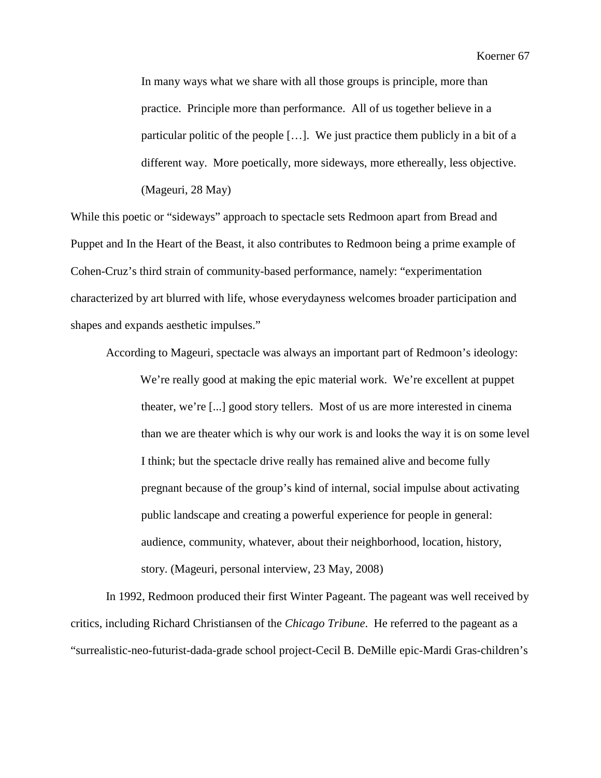In many ways what we share with all those groups is principle, more than practice. Principle more than performance. All of us together believe in a particular politic of the people […]. We just practice them publicly in a bit of a different way. More poetically, more sideways, more ethereally, less objective. (Mageuri, 28 May)

While this poetic or "sideways" approach to spectacle sets Redmoon apart from Bread and Puppet and In the Heart of the Beast, it also contributes to Redmoon being a prime example of Cohen-Cruz's third strain of community-based performance, namely: "experimentation characterized by art blurred with life, whose everydayness welcomes broader participation and shapes and expands aesthetic impulses."

According to Mageuri, spectacle was always an important part of Redmoon's ideology: We're really good at making the epic material work. We're excellent at puppet theater, we're [...] good story tellers. Most of us are more interested in cinema than we are theater which is why our work is and looks the way it is on some level I think; but the spectacle drive really has remained alive and become fully pregnant because of the group's kind of internal, social impulse about activating public landscape and creating a powerful experience for people in general: audience, community, whatever, about their neighborhood, location, history, story. (Mageuri, personal interview, 23 May, 2008)

In 1992, Redmoon produced their first Winter Pageant. The pageant was well received by critics, including Richard Christiansen of the *Chicago Tribune*. He referred to the pageant as a "surrealistic-neo-futurist-dada-grade school project-Cecil B. DeMille epic-Mardi Gras-children's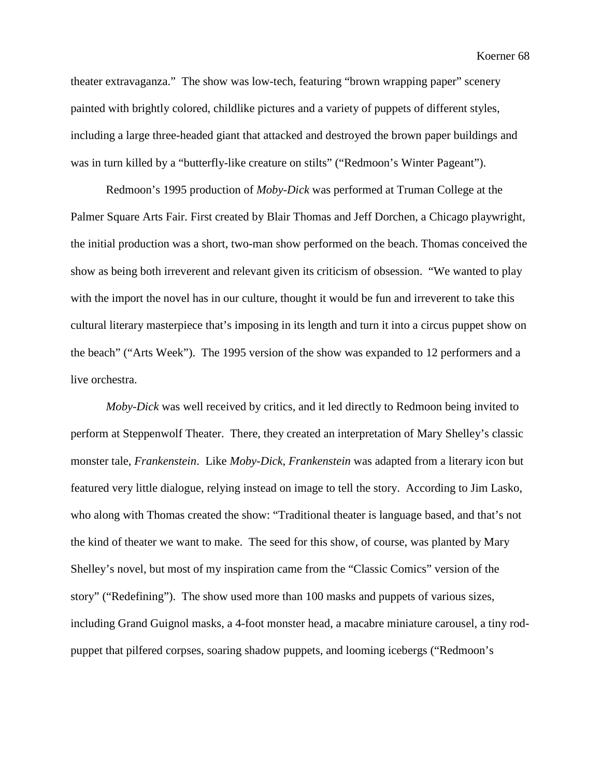theater extravaganza." The show was low-tech, featuring "brown wrapping paper" scenery painted with brightly colored, childlike pictures and a variety of puppets of different styles, including a large three-headed giant that attacked and destroyed the brown paper buildings and was in turn killed by a "butterfly-like creature on stilts" ("Redmoon's Winter Pageant").

Redmoon's 1995 production of *Moby-Dick* was performed at Truman College at the Palmer Square Arts Fair. First created by Blair Thomas and Jeff Dorchen, a Chicago playwright, the initial production was a short, two-man show performed on the beach. Thomas conceived the show as being both irreverent and relevant given its criticism of obsession. "We wanted to play with the import the novel has in our culture, thought it would be fun and irreverent to take this cultural literary masterpiece that's imposing in its length and turn it into a circus puppet show on the beach" ("Arts Week"). The 1995 version of the show was expanded to 12 performers and a live orchestra.

*Moby-Dick* was well received by critics, and it led directly to Redmoon being invited to perform at Steppenwolf Theater. There, they created an interpretation of Mary Shelley's classic monster tale, *Frankenstein*. Like *Moby-Dick*, *Frankenstein* was adapted from a literary icon but featured very little dialogue, relying instead on image to tell the story. According to Jim Lasko, who along with Thomas created the show: "Traditional theater is language based, and that's not the kind of theater we want to make. The seed for this show, of course, was planted by Mary Shelley's novel, but most of my inspiration came from the "Classic Comics" version of the story" ("Redefining"). The show used more than 100 masks and puppets of various sizes, including Grand Guignol masks, a 4-foot monster head, a macabre miniature carousel, a tiny rodpuppet that pilfered corpses, soaring shadow puppets, and looming icebergs ("Redmoon's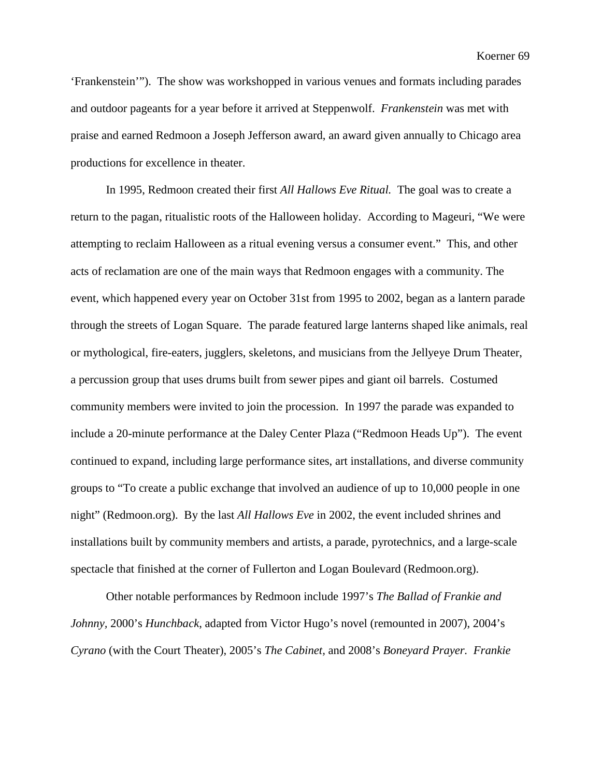'Frankenstein'"). The show was workshopped in various venues and formats including parades and outdoor pageants for a year before it arrived at Steppenwolf. *Frankenstein* was met with praise and earned Redmoon a Joseph Jefferson award, an award given annually to Chicago area productions for excellence in theater.

In 1995, Redmoon created their first *All Hallows Eve Ritual.* The goal was to create a return to the pagan, ritualistic roots of the Halloween holiday. According to Mageuri, "We were attempting to reclaim Halloween as a ritual evening versus a consumer event." This, and other acts of reclamation are one of the main ways that Redmoon engages with a community. The event, which happened every year on October 31st from 1995 to 2002, began as a lantern parade through the streets of Logan Square. The parade featured large lanterns shaped like animals, real or mythological, fire-eaters, jugglers, skeletons, and musicians from the Jellyeye Drum Theater, a percussion group that uses drums built from sewer pipes and giant oil barrels. Costumed community members were invited to join the procession. In 1997 the parade was expanded to include a 20-minute performance at the Daley Center Plaza ("Redmoon Heads Up"). The event continued to expand, including large performance sites, art installations, and diverse community groups to "To create a public exchange that involved an audience of up to 10,000 people in one night" (Redmoon.org). By the last *All Hallows Eve* in 2002, the event included shrines and installations built by community members and artists, a parade, pyrotechnics, and a large-scale spectacle that finished at the corner of Fullerton and Logan Boulevard (Redmoon.org).

Other notable performances by Redmoon include 1997's *The Ballad of Frankie and Johnny,* 2000's *Hunchback*, adapted from Victor Hugo's novel (remounted in 2007), 2004's *Cyrano* (with the Court Theater), 2005's *The Cabinet,* and 2008's *Boneyard Prayer. Frankie*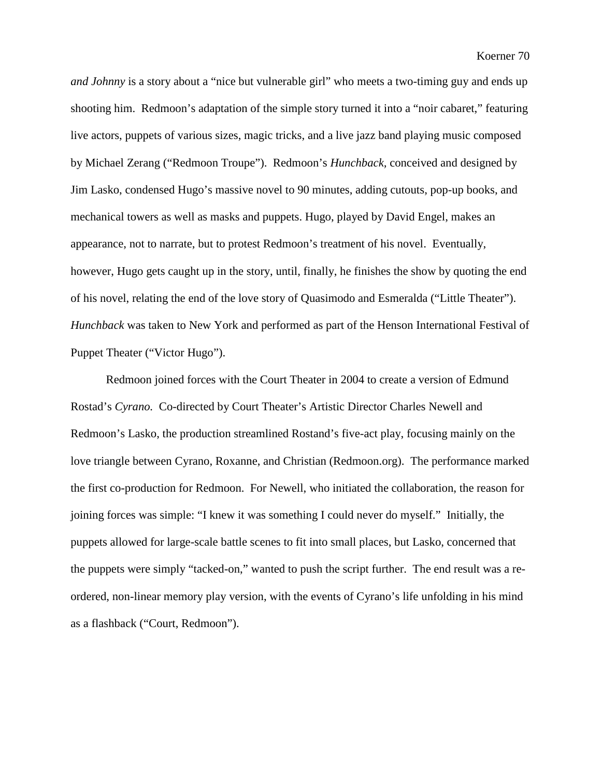*and Johnny* is a story about a "nice but vulnerable girl" who meets a two-timing guy and ends up shooting him. Redmoon's adaptation of the simple story turned it into a "noir cabaret," featuring live actors, puppets of various sizes, magic tricks, and a live jazz band playing music composed by Michael Zerang ("Redmoon Troupe"). Redmoon's *Hunchback,* conceived and designed by Jim Lasko, condensed Hugo's massive novel to 90 minutes, adding cutouts, pop-up books, and mechanical towers as well as masks and puppets. Hugo, played by David Engel, makes an appearance, not to narrate, but to protest Redmoon's treatment of his novel. Eventually, however, Hugo gets caught up in the story, until, finally, he finishes the show by quoting the end of his novel, relating the end of the love story of Quasimodo and Esmeralda ("Little Theater"). *Hunchback* was taken to New York and performed as part of the Henson International Festival of Puppet Theater ("Victor Hugo").

Redmoon joined forces with the Court Theater in 2004 to create a version of Edmund Rostad's *Cyrano.* Co-directed by Court Theater's Artistic Director Charles Newell and Redmoon's Lasko, the production streamlined Rostand's five-act play, focusing mainly on the love triangle between Cyrano, Roxanne, and Christian (Redmoon.org). The performance marked the first co-production for Redmoon. For Newell, who initiated the collaboration, the reason for joining forces was simple: "I knew it was something I could never do myself." Initially, the puppets allowed for large-scale battle scenes to fit into small places, but Lasko, concerned that the puppets were simply "tacked-on," wanted to push the script further. The end result was a reordered, non-linear memory play version, with the events of Cyrano's life unfolding in his mind as a flashback ("Court, Redmoon").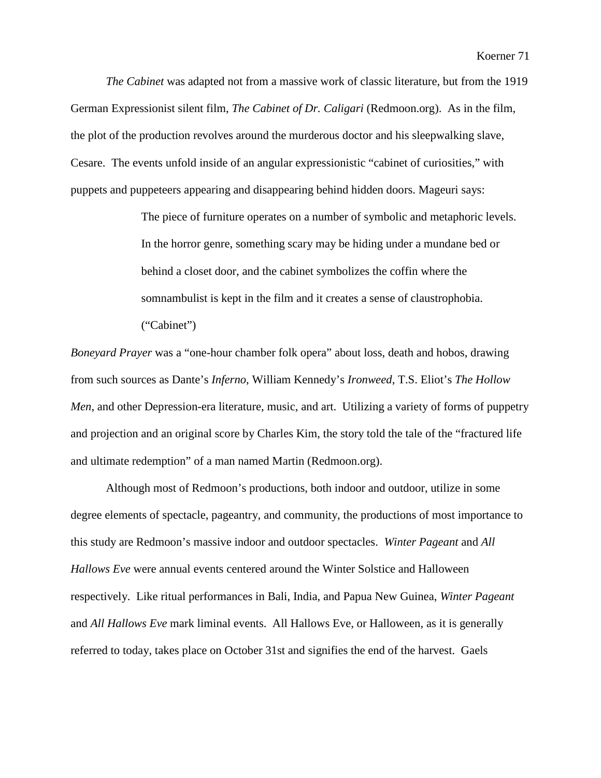*The Cabinet* was adapted not from a massive work of classic literature, but from the 1919 German Expressionist silent film, *The Cabinet of Dr. Caligari* (Redmoon.org). As in the film, the plot of the production revolves around the murderous doctor and his sleepwalking slave, Cesare. The events unfold inside of an angular expressionistic "cabinet of curiosities," with puppets and puppeteers appearing and disappearing behind hidden doors. Mageuri says:

> The piece of furniture operates on a number of symbolic and metaphoric levels. In the horror genre, something scary may be hiding under a mundane bed or behind a closet door, and the cabinet symbolizes the coffin where the somnambulist is kept in the film and it creates a sense of claustrophobia. ("Cabinet")

*Boneyard Prayer* was a "one-hour chamber folk opera" about loss, death and hobos, drawing from such sources as Dante's *Inferno*, William Kennedy's *Ironweed*, T.S. Eliot's *The Hollow Men*, and other Depression-era literature, music, and art. Utilizing a variety of forms of puppetry and projection and an original score by Charles Kim, the story told the tale of the "fractured life and ultimate redemption" of a man named Martin (Redmoon.org).

Although most of Redmoon's productions, both indoor and outdoor, utilize in some degree elements of spectacle, pageantry, and community, the productions of most importance to this study are Redmoon's massive indoor and outdoor spectacles. *Winter Pageant* and *All Hallows Eve* were annual events centered around the Winter Solstice and Halloween respectively. Like ritual performances in Bali, India, and Papua New Guinea, *Winter Pageant*  and *All Hallows Eve* mark liminal events. All Hallows Eve, or Halloween, as it is generally referred to today, takes place on October 31st and signifies the end of the harvest. Gaels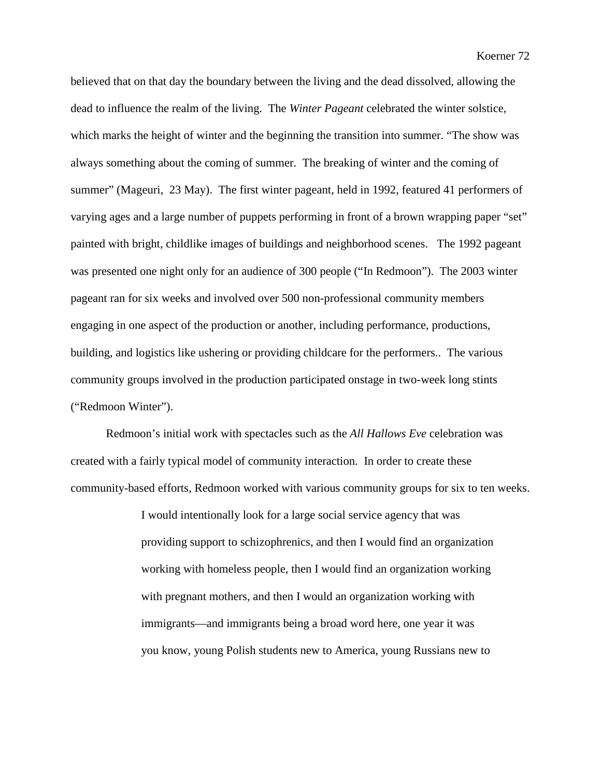believed that on that day the boundary between the living and the dead dissolved, allowing the dead to influence the realm of the living. The *Winter Pageant* celebrated the winter solstice, which marks the height of winter and the beginning the transition into summer. "The show was always something about the coming of summer. The breaking of winter and the coming of summer" (Mageuri, 23 May). The first winter pageant, held in 1992, featured 41 performers of varying ages and a large number of puppets performing in front of a brown wrapping paper "set" painted with bright, childlike images of buildings and neighborhood scenes. The 1992 pageant was presented one night only for an audience of 300 people ("In Redmoon"). The 2003 winter pageant ran for six weeks and involved over 500 non-professional community members engaging in one aspect of the production or another, including performance, productions, building, and logistics like ushering or providing childcare for the performers.. The various community groups involved in the production participated onstage in two-week long stints ("Redmoon Winter").

Redmoon's initial work with spectacles such as the *All Hallows Eve* celebration was created with a fairly typical model of community interaction. In order to create these community-based efforts, Redmoon worked with various community groups for six to ten weeks.

> I would intentionally look for a large social service agency that was providing support to schizophrenics, and then I would find an organization working with homeless people, then I would find an organization working with pregnant mothers, and then I would an organization working with immigrants—and immigrants being a broad word here, one year it was you know, young Polish students new to America, young Russians new to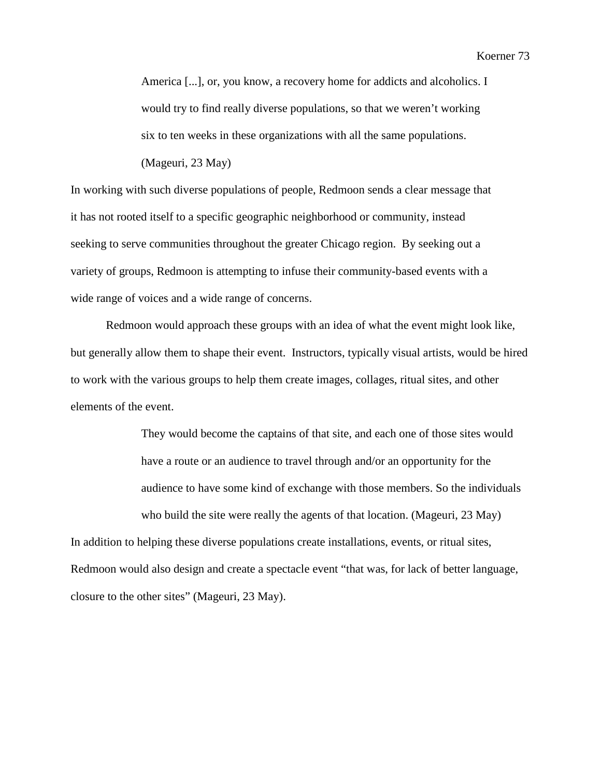America [...], or, you know, a recovery home for addicts and alcoholics. I would try to find really diverse populations, so that we weren't working six to ten weeks in these organizations with all the same populations. (Mageuri, 23 May)

In working with such diverse populations of people, Redmoon sends a clear message that it has not rooted itself to a specific geographic neighborhood or community, instead seeking to serve communities throughout the greater Chicago region. By seeking out a variety of groups, Redmoon is attempting to infuse their community-based events with a wide range of voices and a wide range of concerns.

Redmoon would approach these groups with an idea of what the event might look like, but generally allow them to shape their event. Instructors, typically visual artists, would be hired to work with the various groups to help them create images, collages, ritual sites, and other elements of the event.

> They would become the captains of that site, and each one of those sites would have a route or an audience to travel through and/or an opportunity for the audience to have some kind of exchange with those members. So the individuals who build the site were really the agents of that location. (Mageuri, 23 May)

In addition to helping these diverse populations create installations, events, or ritual sites, Redmoon would also design and create a spectacle event "that was, for lack of better language, closure to the other sites" (Mageuri, 23 May).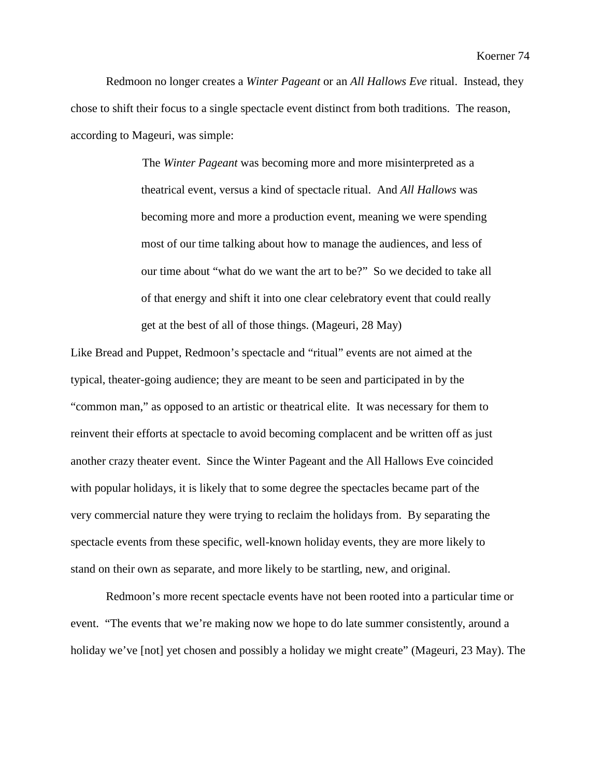Redmoon no longer creates a *Winter Pageant* or an *All Hallows Eve* ritual. Instead, they chose to shift their focus to a single spectacle event distinct from both traditions. The reason, according to Mageuri, was simple:

> The *Winter Pageant* was becoming more and more misinterpreted as a theatrical event, versus a kind of spectacle ritual. And *All Hallows* was becoming more and more a production event, meaning we were spending most of our time talking about how to manage the audiences, and less of our time about "what do we want the art to be?" So we decided to take all of that energy and shift it into one clear celebratory event that could really get at the best of all of those things. (Mageuri, 28 May)

Like Bread and Puppet, Redmoon's spectacle and "ritual" events are not aimed at the typical, theater-going audience; they are meant to be seen and participated in by the "common man," as opposed to an artistic or theatrical elite. It was necessary for them to reinvent their efforts at spectacle to avoid becoming complacent and be written off as just another crazy theater event. Since the Winter Pageant and the All Hallows Eve coincided with popular holidays, it is likely that to some degree the spectacles became part of the very commercial nature they were trying to reclaim the holidays from. By separating the spectacle events from these specific, well-known holiday events, they are more likely to stand on their own as separate, and more likely to be startling, new, and original.

Redmoon's more recent spectacle events have not been rooted into a particular time or event. "The events that we're making now we hope to do late summer consistently, around a holiday we've [not] yet chosen and possibly a holiday we might create" (Mageuri, 23 May). The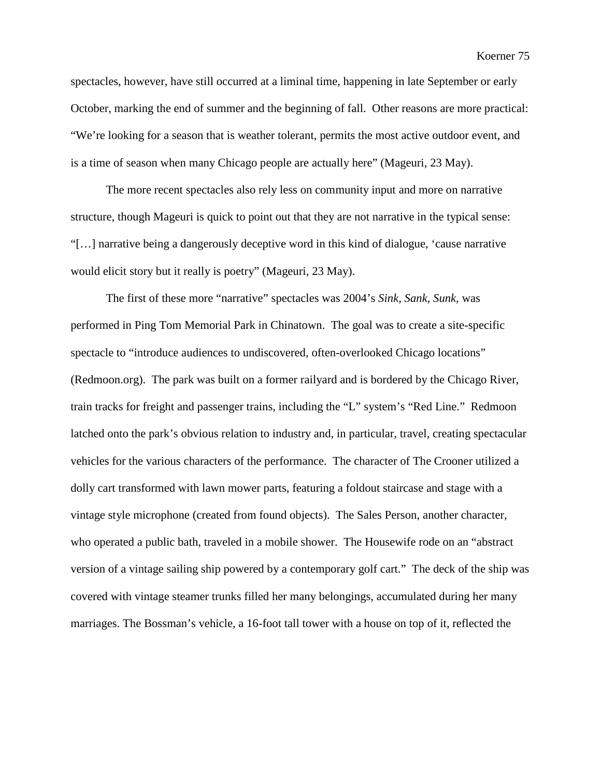spectacles, however, have still occurred at a liminal time, happening in late September or early October, marking the end of summer and the beginning of fall. Other reasons are more practical: "We're looking for a season that is weather tolerant, permits the most active outdoor event, and is a time of season when many Chicago people are actually here" (Mageuri, 23 May).

The more recent spectacles also rely less on community input and more on narrative structure, though Mageuri is quick to point out that they are not narrative in the typical sense: "[…] narrative being a dangerously deceptive word in this kind of dialogue, 'cause narrative would elicit story but it really is poetry" (Mageuri, 23 May).

The first of these more "narrative" spectacles was 2004's *Sink, Sank, Sunk,* was performed in Ping Tom Memorial Park in Chinatown. The goal was to create a site-specific spectacle to "introduce audiences to undiscovered, often-overlooked Chicago locations" (Redmoon.org). The park was built on a former railyard and is bordered by the Chicago River, train tracks for freight and passenger trains, including the "L" system's "Red Line." Redmoon latched onto the park's obvious relation to industry and, in particular, travel, creating spectacular vehicles for the various characters of the performance. The character of The Crooner utilized a dolly cart transformed with lawn mower parts, featuring a foldout staircase and stage with a vintage style microphone (created from found objects). The Sales Person, another character, who operated a public bath, traveled in a mobile shower. The Housewife rode on an "abstract version of a vintage sailing ship powered by a contemporary golf cart." The deck of the ship was covered with vintage steamer trunks filled her many belongings, accumulated during her many marriages. The Bossman's vehicle, a 16-foot tall tower with a house on top of it, reflected the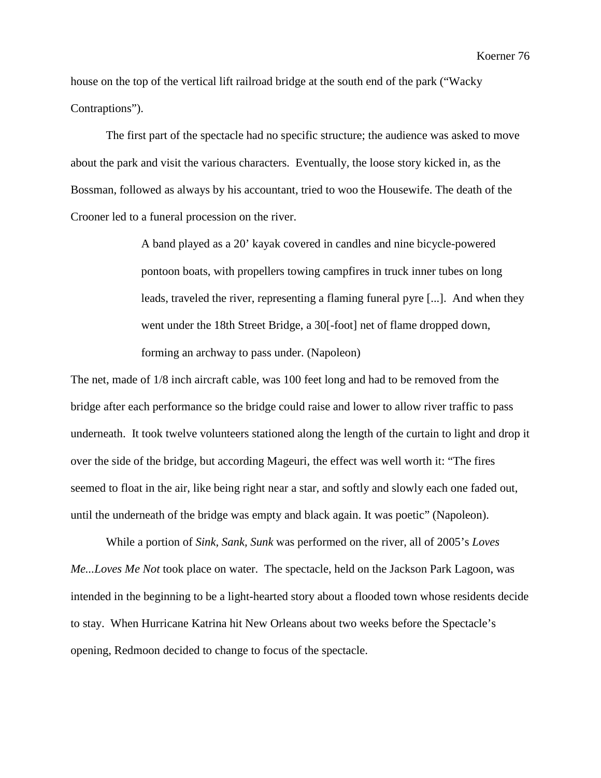house on the top of the vertical lift railroad bridge at the south end of the park ("Wacky Contraptions").

The first part of the spectacle had no specific structure; the audience was asked to move about the park and visit the various characters. Eventually, the loose story kicked in, as the Bossman, followed as always by his accountant, tried to woo the Housewife. The death of the Crooner led to a funeral procession on the river.

> A band played as a 20' kayak covered in candles and nine bicycle-powered pontoon boats, with propellers towing campfires in truck inner tubes on long leads, traveled the river, representing a flaming funeral pyre [...]. And when they went under the 18th Street Bridge, a 30[-foot] net of flame dropped down, forming an archway to pass under. (Napoleon)

The net, made of 1/8 inch aircraft cable, was 100 feet long and had to be removed from the bridge after each performance so the bridge could raise and lower to allow river traffic to pass underneath. It took twelve volunteers stationed along the length of the curtain to light and drop it over the side of the bridge, but according Mageuri, the effect was well worth it: "The fires seemed to float in the air, like being right near a star, and softly and slowly each one faded out, until the underneath of the bridge was empty and black again. It was poetic" (Napoleon).

While a portion of *Sink, Sank, Sunk* was performed on the river, all of 2005's *Loves Me...Loves Me Not* took place on water. The spectacle, held on the Jackson Park Lagoon, was intended in the beginning to be a light-hearted story about a flooded town whose residents decide to stay. When Hurricane Katrina hit New Orleans about two weeks before the Spectacle's opening, Redmoon decided to change to focus of the spectacle.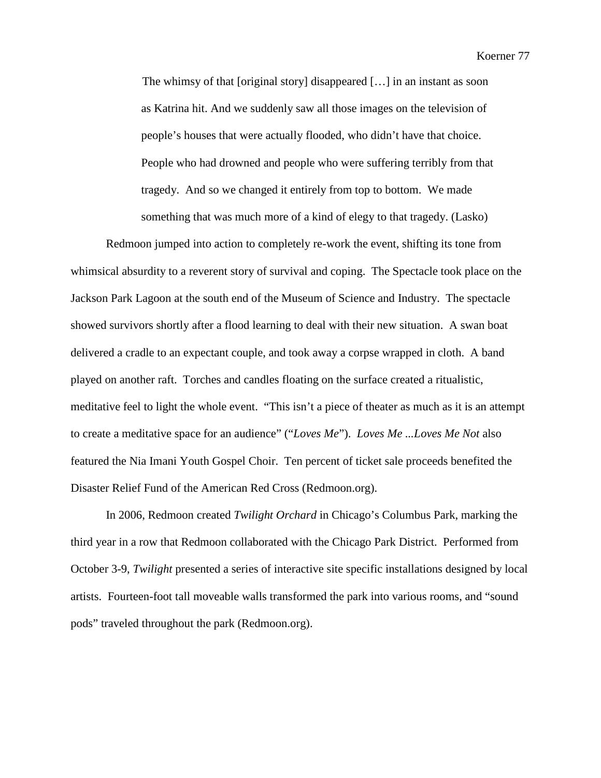Koerner 77

The whimsy of that [original story] disappeared […] in an instant as soon as Katrina hit. And we suddenly saw all those images on the television of people's houses that were actually flooded, who didn't have that choice. People who had drowned and people who were suffering terribly from that tragedy. And so we changed it entirely from top to bottom. We made something that was much more of a kind of elegy to that tragedy. (Lasko)

Redmoon jumped into action to completely re-work the event, shifting its tone from whimsical absurdity to a reverent story of survival and coping. The Spectacle took place on the Jackson Park Lagoon at the south end of the Museum of Science and Industry. The spectacle showed survivors shortly after a flood learning to deal with their new situation. A swan boat delivered a cradle to an expectant couple, and took away a corpse wrapped in cloth. A band played on another raft. Torches and candles floating on the surface created a ritualistic, meditative feel to light the whole event. "This isn't a piece of theater as much as it is an attempt to create a meditative space for an audience" ("*Loves Me*"). *Loves Me ...Loves Me Not* also featured the Nia Imani Youth Gospel Choir. Ten percent of ticket sale proceeds benefited the Disaster Relief Fund of the American Red Cross (Redmoon.org).

In 2006, Redmoon created *Twilight Orchard* in Chicago's Columbus Park, marking the third year in a row that Redmoon collaborated with the Chicago Park District. Performed from October 3-9, *Twilight* presented a series of interactive site specific installations designed by local artists. Fourteen-foot tall moveable walls transformed the park into various rooms, and "sound pods" traveled throughout the park (Redmoon.org).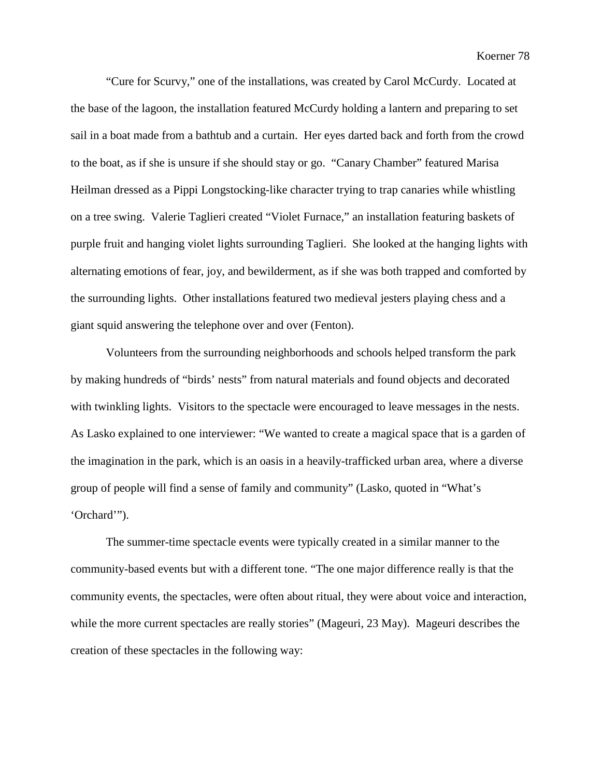"Cure for Scurvy," one of the installations, was created by Carol McCurdy. Located at the base of the lagoon, the installation featured McCurdy holding a lantern and preparing to set sail in a boat made from a bathtub and a curtain. Her eyes darted back and forth from the crowd to the boat, as if she is unsure if she should stay or go. "Canary Chamber" featured Marisa Heilman dressed as a Pippi Longstocking-like character trying to trap canaries while whistling on a tree swing. Valerie Taglieri created "Violet Furnace," an installation featuring baskets of purple fruit and hanging violet lights surrounding Taglieri. She looked at the hanging lights with alternating emotions of fear, joy, and bewilderment, as if she was both trapped and comforted by the surrounding lights. Other installations featured two medieval jesters playing chess and a giant squid answering the telephone over and over (Fenton).

Volunteers from the surrounding neighborhoods and schools helped transform the park by making hundreds of "birds' nests" from natural materials and found objects and decorated with twinkling lights. Visitors to the spectacle were encouraged to leave messages in the nests. As Lasko explained to one interviewer: "We wanted to create a magical space that is a garden of the imagination in the park, which is an oasis in a heavily-trafficked urban area, where a diverse group of people will find a sense of family and community" (Lasko, quoted in "What's 'Orchard'").

The summer-time spectacle events were typically created in a similar manner to the community-based events but with a different tone. "The one major difference really is that the community events, the spectacles, were often about ritual, they were about voice and interaction, while the more current spectacles are really stories" (Mageuri, 23 May). Mageuri describes the creation of these spectacles in the following way: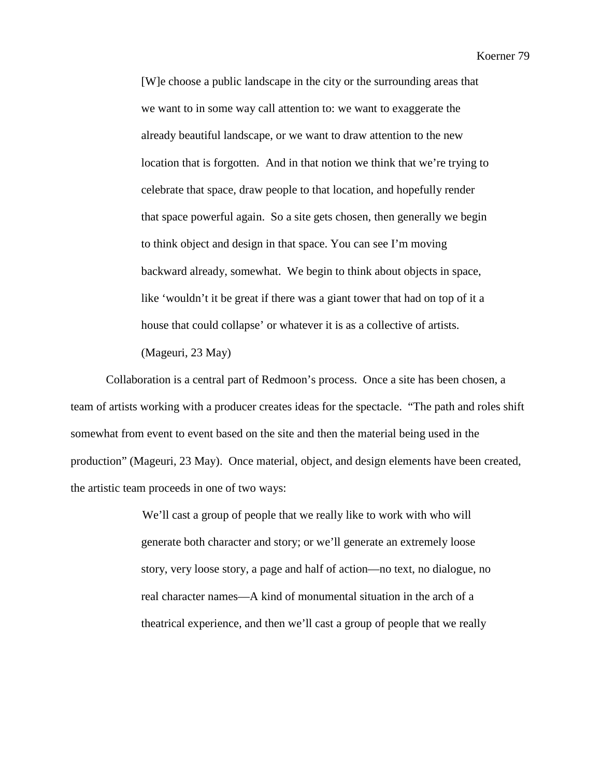[W]e choose a public landscape in the city or the surrounding areas that we want to in some way call attention to: we want to exaggerate the already beautiful landscape, or we want to draw attention to the new location that is forgotten. And in that notion we think that we're trying to celebrate that space, draw people to that location, and hopefully render that space powerful again. So a site gets chosen, then generally we begin to think object and design in that space. You can see I'm moving backward already, somewhat. We begin to think about objects in space, like 'wouldn't it be great if there was a giant tower that had on top of it a house that could collapse' or whatever it is as a collective of artists.

(Mageuri, 23 May)

Collaboration is a central part of Redmoon's process. Once a site has been chosen, a team of artists working with a producer creates ideas for the spectacle. "The path and roles shift somewhat from event to event based on the site and then the material being used in the production" (Mageuri, 23 May). Once material, object, and design elements have been created, the artistic team proceeds in one of two ways:

> We'll cast a group of people that we really like to work with who will generate both character and story; or we'll generate an extremely loose story, very loose story, a page and half of action—no text, no dialogue, no real character names—A kind of monumental situation in the arch of a theatrical experience, and then we'll cast a group of people that we really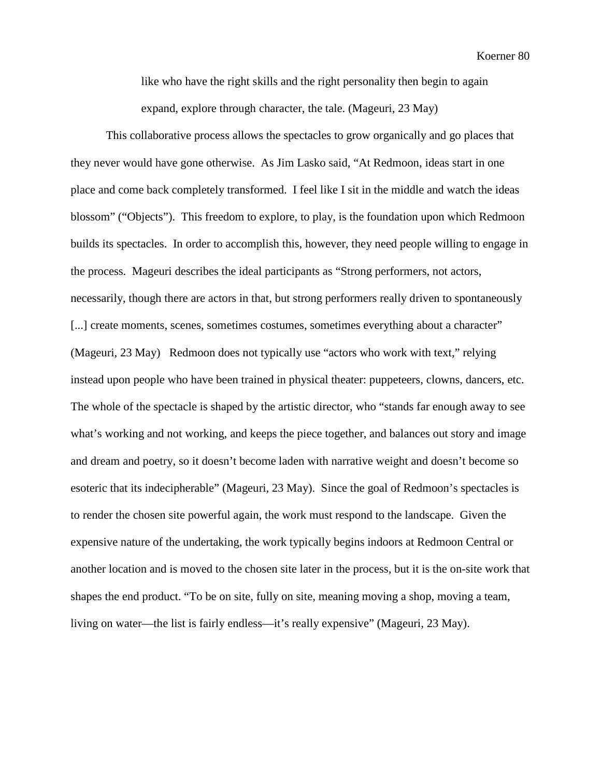like who have the right skills and the right personality then begin to again expand, explore through character, the tale. (Mageuri, 23 May)

This collaborative process allows the spectacles to grow organically and go places that they never would have gone otherwise. As Jim Lasko said, "At Redmoon, ideas start in one place and come back completely transformed. I feel like I sit in the middle and watch the ideas blossom" ("Objects"). This freedom to explore, to play, is the foundation upon which Redmoon builds its spectacles. In order to accomplish this, however, they need people willing to engage in the process. Mageuri describes the ideal participants as "Strong performers, not actors, necessarily, though there are actors in that, but strong performers really driven to spontaneously [...] create moments, scenes, sometimes costumes, sometimes everything about a character" (Mageuri, 23 May) Redmoon does not typically use "actors who work with text," relying instead upon people who have been trained in physical theater: puppeteers, clowns, dancers, etc. The whole of the spectacle is shaped by the artistic director, who "stands far enough away to see what's working and not working, and keeps the piece together, and balances out story and image and dream and poetry, so it doesn't become laden with narrative weight and doesn't become so esoteric that its indecipherable" (Mageuri, 23 May). Since the goal of Redmoon's spectacles is to render the chosen site powerful again, the work must respond to the landscape. Given the expensive nature of the undertaking, the work typically begins indoors at Redmoon Central or another location and is moved to the chosen site later in the process, but it is the on-site work that shapes the end product. "To be on site, fully on site, meaning moving a shop, moving a team, living on water—the list is fairly endless—it's really expensive" (Mageuri, 23 May).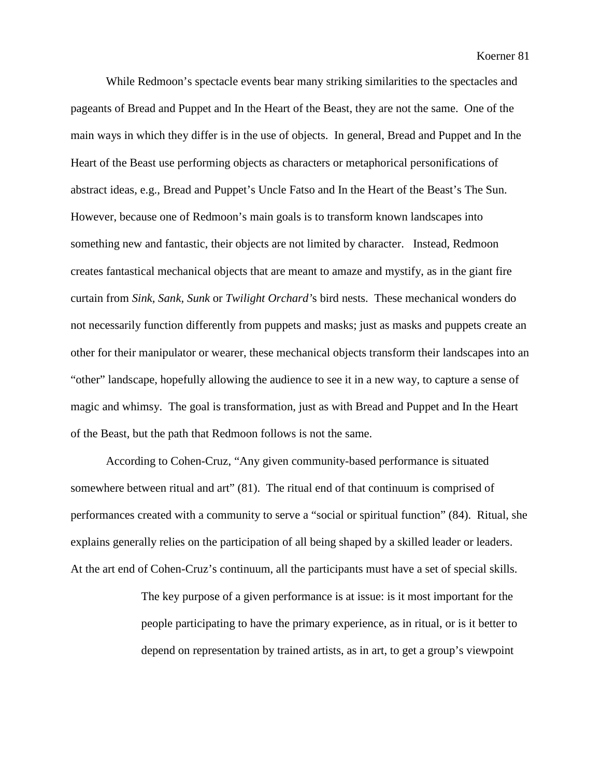While Redmoon's spectacle events bear many striking similarities to the spectacles and pageants of Bread and Puppet and In the Heart of the Beast, they are not the same. One of the main ways in which they differ is in the use of objects. In general, Bread and Puppet and In the Heart of the Beast use performing objects as characters or metaphorical personifications of abstract ideas, e.g., Bread and Puppet's Uncle Fatso and In the Heart of the Beast's The Sun. However, because one of Redmoon's main goals is to transform known landscapes into something new and fantastic, their objects are not limited by character. Instead, Redmoon creates fantastical mechanical objects that are meant to amaze and mystify, as in the giant fire curtain from *Sink, Sank, Sunk* or *Twilight Orchard'*s bird nests. These mechanical wonders do not necessarily function differently from puppets and masks; just as masks and puppets create an other for their manipulator or wearer, these mechanical objects transform their landscapes into an "other" landscape, hopefully allowing the audience to see it in a new way, to capture a sense of magic and whimsy. The goal is transformation, just as with Bread and Puppet and In the Heart of the Beast, but the path that Redmoon follows is not the same.

According to Cohen-Cruz, "Any given community-based performance is situated somewhere between ritual and art" (81). The ritual end of that continuum is comprised of performances created with a community to serve a "social or spiritual function" (84). Ritual, she explains generally relies on the participation of all being shaped by a skilled leader or leaders. At the art end of Cohen-Cruz's continuum, all the participants must have a set of special skills.

> The key purpose of a given performance is at issue: is it most important for the people participating to have the primary experience, as in ritual, or is it better to depend on representation by trained artists, as in art, to get a group's viewpoint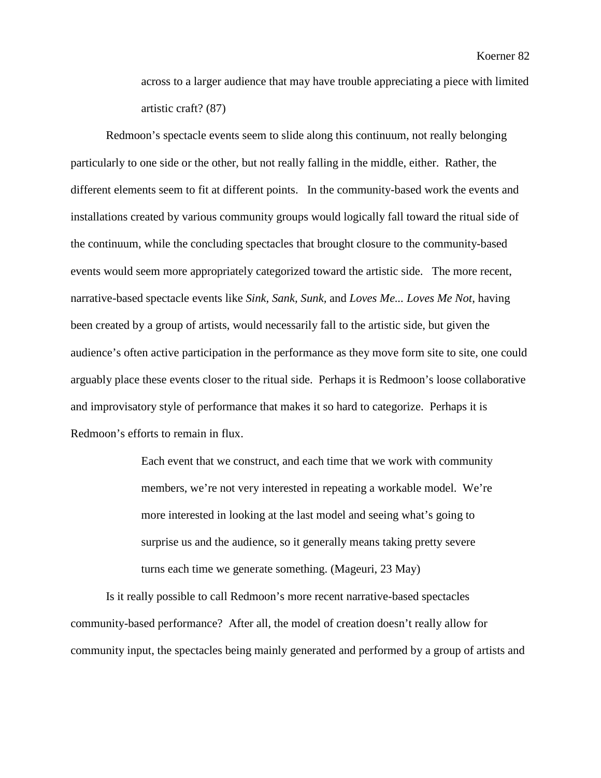across to a larger audience that may have trouble appreciating a piece with limited artistic craft? (87)

Redmoon's spectacle events seem to slide along this continuum, not really belonging particularly to one side or the other, but not really falling in the middle, either. Rather, the different elements seem to fit at different points. In the community-based work the events and installations created by various community groups would logically fall toward the ritual side of the continuum, while the concluding spectacles that brought closure to the community-based events would seem more appropriately categorized toward the artistic side. The more recent, narrative-based spectacle events like *Sink, Sank, Sunk,* and *Loves Me... Loves Me Not*, having been created by a group of artists, would necessarily fall to the artistic side, but given the audience's often active participation in the performance as they move form site to site, one could arguably place these events closer to the ritual side. Perhaps it is Redmoon's loose collaborative and improvisatory style of performance that makes it so hard to categorize. Perhaps it is Redmoon's efforts to remain in flux.

> Each event that we construct, and each time that we work with community members, we're not very interested in repeating a workable model. We're more interested in looking at the last model and seeing what's going to surprise us and the audience, so it generally means taking pretty severe turns each time we generate something. (Mageuri, 23 May)

Is it really possible to call Redmoon's more recent narrative-based spectacles community-based performance? After all, the model of creation doesn't really allow for community input, the spectacles being mainly generated and performed by a group of artists and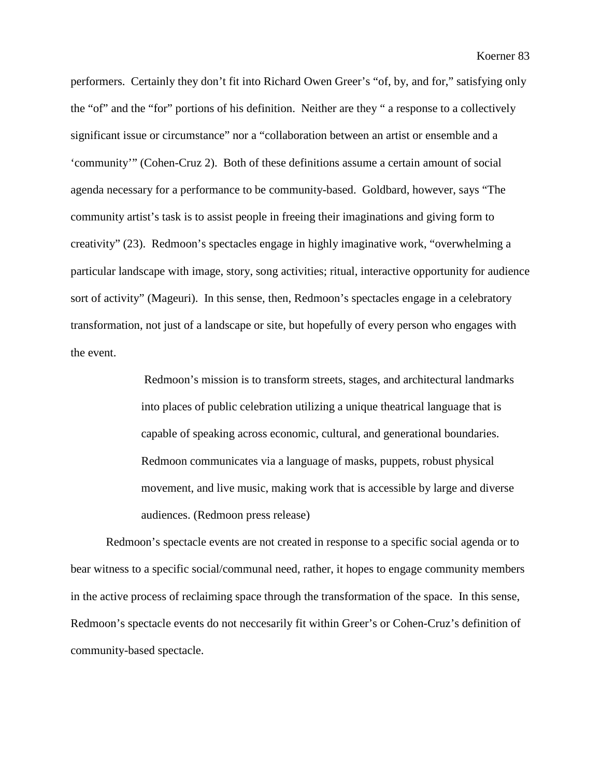performers. Certainly they don't fit into Richard Owen Greer's "of, by, and for," satisfying only the "of" and the "for" portions of his definition. Neither are they " a response to a collectively significant issue or circumstance" nor a "collaboration between an artist or ensemble and a 'community'" (Cohen-Cruz 2). Both of these definitions assume a certain amount of social agenda necessary for a performance to be community-based. Goldbard, however, says "The community artist's task is to assist people in freeing their imaginations and giving form to creativity" (23). Redmoon's spectacles engage in highly imaginative work, "overwhelming a particular landscape with image, story, song activities; ritual, interactive opportunity for audience sort of activity" (Mageuri). In this sense, then, Redmoon's spectacles engage in a celebratory transformation, not just of a landscape or site, but hopefully of every person who engages with the event.

> Redmoon's mission is to transform streets, stages, and architectural landmarks into places of public celebration utilizing a unique theatrical language that is capable of speaking across economic, cultural, and generational boundaries. Redmoon communicates via a language of masks, puppets, robust physical movement, and live music, making work that is accessible by large and diverse audiences. (Redmoon press release)

Redmoon's spectacle events are not created in response to a specific social agenda or to bear witness to a specific social/communal need, rather, it hopes to engage community members in the active process of reclaiming space through the transformation of the space. In this sense, Redmoon's spectacle events do not neccesarily fit within Greer's or Cohen-Cruz's definition of community-based spectacle.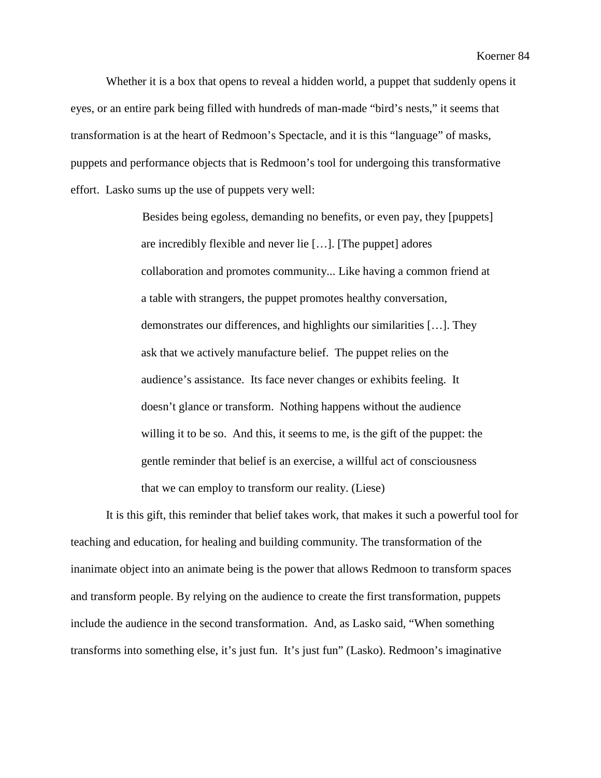Whether it is a box that opens to reveal a hidden world, a puppet that suddenly opens it eyes, or an entire park being filled with hundreds of man-made "bird's nests," it seems that transformation is at the heart of Redmoon's Spectacle, and it is this "language" of masks, puppets and performance objects that is Redmoon's tool for undergoing this transformative effort. Lasko sums up the use of puppets very well:

> Besides being egoless, demanding no benefits, or even pay, they [puppets] are incredibly flexible and never lie […]. [The puppet] adores collaboration and promotes community... Like having a common friend at a table with strangers, the puppet promotes healthy conversation, demonstrates our differences, and highlights our similarities […]. They ask that we actively manufacture belief. The puppet relies on the audience's assistance. Its face never changes or exhibits feeling. It doesn't glance or transform. Nothing happens without the audience willing it to be so. And this, it seems to me, is the gift of the puppet: the gentle reminder that belief is an exercise, a willful act of consciousness that we can employ to transform our reality. (Liese)

It is this gift, this reminder that belief takes work, that makes it such a powerful tool for teaching and education, for healing and building community. The transformation of the inanimate object into an animate being is the power that allows Redmoon to transform spaces and transform people. By relying on the audience to create the first transformation, puppets include the audience in the second transformation. And, as Lasko said, "When something transforms into something else, it's just fun. It's just fun" (Lasko). Redmoon's imaginative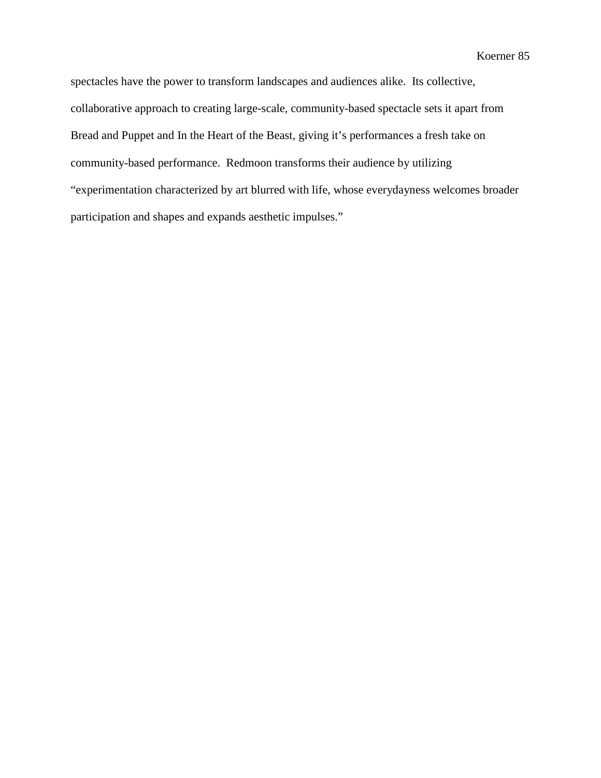spectacles have the power to transform landscapes and audiences alike. Its collective, collaborative approach to creating large-scale, community-based spectacle sets it apart from Bread and Puppet and In the Heart of the Beast, giving it's performances a fresh take on community-based performance. Redmoon transforms their audience by utilizing "experimentation characterized by art blurred with life, whose everydayness welcomes broader participation and shapes and expands aesthetic impulses."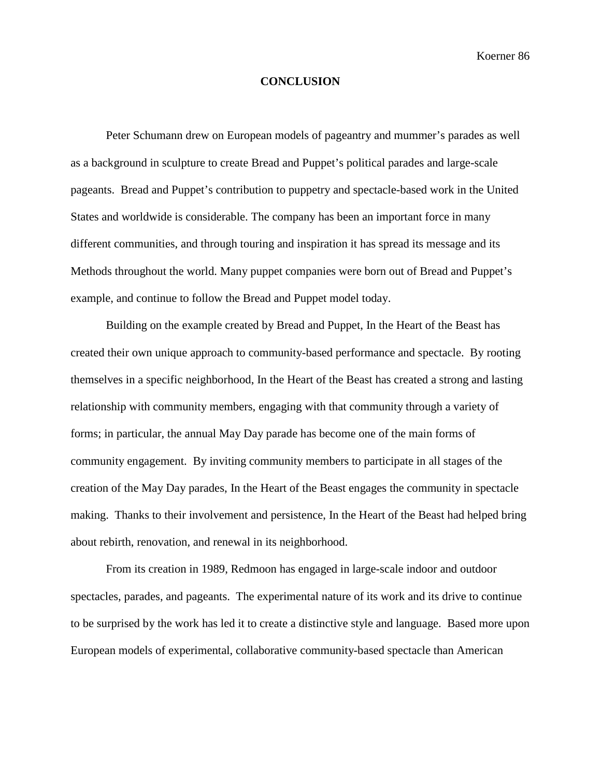## **CONCLUSION**

Peter Schumann drew on European models of pageantry and mummer's parades as well as a background in sculpture to create Bread and Puppet's political parades and large-scale pageants. Bread and Puppet's contribution to puppetry and spectacle-based work in the United States and worldwide is considerable. The company has been an important force in many different communities, and through touring and inspiration it has spread its message and its Methods throughout the world. Many puppet companies were born out of Bread and Puppet's example, and continue to follow the Bread and Puppet model today.

Building on the example created by Bread and Puppet, In the Heart of the Beast has created their own unique approach to community-based performance and spectacle. By rooting themselves in a specific neighborhood, In the Heart of the Beast has created a strong and lasting relationship with community members, engaging with that community through a variety of forms; in particular, the annual May Day parade has become one of the main forms of community engagement. By inviting community members to participate in all stages of the creation of the May Day parades, In the Heart of the Beast engages the community in spectacle making. Thanks to their involvement and persistence, In the Heart of the Beast had helped bring about rebirth, renovation, and renewal in its neighborhood.

From its creation in 1989, Redmoon has engaged in large-scale indoor and outdoor spectacles, parades, and pageants. The experimental nature of its work and its drive to continue to be surprised by the work has led it to create a distinctive style and language. Based more upon European models of experimental, collaborative community-based spectacle than American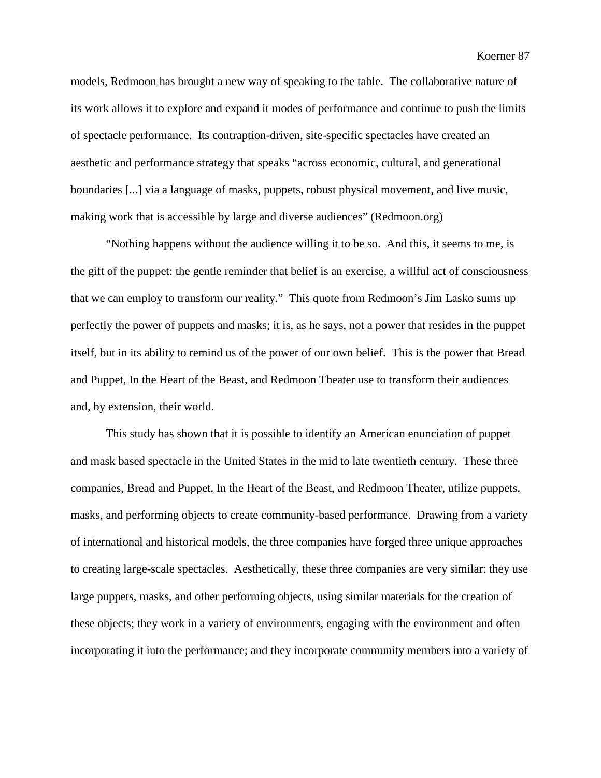models, Redmoon has brought a new way of speaking to the table. The collaborative nature of its work allows it to explore and expand it modes of performance and continue to push the limits of spectacle performance. Its contraption-driven, site-specific spectacles have created an aesthetic and performance strategy that speaks "across economic, cultural, and generational boundaries [...] via a language of masks, puppets, robust physical movement, and live music, making work that is accessible by large and diverse audiences" (Redmoon.org)

"Nothing happens without the audience willing it to be so. And this, it seems to me, is the gift of the puppet: the gentle reminder that belief is an exercise, a willful act of consciousness that we can employ to transform our reality." This quote from Redmoon's Jim Lasko sums up perfectly the power of puppets and masks; it is, as he says, not a power that resides in the puppet itself, but in its ability to remind us of the power of our own belief. This is the power that Bread and Puppet, In the Heart of the Beast, and Redmoon Theater use to transform their audiences and, by extension, their world.

This study has shown that it is possible to identify an American enunciation of puppet and mask based spectacle in the United States in the mid to late twentieth century. These three companies, Bread and Puppet, In the Heart of the Beast, and Redmoon Theater, utilize puppets, masks, and performing objects to create community-based performance. Drawing from a variety of international and historical models, the three companies have forged three unique approaches to creating large-scale spectacles. Aesthetically, these three companies are very similar: they use large puppets, masks, and other performing objects, using similar materials for the creation of these objects; they work in a variety of environments, engaging with the environment and often incorporating it into the performance; and they incorporate community members into a variety of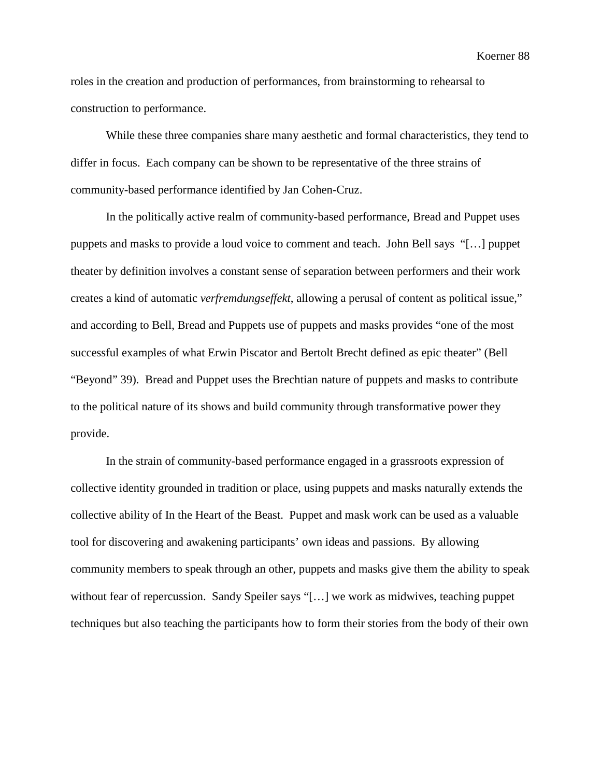roles in the creation and production of performances, from brainstorming to rehearsal to construction to performance.

While these three companies share many aesthetic and formal characteristics, they tend to differ in focus. Each company can be shown to be representative of the three strains of community-based performance identified by Jan Cohen-Cruz.

In the politically active realm of community-based performance, Bread and Puppet uses puppets and masks to provide a loud voice to comment and teach. John Bell says "[…] puppet theater by definition involves a constant sense of separation between performers and their work creates a kind of automatic *verfremdungseffekt*, allowing a perusal of content as political issue," and according to Bell, Bread and Puppets use of puppets and masks provides "one of the most successful examples of what Erwin Piscator and Bertolt Brecht defined as epic theater" (Bell "Beyond" 39). Bread and Puppet uses the Brechtian nature of puppets and masks to contribute to the political nature of its shows and build community through transformative power they provide.

In the strain of community-based performance engaged in a grassroots expression of collective identity grounded in tradition or place, using puppets and masks naturally extends the collective ability of In the Heart of the Beast. Puppet and mask work can be used as a valuable tool for discovering and awakening participants' own ideas and passions. By allowing community members to speak through an other, puppets and masks give them the ability to speak without fear of repercussion. Sandy Speiler says "[...] we work as midwives, teaching puppet techniques but also teaching the participants how to form their stories from the body of their own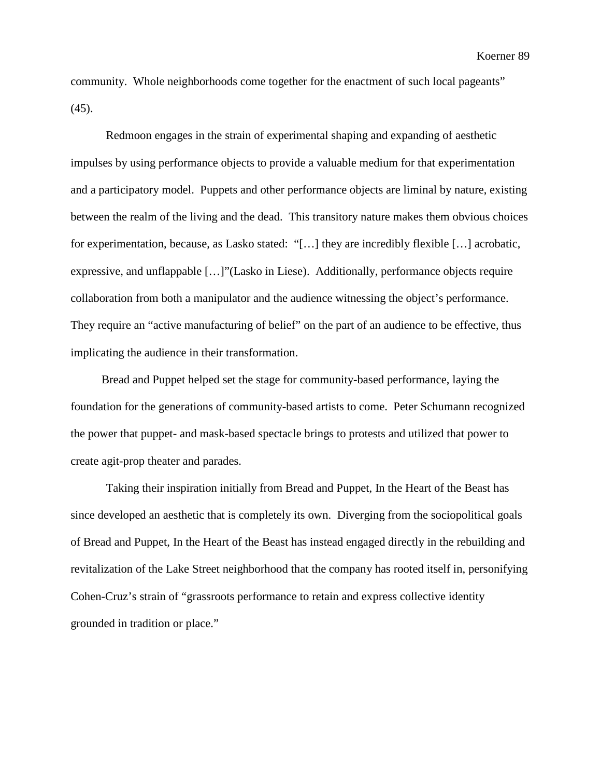community. Whole neighborhoods come together for the enactment of such local pageants" (45).

Redmoon engages in the strain of experimental shaping and expanding of aesthetic impulses by using performance objects to provide a valuable medium for that experimentation and a participatory model. Puppets and other performance objects are liminal by nature, existing between the realm of the living and the dead. This transitory nature makes them obvious choices for experimentation, because, as Lasko stated: "[…] they are incredibly flexible […] acrobatic, expressive, and unflappable […]"(Lasko in Liese). Additionally, performance objects require collaboration from both a manipulator and the audience witnessing the object's performance. They require an "active manufacturing of belief" on the part of an audience to be effective, thus implicating the audience in their transformation.

Bread and Puppet helped set the stage for community-based performance, laying the foundation for the generations of community-based artists to come. Peter Schumann recognized the power that puppet- and mask-based spectacle brings to protests and utilized that power to create agit-prop theater and parades.

Taking their inspiration initially from Bread and Puppet, In the Heart of the Beast has since developed an aesthetic that is completely its own. Diverging from the sociopolitical goals of Bread and Puppet, In the Heart of the Beast has instead engaged directly in the rebuilding and revitalization of the Lake Street neighborhood that the company has rooted itself in, personifying Cohen-Cruz's strain of "grassroots performance to retain and express collective identity grounded in tradition or place."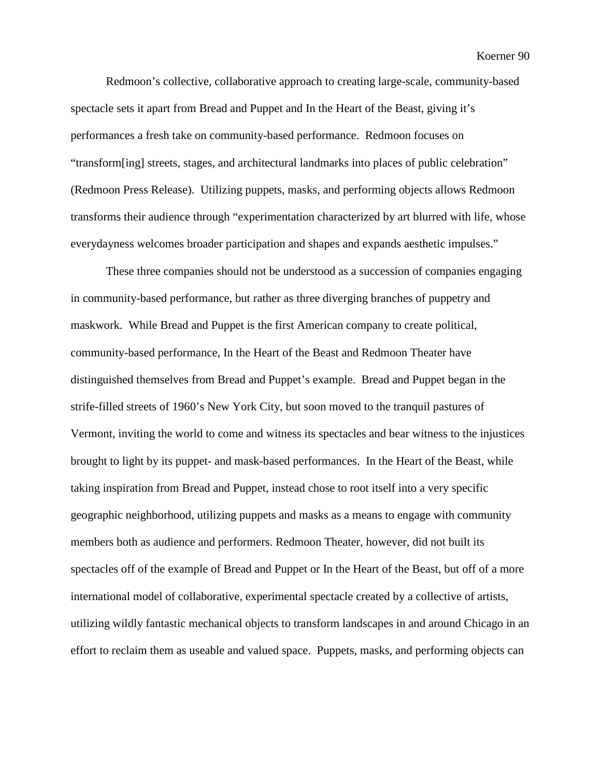Redmoon's collective, collaborative approach to creating large-scale, community-based spectacle sets it apart from Bread and Puppet and In the Heart of the Beast, giving it's performances a fresh take on community-based performance. Redmoon focuses on "transform[ing] streets, stages, and architectural landmarks into places of public celebration" (Redmoon Press Release). Utilizing puppets, masks, and performing objects allows Redmoon transforms their audience through "experimentation characterized by art blurred with life, whose everydayness welcomes broader participation and shapes and expands aesthetic impulses."

These three companies should not be understood as a succession of companies engaging in community-based performance, but rather as three diverging branches of puppetry and maskwork. While Bread and Puppet is the first American company to create political, community-based performance, In the Heart of the Beast and Redmoon Theater have distinguished themselves from Bread and Puppet's example. Bread and Puppet began in the strife-filled streets of 1960's New York City, but soon moved to the tranquil pastures of Vermont, inviting the world to come and witness its spectacles and bear witness to the injustices brought to light by its puppet- and mask-based performances. In the Heart of the Beast, while taking inspiration from Bread and Puppet, instead chose to root itself into a very specific geographic neighborhood, utilizing puppets and masks as a means to engage with community members both as audience and performers. Redmoon Theater, however, did not built its spectacles off of the example of Bread and Puppet or In the Heart of the Beast, but off of a more international model of collaborative, experimental spectacle created by a collective of artists, utilizing wildly fantastic mechanical objects to transform landscapes in and around Chicago in an effort to reclaim them as useable and valued space. Puppets, masks, and performing objects can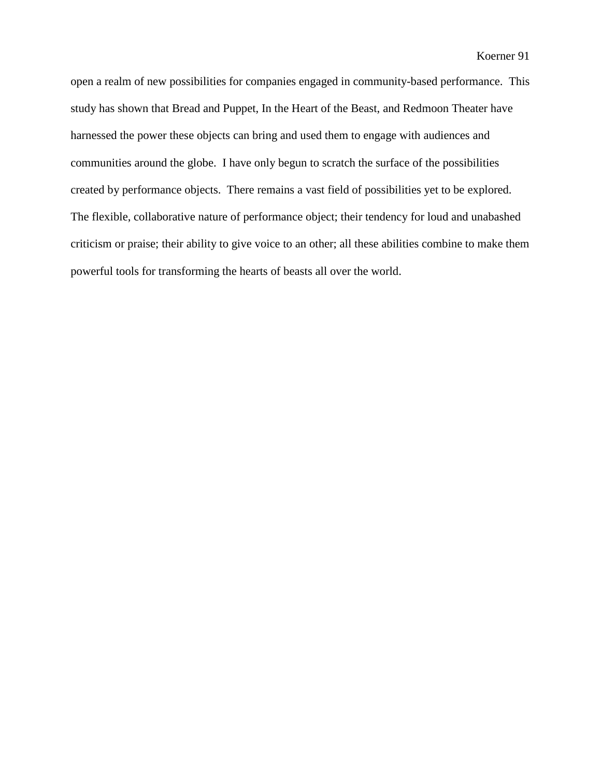open a realm of new possibilities for companies engaged in community-based performance. This study has shown that Bread and Puppet, In the Heart of the Beast, and Redmoon Theater have harnessed the power these objects can bring and used them to engage with audiences and communities around the globe. I have only begun to scratch the surface of the possibilities created by performance objects. There remains a vast field of possibilities yet to be explored. The flexible, collaborative nature of performance object; their tendency for loud and unabashed criticism or praise; their ability to give voice to an other; all these abilities combine to make them powerful tools for transforming the hearts of beasts all over the world.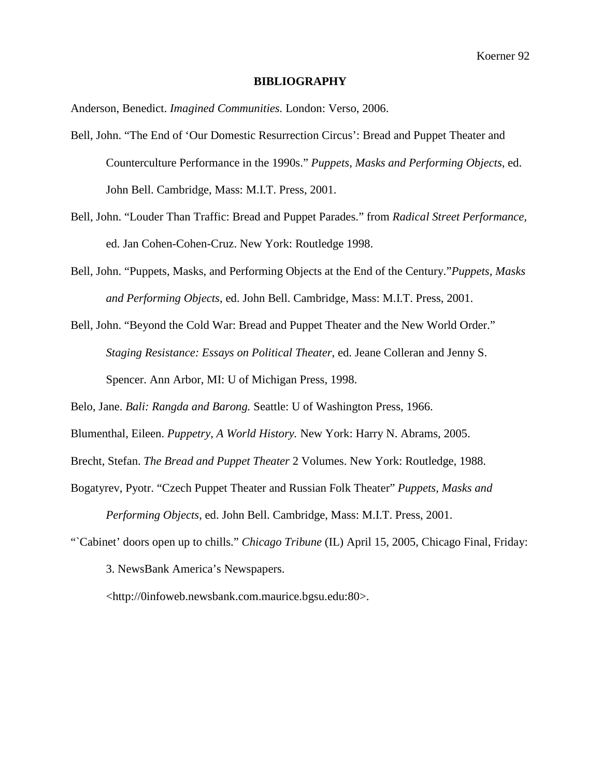## **BIBLIOGRAPHY**

Anderson, Benedict. *Imagined Communities.* London: Verso, 2006.

- Bell, John. "The End of 'Our Domestic Resurrection Circus': Bread and Puppet Theater and Counterculture Performance in the 1990s." *Puppets, Masks and Performing Objects,* ed. John Bell. Cambridge, Mass: M.I.T. Press, 2001.
- Bell, John. "Louder Than Traffic: Bread and Puppet Parades." from *Radical Street Performance,* ed. Jan Cohen-Cohen-Cruz. New York: Routledge 1998.
- Bell, John. "Puppets, Masks, and Performing Objects at the End of the Century."*Puppets, Masks and Performing Objects*, ed. John Bell. Cambridge, Mass: M.I.T. Press, 2001.
- Bell, John. "Beyond the Cold War: Bread and Puppet Theater and the New World Order." *Staging Resistance: Essays on Political Theater*, ed. Jeane Colleran and Jenny S. Spencer. Ann Arbor, MI: U of Michigan Press, 1998.

Belo, Jane. *Bali: Rangda and Barong.* Seattle: U of Washington Press, 1966.

Blumenthal, Eileen. *Puppetry, A World History.* New York: Harry N. Abrams, 2005.

Brecht, Stefan. *The Bread and Puppet Theater* 2 Volumes. New York: Routledge, 1988.

Bogatyrev, Pyotr. "Czech Puppet Theater and Russian Folk Theater" *Puppets, Masks and* 

*Performing Objects*, ed. John Bell. Cambridge, Mass: M.I.T. Press, 2001.

"`Cabinet' doors open up to chills." *Chicago Tribune* (IL) April 15, 2005, Chicago Final, Friday:

3. NewsBank America's Newspapers.

<http://0infoweb.newsbank.com.maurice.bgsu.edu:80>.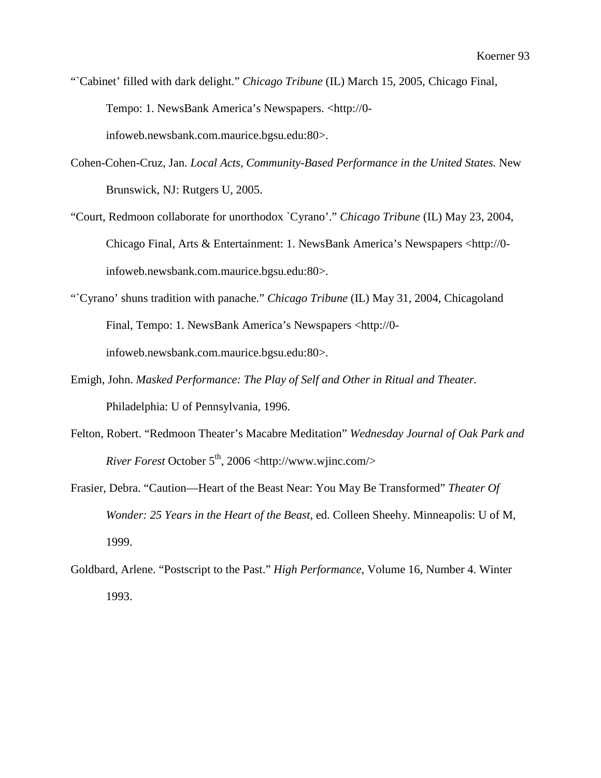"`Cabinet' filled with dark delight." *Chicago Tribune* (IL) March 15, 2005, Chicago Final, Tempo: 1. NewsBank America's Newspapers. <http://0 infoweb.newsbank.com.maurice.bgsu.edu:80>.

- Cohen-Cohen-Cruz, Jan. *Local Acts, Community-Based Performance in the United States.* New Brunswick, NJ: Rutgers U, 2005.
- "Court, Redmoon collaborate for unorthodox `Cyrano'." *Chicago Tribune* (IL) May 23, 2004, Chicago Final, Arts & Entertainment: 1. NewsBank America's Newspapers <http://0 infoweb.newsbank.com.maurice.bgsu.edu:80>.
- "`Cyrano' shuns tradition with panache." *Chicago Tribune* (IL) May 31, 2004, Chicagoland Final, Tempo: 1. NewsBank America's Newspapers <http://0 infoweb.newsbank.com.maurice.bgsu.edu:80>.
- Emigh, John. *Masked Performance: The Play of Self and Other in Ritual and Theater.* Philadelphia: U of Pennsylvania, 1996.
- Felton, Robert. "Redmoon Theater's Macabre Meditation" *Wednesday Journal of Oak Park and River Forest* October  $5<sup>th</sup>$ , 2006 <http://www.wjinc.com/>
- Frasier, Debra. "Caution—Heart of the Beast Near: You May Be Transformed" *Theater Of Wonder: 25 Years in the Heart of the Beast,* ed. Colleen Sheehy. Minneapolis: U of M, 1999.
- Goldbard, Arlene. "Postscript to the Past." *High Performance*, Volume 16, Number 4. Winter 1993.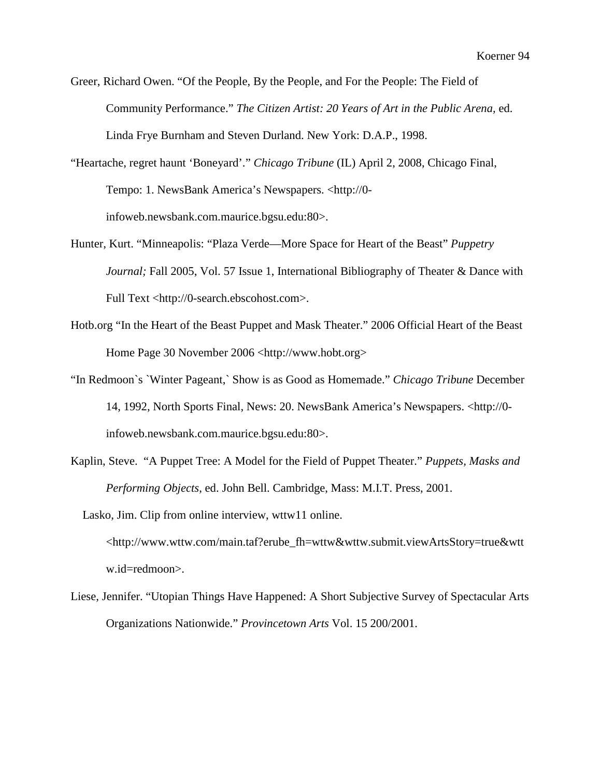Greer, Richard Owen. "Of the People, By the People, and For the People: The Field of Community Performance." *The Citizen Artist: 20 Years of Art in the Public Arena,* ed. Linda Frye Burnham and Steven Durland. New York: D.A.P., 1998.

"Heartache, regret haunt 'Boneyard'." *Chicago Tribune* (IL) April 2, 2008, Chicago Final, Tempo: 1. NewsBank America's Newspapers. <http://0 infoweb.newsbank.com.maurice.bgsu.edu:80>.

- Hunter, Kurt. "Minneapolis: "Plaza Verde—More Space for Heart of the Beast" *Puppetry Journal;* Fall 2005, Vol. 57 Issue 1, International Bibliography of Theater & Dance with Full Text <http://0-search.ebscohost.com>.
- Hotb.org "In the Heart of the Beast Puppet and Mask Theater." 2006 Official Heart of the Beast Home Page 30 November 2006 <http://www.hobt.org>
- "In Redmoon`s `Winter Pageant,` Show is as Good as Homemade." *Chicago Tribune* December 14, 1992, North Sports Final, News: 20. NewsBank America's Newspapers. <http://0 infoweb.newsbank.com.maurice.bgsu.edu:80>.
- Kaplin, Steve. "A Puppet Tree: A Model for the Field of Puppet Theater." *Puppets, Masks and Performing Objects*, ed. John Bell. Cambridge, Mass: M.I.T. Press, 2001.

Lasko, Jim. Clip from online interview, wttw11 online. <http://www.wttw.com/main.taf?erube\_fh=wttw&wttw.submit.viewArtsStory=true&wtt w.id=redmoon>.

Liese, Jennifer. "Utopian Things Have Happened: A Short Subjective Survey of Spectacular Arts Organizations Nationwide." *Provincetown Arts* Vol. 15 200/2001.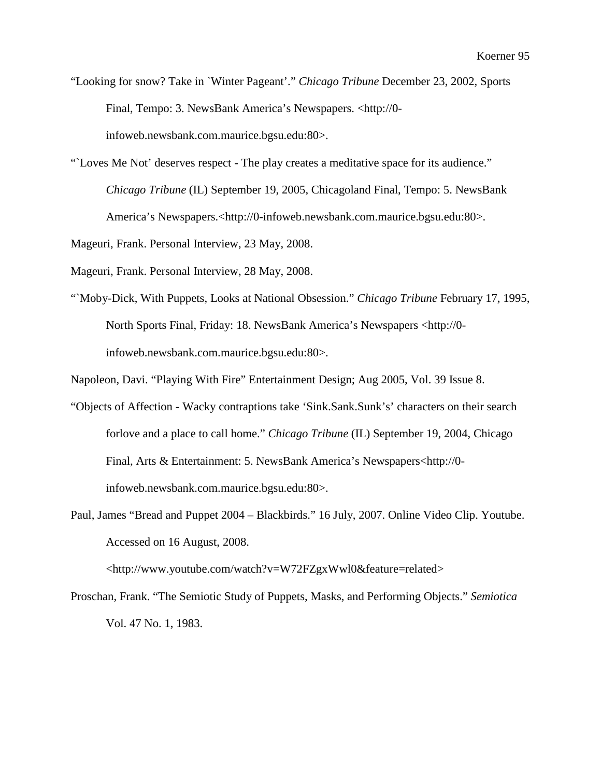"Looking for snow? Take in `Winter Pageant'." *Chicago Tribune* December 23, 2002, Sports Final, Tempo: 3. NewsBank America's Newspapers. <http://0 infoweb.newsbank.com.maurice.bgsu.edu:80>.

"`Loves Me Not' deserves respect - The play creates a meditative space for its audience." *Chicago Tribune* (IL) September 19, 2005, Chicagoland Final, Tempo: 5. NewsBank America's Newspapers.<http://0-infoweb.newsbank.com.maurice.bgsu.edu:80>.

Mageuri, Frank. Personal Interview, 23 May, 2008.

Mageuri, Frank. Personal Interview, 28 May, 2008.

"`Moby-Dick, With Puppets, Looks at National Obsession." *Chicago Tribune* February 17, 1995, North Sports Final, Friday: 18. NewsBank America's Newspapers <http://0 infoweb.newsbank.com.maurice.bgsu.edu:80>.

Napoleon, Davi. "Playing With Fire" Entertainment Design; Aug 2005, Vol. 39 Issue 8.

- "Objects of Affection Wacky contraptions take 'Sink.Sank.Sunk's' characters on their search forlove and a place to call home." *Chicago Tribune* (IL) September 19, 2004, Chicago Final, Arts & Entertainment: 5. NewsBank America's Newspapers<http://0 infoweb.newsbank.com.maurice.bgsu.edu:80>.
- Paul, James "Bread and Puppet 2004 Blackbirds." 16 July, 2007. Online Video Clip. Youtube. Accessed on 16 August, 2008.

<http://www.youtube.com/watch?v=W72FZgxWwl0&feature=related>

Proschan, Frank. "The Semiotic Study of Puppets, Masks, and Performing Objects." *Semiotica*  Vol. 47 No. 1, 1983.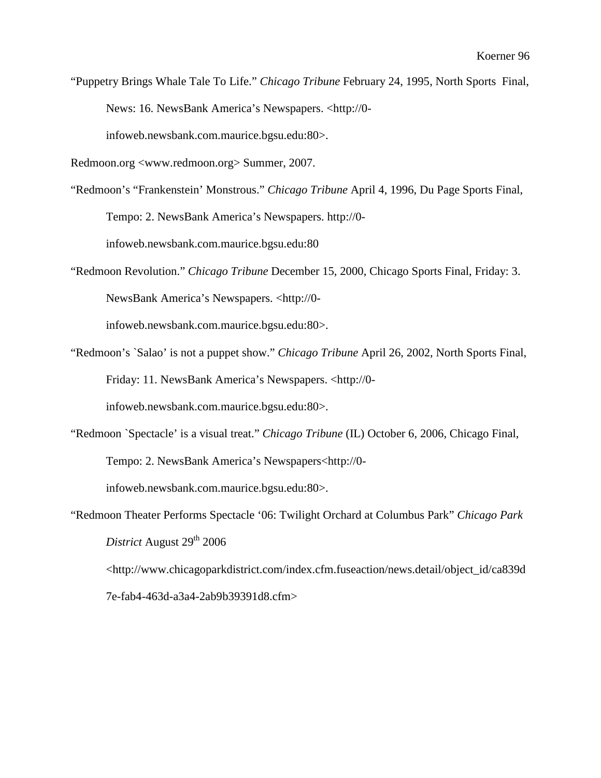"Puppetry Brings Whale Tale To Life." *Chicago Tribune* February 24, 1995, North Sports Final, News: 16. NewsBank America's Newspapers. <http://0-

infoweb.newsbank.com.maurice.bgsu.edu:80>.

Redmoon.org <www.redmoon.org> Summer, 2007.

- "Redmoon's "Frankenstein' Monstrous." *Chicago Tribune* April 4, 1996, Du Page Sports Final, Tempo: 2. NewsBank America's Newspapers. http://0 infoweb.newsbank.com.maurice.bgsu.edu:80
- "Redmoon Revolution." *Chicago Tribune* December 15, 2000, Chicago Sports Final, Friday: 3. NewsBank America's Newspapers. <http://0-

infoweb.newsbank.com.maurice.bgsu.edu:80>.

- "Redmoon's `Salao' is not a puppet show." *Chicago Tribune* April 26, 2002, North Sports Final, Friday: 11. NewsBank America's Newspapers. <http://0 infoweb.newsbank.com.maurice.bgsu.edu:80>.
- "Redmoon `Spectacle' is a visual treat." *Chicago Tribune* (IL) October 6, 2006, Chicago Final, Tempo: 2. NewsBank America's Newspapers<http://0 infoweb.newsbank.com.maurice.bgsu.edu:80>.
- "Redmoon Theater Performs Spectacle '06: Twilight Orchard at Columbus Park" *Chicago Park District* August 29<sup>th</sup> 2006

<http://www.chicagoparkdistrict.com/index.cfm.fuseaction/news.detail/object\_id/ca839d 7e-fab4-463d-a3a4-2ab9b39391d8.cfm>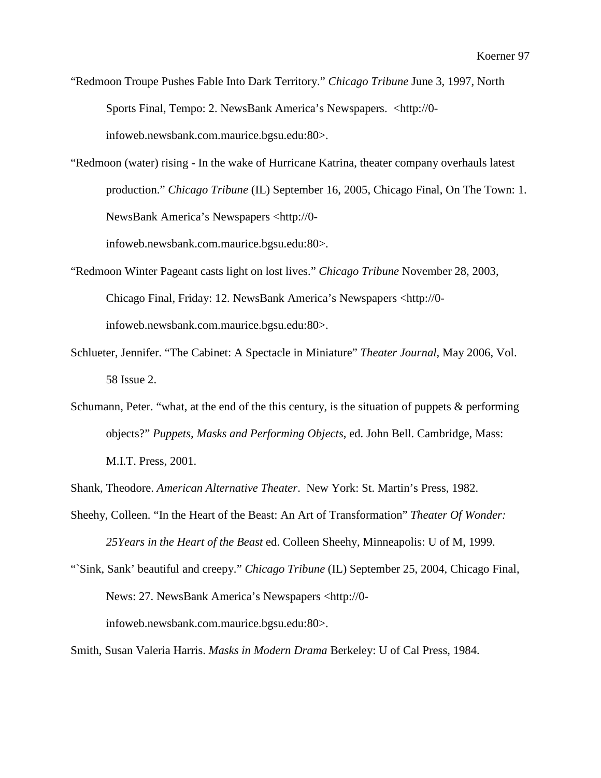"Redmoon Troupe Pushes Fable Into Dark Territory." *Chicago Tribune* June 3, 1997, North Sports Final, Tempo: 2. NewsBank America's Newspapers. <http://0 infoweb.newsbank.com.maurice.bgsu.edu:80>.

"Redmoon (water) rising - In the wake of Hurricane Katrina, theater company overhauls latest production." *Chicago Tribune* (IL) September 16, 2005, Chicago Final, On The Town: 1. NewsBank America's Newspapers <http://0 infoweb.newsbank.com.maurice.bgsu.edu:80>.

- "Redmoon Winter Pageant casts light on lost lives." *Chicago Tribune* November 28, 2003, Chicago Final, Friday: 12. NewsBank America's Newspapers <http://0 infoweb.newsbank.com.maurice.bgsu.edu:80>.
- Schlueter, Jennifer. "The Cabinet: A Spectacle in Miniature" *Theater Journal,* May 2006, Vol. 58 Issue 2.
- Schumann, Peter. "what, at the end of the this century, is the situation of puppets & performing objects?" *Puppets, Masks and Performing Objects*, ed. John Bell. Cambridge, Mass: M.I.T. Press, 2001.

Shank, Theodore. *American Alternative Theater*. New York: St. Martin's Press, 1982.

- Sheehy, Colleen. "In the Heart of the Beast: An Art of Transformation" *Theater Of Wonder: 25Years in the Heart of the Beast* ed. Colleen Sheehy, Minneapolis: U of M, 1999.
- "`Sink, Sank' beautiful and creepy." *Chicago Tribune* (IL) September 25, 2004, Chicago Final, News: 27. NewsBank America's Newspapers <http://0 infoweb.newsbank.com.maurice.bgsu.edu:80>.

Smith, Susan Valeria Harris. *Masks in Modern Drama* Berkeley: U of Cal Press, 1984.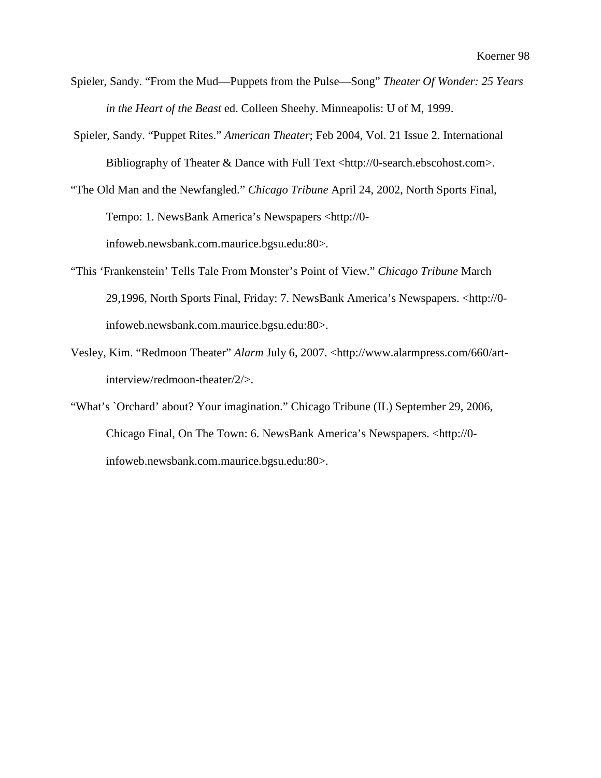- Spieler, Sandy. "From the Mud—Puppets from the Pulse—Song" *Theater Of Wonder: 25 Years in the Heart of the Beast* ed. Colleen Sheehy. Minneapolis: U of M, 1999.
- Spieler, Sandy. "Puppet Rites." *American Theater*; Feb 2004, Vol. 21 Issue 2. International Bibliography of Theater & Dance with Full Text  $\langle$ http://0-search.ebscohost.com>.
- "The Old Man and the Newfangled." *Chicago Tribune* April 24, 2002, North Sports Final, Tempo: 1. NewsBank America's Newspapers <http://0 infoweb.newsbank.com.maurice.bgsu.edu:80>.
- "This 'Frankenstein' Tells Tale From Monster's Point of View." *Chicago Tribune* March 29,1996, North Sports Final, Friday: 7. NewsBank America's Newspapers. <http://0 infoweb.newsbank.com.maurice.bgsu.edu:80>.
- Vesley, Kim. "Redmoon Theater" *Alarm* July 6, 2007. <http://www.alarmpress.com/660/artinterview/redmoon-theater/2/>.
- "What's `Orchard' about? Your imagination." Chicago Tribune (IL) September 29, 2006, Chicago Final, On The Town: 6. NewsBank America's Newspapers. <http://0 infoweb.newsbank.com.maurice.bgsu.edu:80>.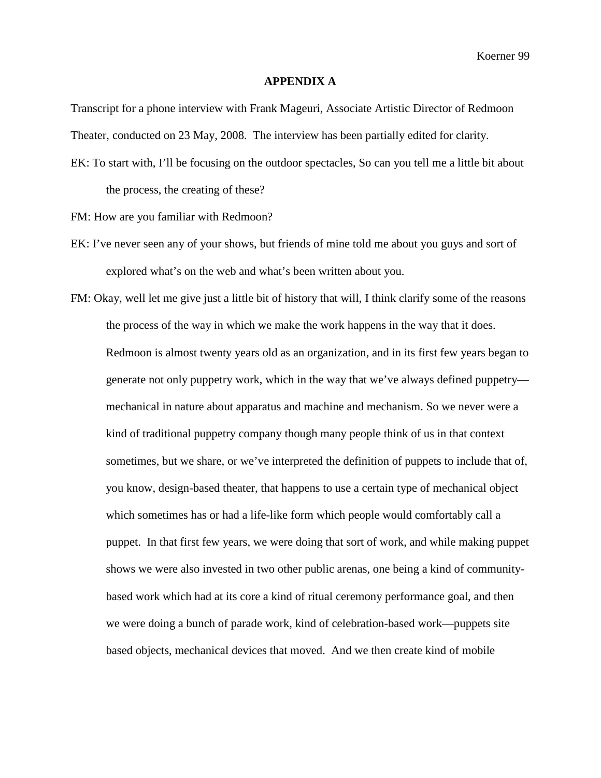## **APPENDIX A**

Transcript for a phone interview with Frank Mageuri, Associate Artistic Director of Redmoon Theater, conducted on 23 May, 2008. The interview has been partially edited for clarity.

EK: To start with, I'll be focusing on the outdoor spectacles, So can you tell me a little bit about the process, the creating of these?

FM: How are you familiar with Redmoon?

- EK: I've never seen any of your shows, but friends of mine told me about you guys and sort of explored what's on the web and what's been written about you.
- FM: Okay, well let me give just a little bit of history that will, I think clarify some of the reasons the process of the way in which we make the work happens in the way that it does. Redmoon is almost twenty years old as an organization, and in its first few years began to generate not only puppetry work, which in the way that we've always defined puppetry mechanical in nature about apparatus and machine and mechanism. So we never were a kind of traditional puppetry company though many people think of us in that context sometimes, but we share, or we've interpreted the definition of puppets to include that of, you know, design-based theater, that happens to use a certain type of mechanical object which sometimes has or had a life-like form which people would comfortably call a puppet. In that first few years, we were doing that sort of work, and while making puppet shows we were also invested in two other public arenas, one being a kind of communitybased work which had at its core a kind of ritual ceremony performance goal, and then we were doing a bunch of parade work, kind of celebration-based work—puppets site based objects, mechanical devices that moved. And we then create kind of mobile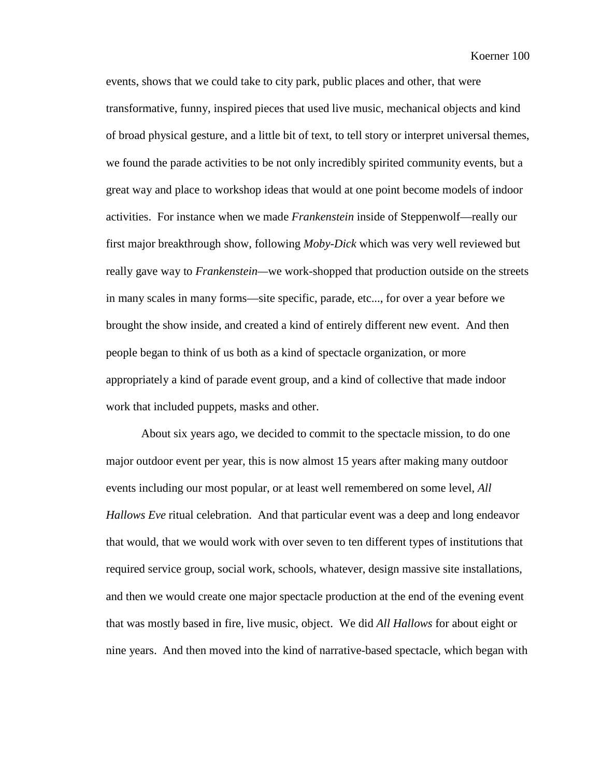Koerner 100

events, shows that we could take to city park, public places and other, that were transformative, funny, inspired pieces that used live music, mechanical objects and kind of broad physical gesture, and a little bit of text, to tell story or interpret universal themes, we found the parade activities to be not only incredibly spirited community events, but a great way and place to workshop ideas that would at one point become models of indoor activities. For instance when we made *Frankenstein* inside of Steppenwolf—really our first major breakthrough show, following *Moby-Dick* which was very well reviewed but really gave way to *Frankenstein—*we work-shopped that production outside on the streets in many scales in many forms—site specific, parade, etc..., for over a year before we brought the show inside, and created a kind of entirely different new event. And then people began to think of us both as a kind of spectacle organization, or more appropriately a kind of parade event group, and a kind of collective that made indoor work that included puppets, masks and other.

About six years ago, we decided to commit to the spectacle mission, to do one major outdoor event per year, this is now almost 15 years after making many outdoor events including our most popular, or at least well remembered on some level, *All Hallows Eve* ritual celebration. And that particular event was a deep and long endeavor that would, that we would work with over seven to ten different types of institutions that required service group, social work, schools, whatever, design massive site installations, and then we would create one major spectacle production at the end of the evening event that was mostly based in fire, live music, object. We did *All Hallows* for about eight or nine years. And then moved into the kind of narrative-based spectacle, which began with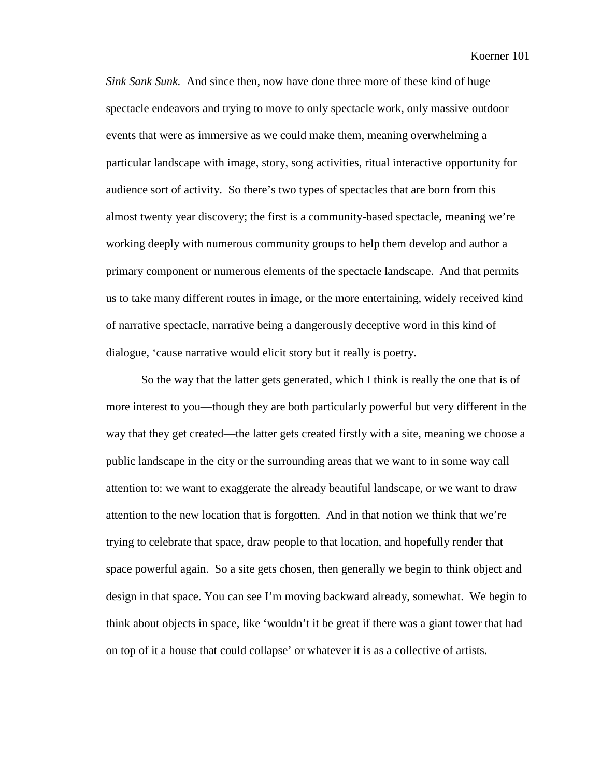Koerner 101

*Sink Sank Sunk.* And since then, now have done three more of these kind of huge spectacle endeavors and trying to move to only spectacle work, only massive outdoor events that were as immersive as we could make them, meaning overwhelming a particular landscape with image, story, song activities, ritual interactive opportunity for audience sort of activity. So there's two types of spectacles that are born from this almost twenty year discovery; the first is a community-based spectacle, meaning we're working deeply with numerous community groups to help them develop and author a primary component or numerous elements of the spectacle landscape. And that permits us to take many different routes in image, or the more entertaining, widely received kind of narrative spectacle, narrative being a dangerously deceptive word in this kind of dialogue, 'cause narrative would elicit story but it really is poetry.

So the way that the latter gets generated, which I think is really the one that is of more interest to you—though they are both particularly powerful but very different in the way that they get created—the latter gets created firstly with a site, meaning we choose a public landscape in the city or the surrounding areas that we want to in some way call attention to: we want to exaggerate the already beautiful landscape, or we want to draw attention to the new location that is forgotten. And in that notion we think that we're trying to celebrate that space, draw people to that location, and hopefully render that space powerful again. So a site gets chosen, then generally we begin to think object and design in that space. You can see I'm moving backward already, somewhat. We begin to think about objects in space, like 'wouldn't it be great if there was a giant tower that had on top of it a house that could collapse' or whatever it is as a collective of artists.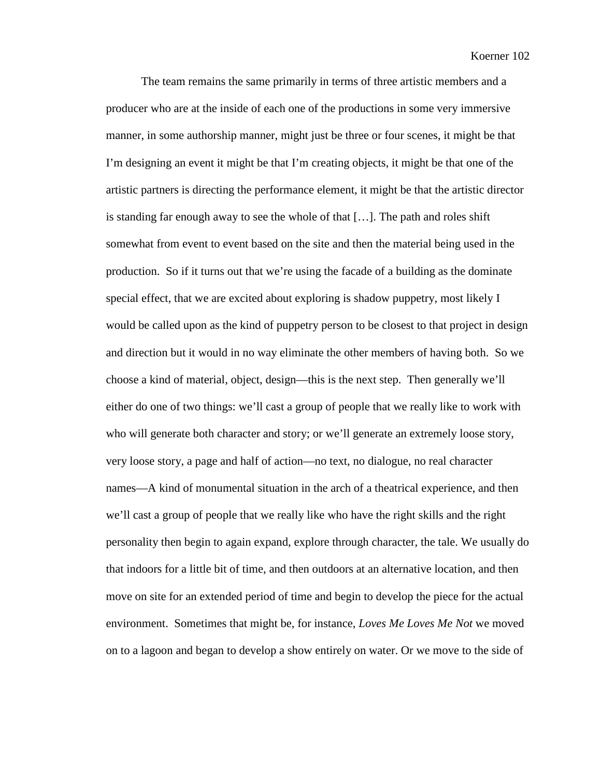The team remains the same primarily in terms of three artistic members and a producer who are at the inside of each one of the productions in some very immersive manner, in some authorship manner, might just be three or four scenes, it might be that I'm designing an event it might be that I'm creating objects, it might be that one of the artistic partners is directing the performance element, it might be that the artistic director is standing far enough away to see the whole of that […]. The path and roles shift somewhat from event to event based on the site and then the material being used in the production. So if it turns out that we're using the facade of a building as the dominate special effect, that we are excited about exploring is shadow puppetry, most likely I would be called upon as the kind of puppetry person to be closest to that project in design and direction but it would in no way eliminate the other members of having both. So we choose a kind of material, object, design—this is the next step. Then generally we'll either do one of two things: we'll cast a group of people that we really like to work with who will generate both character and story; or we'll generate an extremely loose story, very loose story, a page and half of action—no text, no dialogue, no real character names—A kind of monumental situation in the arch of a theatrical experience, and then we'll cast a group of people that we really like who have the right skills and the right personality then begin to again expand, explore through character, the tale. We usually do that indoors for a little bit of time, and then outdoors at an alternative location, and then move on site for an extended period of time and begin to develop the piece for the actual environment. Sometimes that might be, for instance, *Loves Me Loves Me Not* we moved on to a lagoon and began to develop a show entirely on water. Or we move to the side of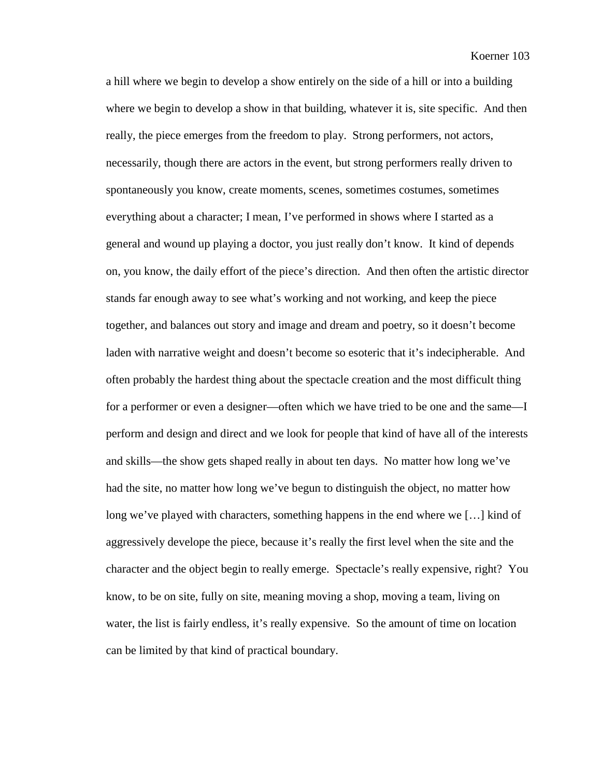a hill where we begin to develop a show entirely on the side of a hill or into a building where we begin to develop a show in that building, whatever it is, site specific. And then really, the piece emerges from the freedom to play. Strong performers, not actors, necessarily, though there are actors in the event, but strong performers really driven to spontaneously you know, create moments, scenes, sometimes costumes, sometimes everything about a character; I mean, I've performed in shows where I started as a general and wound up playing a doctor, you just really don't know. It kind of depends on, you know, the daily effort of the piece's direction. And then often the artistic director stands far enough away to see what's working and not working, and keep the piece together, and balances out story and image and dream and poetry, so it doesn't become laden with narrative weight and doesn't become so esoteric that it's indecipherable. And often probably the hardest thing about the spectacle creation and the most difficult thing for a performer or even a designer—often which we have tried to be one and the same—I perform and design and direct and we look for people that kind of have all of the interests and skills—the show gets shaped really in about ten days. No matter how long we've had the site, no matter how long we've begun to distinguish the object, no matter how long we've played with characters, something happens in the end where we […] kind of aggressively develope the piece, because it's really the first level when the site and the character and the object begin to really emerge. Spectacle's really expensive, right? You know, to be on site, fully on site, meaning moving a shop, moving a team, living on water, the list is fairly endless, it's really expensive. So the amount of time on location can be limited by that kind of practical boundary.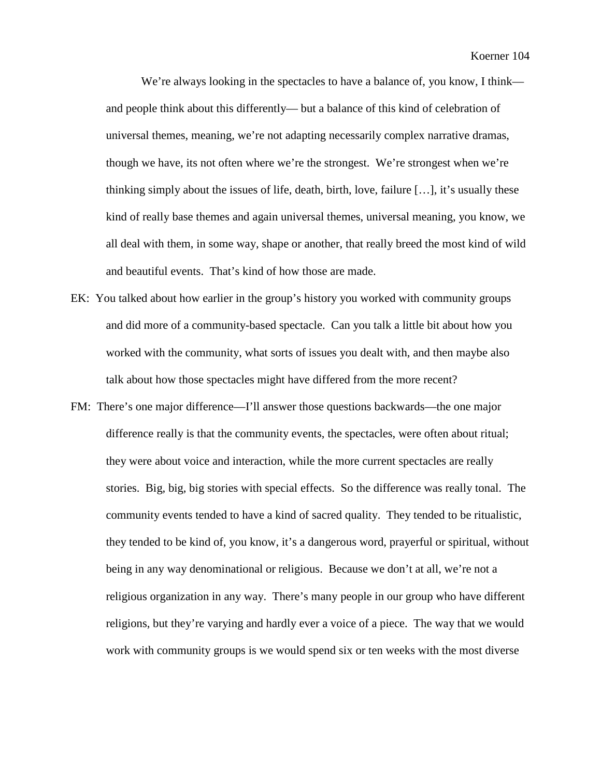We're always looking in the spectacles to have a balance of, you know, I think and people think about this differently— but a balance of this kind of celebration of universal themes, meaning, we're not adapting necessarily complex narrative dramas, though we have, its not often where we're the strongest. We're strongest when we're thinking simply about the issues of life, death, birth, love, failure […], it's usually these kind of really base themes and again universal themes, universal meaning, you know, we all deal with them, in some way, shape or another, that really breed the most kind of wild and beautiful events. That's kind of how those are made.

- EK: You talked about how earlier in the group's history you worked with community groups and did more of a community-based spectacle. Can you talk a little bit about how you worked with the community, what sorts of issues you dealt with, and then maybe also talk about how those spectacles might have differed from the more recent?
- FM: There's one major difference—I'll answer those questions backwards—the one major difference really is that the community events, the spectacles, were often about ritual; they were about voice and interaction, while the more current spectacles are really stories. Big, big, big stories with special effects. So the difference was really tonal. The community events tended to have a kind of sacred quality. They tended to be ritualistic, they tended to be kind of, you know, it's a dangerous word, prayerful or spiritual, without being in any way denominational or religious. Because we don't at all, we're not a religious organization in any way. There's many people in our group who have different religions, but they're varying and hardly ever a voice of a piece. The way that we would work with community groups is we would spend six or ten weeks with the most diverse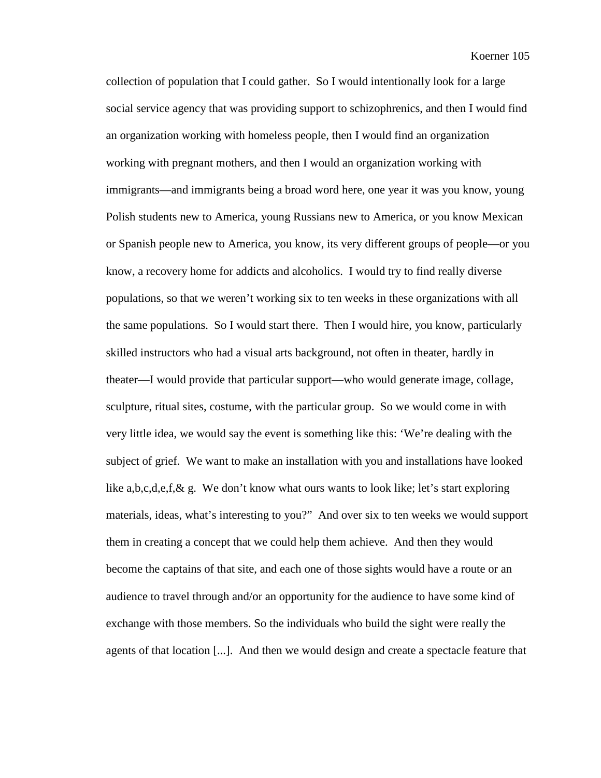collection of population that I could gather. So I would intentionally look for a large social service agency that was providing support to schizophrenics, and then I would find an organization working with homeless people, then I would find an organization working with pregnant mothers, and then I would an organization working with immigrants—and immigrants being a broad word here, one year it was you know, young Polish students new to America, young Russians new to America, or you know Mexican or Spanish people new to America, you know, its very different groups of people—or you know, a recovery home for addicts and alcoholics. I would try to find really diverse populations, so that we weren't working six to ten weeks in these organizations with all the same populations. So I would start there. Then I would hire, you know, particularly skilled instructors who had a visual arts background, not often in theater, hardly in theater—I would provide that particular support—who would generate image, collage, sculpture, ritual sites, costume, with the particular group. So we would come in with very little idea, we would say the event is something like this: 'We're dealing with the subject of grief. We want to make an installation with you and installations have looked like a,b,c,d,e,f, & g. We don't know what ours wants to look like; let's start exploring materials, ideas, what's interesting to you?" And over six to ten weeks we would support them in creating a concept that we could help them achieve. And then they would become the captains of that site, and each one of those sights would have a route or an audience to travel through and/or an opportunity for the audience to have some kind of exchange with those members. So the individuals who build the sight were really the agents of that location [...]. And then we would design and create a spectacle feature that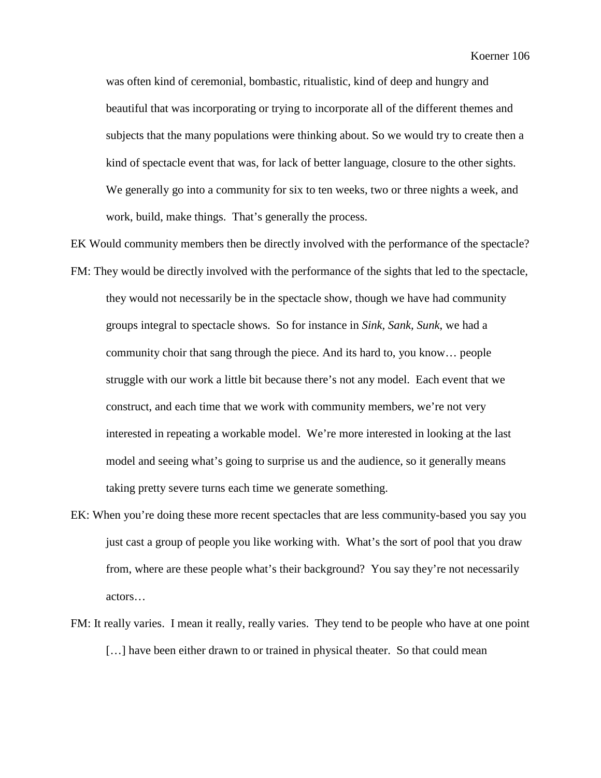was often kind of ceremonial, bombastic, ritualistic, kind of deep and hungry and beautiful that was incorporating or trying to incorporate all of the different themes and subjects that the many populations were thinking about. So we would try to create then a kind of spectacle event that was, for lack of better language, closure to the other sights. We generally go into a community for six to ten weeks, two or three nights a week, and work, build, make things. That's generally the process.

EK Would community members then be directly involved with the performance of the spectacle?

- FM: They would be directly involved with the performance of the sights that led to the spectacle, they would not necessarily be in the spectacle show, though we have had community groups integral to spectacle shows. So for instance in *Sink, Sank, Sunk*, we had a community choir that sang through the piece. And its hard to, you know… people struggle with our work a little bit because there's not any model. Each event that we construct, and each time that we work with community members, we're not very interested in repeating a workable model. We're more interested in looking at the last model and seeing what's going to surprise us and the audience, so it generally means taking pretty severe turns each time we generate something.
- EK: When you're doing these more recent spectacles that are less community-based you say you just cast a group of people you like working with. What's the sort of pool that you draw from, where are these people what's their background? You say they're not necessarily actors…
- FM: It really varies. I mean it really, really varies. They tend to be people who have at one point [...] have been either drawn to or trained in physical theater. So that could mean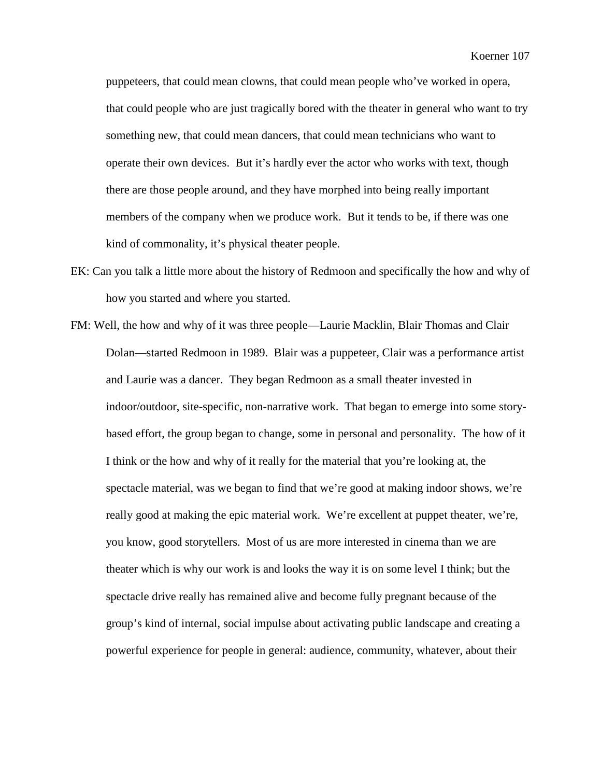puppeteers, that could mean clowns, that could mean people who've worked in opera, that could people who are just tragically bored with the theater in general who want to try something new, that could mean dancers, that could mean technicians who want to operate their own devices. But it's hardly ever the actor who works with text, though there are those people around, and they have morphed into being really important members of the company when we produce work. But it tends to be, if there was one kind of commonality, it's physical theater people.

- EK: Can you talk a little more about the history of Redmoon and specifically the how and why of how you started and where you started.
- FM: Well, the how and why of it was three people—Laurie Macklin, Blair Thomas and Clair Dolan—started Redmoon in 1989. Blair was a puppeteer, Clair was a performance artist and Laurie was a dancer. They began Redmoon as a small theater invested in indoor/outdoor, site-specific, non-narrative work. That began to emerge into some storybased effort, the group began to change, some in personal and personality. The how of it I think or the how and why of it really for the material that you're looking at, the spectacle material, was we began to find that we're good at making indoor shows, we're really good at making the epic material work. We're excellent at puppet theater, we're, you know, good storytellers. Most of us are more interested in cinema than we are theater which is why our work is and looks the way it is on some level I think; but the spectacle drive really has remained alive and become fully pregnant because of the group's kind of internal, social impulse about activating public landscape and creating a powerful experience for people in general: audience, community, whatever, about their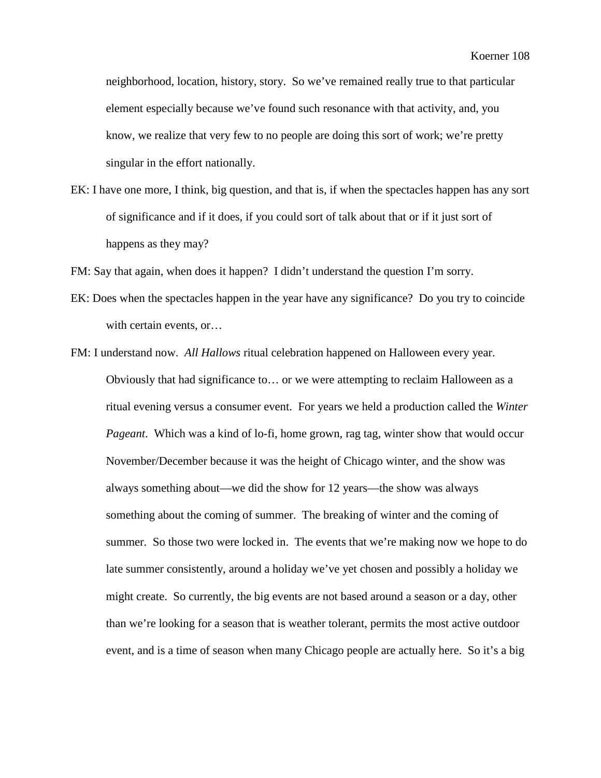neighborhood, location, history, story. So we've remained really true to that particular element especially because we've found such resonance with that activity, and, you know, we realize that very few to no people are doing this sort of work; we're pretty singular in the effort nationally.

EK: I have one more, I think, big question, and that is, if when the spectacles happen has any sort of significance and if it does, if you could sort of talk about that or if it just sort of happens as they may?

FM: Say that again, when does it happen? I didn't understand the question I'm sorry.

- EK: Does when the spectacles happen in the year have any significance? Do you try to coincide with certain events, or…
- FM: I understand now. *All Hallows* ritual celebration happened on Halloween every year. Obviously that had significance to… or we were attempting to reclaim Halloween as a ritual evening versus a consumer event. For years we held a production called the *Winter Pageant*. Which was a kind of lo-fi, home grown, rag tag, winter show that would occur November/December because it was the height of Chicago winter, and the show was always something about—we did the show for 12 years—the show was always something about the coming of summer. The breaking of winter and the coming of summer. So those two were locked in. The events that we're making now we hope to do late summer consistently, around a holiday we've yet chosen and possibly a holiday we might create. So currently, the big events are not based around a season or a day, other than we're looking for a season that is weather tolerant, permits the most active outdoor event, and is a time of season when many Chicago people are actually here. So it's a big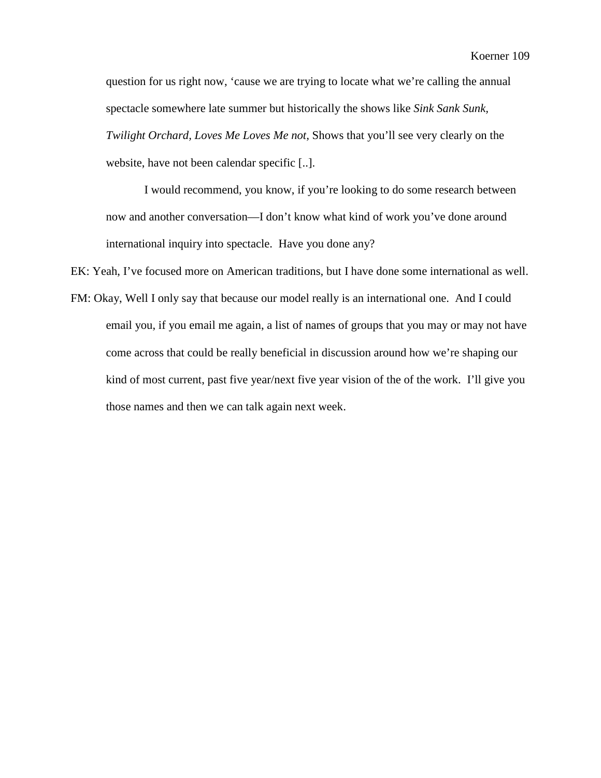question for us right now, 'cause we are trying to locate what we're calling the annual spectacle somewhere late summer but historically the shows like *Sink Sank Sunk, Twilight Orchard, Loves Me Loves Me not,* Shows that you'll see very clearly on the website, have not been calendar specific [..].

I would recommend, you know, if you're looking to do some research between now and another conversation—I don't know what kind of work you've done around international inquiry into spectacle. Have you done any?

EK: Yeah, I've focused more on American traditions, but I have done some international as well.

FM: Okay, Well I only say that because our model really is an international one. And I could email you, if you email me again, a list of names of groups that you may or may not have come across that could be really beneficial in discussion around how we're shaping our kind of most current, past five year/next five year vision of the of the work. I'll give you those names and then we can talk again next week.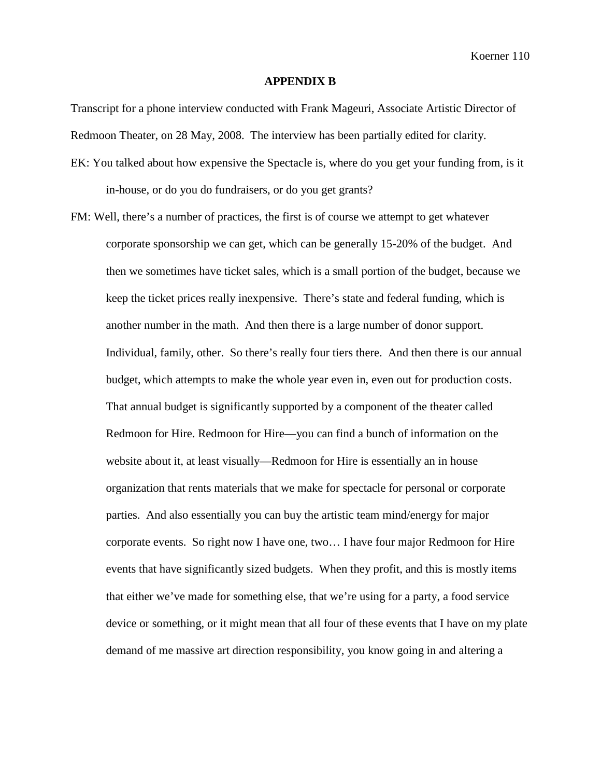## **APPENDIX B**

Transcript for a phone interview conducted with Frank Mageuri, Associate Artistic Director of Redmoon Theater, on 28 May, 2008. The interview has been partially edited for clarity.

- EK: You talked about how expensive the Spectacle is, where do you get your funding from, is it in-house, or do you do fundraisers, or do you get grants?
- FM: Well, there's a number of practices, the first is of course we attempt to get whatever corporate sponsorship we can get, which can be generally 15-20% of the budget. And then we sometimes have ticket sales, which is a small portion of the budget, because we keep the ticket prices really inexpensive. There's state and federal funding, which is another number in the math. And then there is a large number of donor support. Individual, family, other. So there's really four tiers there. And then there is our annual budget, which attempts to make the whole year even in, even out for production costs. That annual budget is significantly supported by a component of the theater called Redmoon for Hire. Redmoon for Hire—you can find a bunch of information on the website about it, at least visually—Redmoon for Hire is essentially an in house organization that rents materials that we make for spectacle for personal or corporate parties. And also essentially you can buy the artistic team mind/energy for major corporate events. So right now I have one, two… I have four major Redmoon for Hire events that have significantly sized budgets. When they profit, and this is mostly items that either we've made for something else, that we're using for a party, a food service device or something, or it might mean that all four of these events that I have on my plate demand of me massive art direction responsibility, you know going in and altering a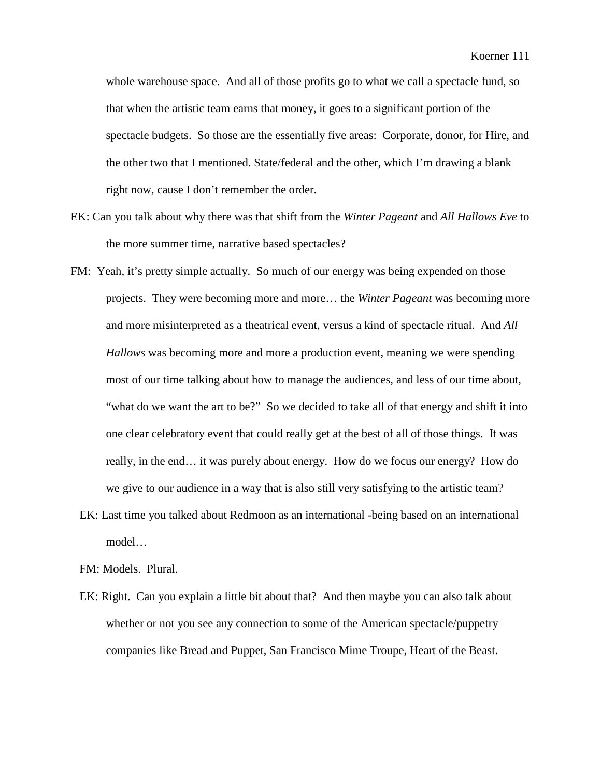whole warehouse space. And all of those profits go to what we call a spectacle fund, so that when the artistic team earns that money, it goes to a significant portion of the spectacle budgets. So those are the essentially five areas: Corporate, donor, for Hire, and the other two that I mentioned. State/federal and the other, which I'm drawing a blank right now, cause I don't remember the order.

- EK: Can you talk about why there was that shift from the *Winter Pageant* and *All Hallows Eve* to the more summer time, narrative based spectacles?
- FM: Yeah, it's pretty simple actually. So much of our energy was being expended on those projects. They were becoming more and more… the *Winter Pageant* was becoming more and more misinterpreted as a theatrical event, versus a kind of spectacle ritual. And *All Hallows* was becoming more and more a production event, meaning we were spending most of our time talking about how to manage the audiences, and less of our time about, "what do we want the art to be?" So we decided to take all of that energy and shift it into one clear celebratory event that could really get at the best of all of those things. It was really, in the end… it was purely about energy. How do we focus our energy? How do we give to our audience in a way that is also still very satisfying to the artistic team?
	- EK: Last time you talked about Redmoon as an international -being based on an international model…

FM: Models. Plural.

EK: Right. Can you explain a little bit about that? And then maybe you can also talk about whether or not you see any connection to some of the American spectacle/puppetry companies like Bread and Puppet, San Francisco Mime Troupe, Heart of the Beast.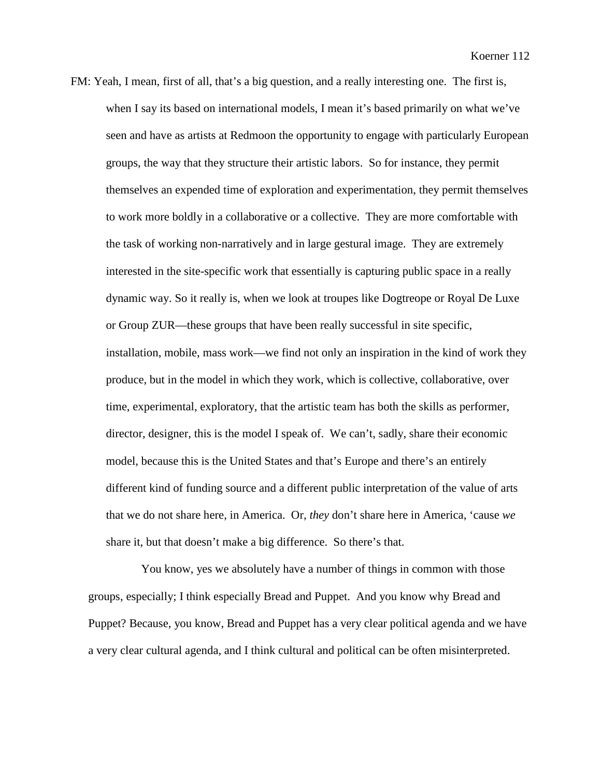FM: Yeah, I mean, first of all, that's a big question, and a really interesting one. The first is, when I say its based on international models, I mean it's based primarily on what we've seen and have as artists at Redmoon the opportunity to engage with particularly European groups, the way that they structure their artistic labors. So for instance, they permit themselves an expended time of exploration and experimentation, they permit themselves to work more boldly in a collaborative or a collective. They are more comfortable with the task of working non-narratively and in large gestural image. They are extremely interested in the site-specific work that essentially is capturing public space in a really dynamic way. So it really is, when we look at troupes like Dogtreope or Royal De Luxe or Group ZUR—these groups that have been really successful in site specific, installation, mobile, mass work—we find not only an inspiration in the kind of work they produce, but in the model in which they work, which is collective, collaborative, over time, experimental, exploratory, that the artistic team has both the skills as performer, director, designer, this is the model I speak of. We can't, sadly, share their economic model, because this is the United States and that's Europe and there's an entirely different kind of funding source and a different public interpretation of the value of arts that we do not share here, in America. Or, *they* don't share here in America, 'cause *we* share it, but that doesn't make a big difference. So there's that.

You know, yes we absolutely have a number of things in common with those groups, especially; I think especially Bread and Puppet. And you know why Bread and Puppet? Because, you know, Bread and Puppet has a very clear political agenda and we have a very clear cultural agenda, and I think cultural and political can be often misinterpreted.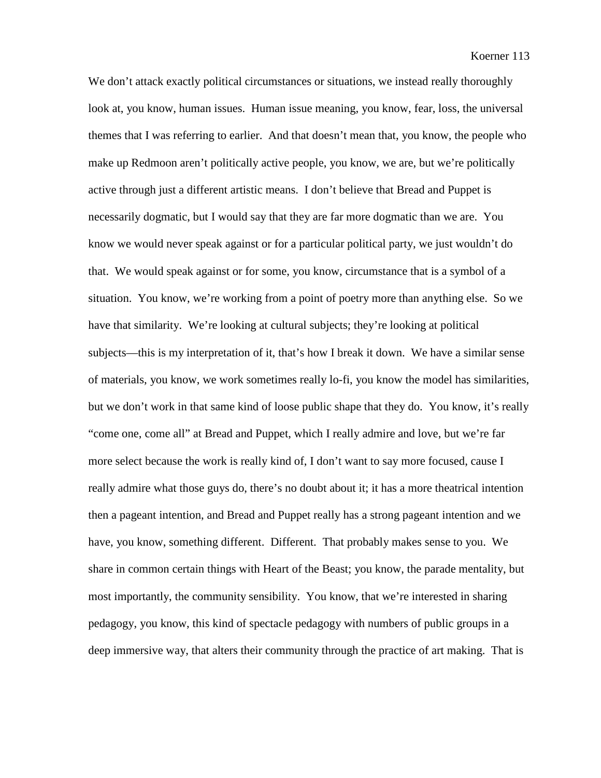We don't attack exactly political circumstances or situations, we instead really thoroughly look at, you know, human issues. Human issue meaning, you know, fear, loss, the universal themes that I was referring to earlier. And that doesn't mean that, you know, the people who make up Redmoon aren't politically active people, you know, we are, but we're politically active through just a different artistic means. I don't believe that Bread and Puppet is necessarily dogmatic, but I would say that they are far more dogmatic than we are. You know we would never speak against or for a particular political party, we just wouldn't do that. We would speak against or for some, you know, circumstance that is a symbol of a situation. You know, we're working from a point of poetry more than anything else. So we have that similarity. We're looking at cultural subjects; they're looking at political subjects—this is my interpretation of it, that's how I break it down. We have a similar sense of materials, you know, we work sometimes really lo-fi, you know the model has similarities, but we don't work in that same kind of loose public shape that they do. You know, it's really "come one, come all" at Bread and Puppet, which I really admire and love, but we're far more select because the work is really kind of, I don't want to say more focused, cause I really admire what those guys do, there's no doubt about it; it has a more theatrical intention then a pageant intention, and Bread and Puppet really has a strong pageant intention and we have, you know, something different. Different. That probably makes sense to you. We share in common certain things with Heart of the Beast; you know, the parade mentality, but most importantly, the community sensibility. You know, that we're interested in sharing pedagogy, you know, this kind of spectacle pedagogy with numbers of public groups in a deep immersive way, that alters their community through the practice of art making. That is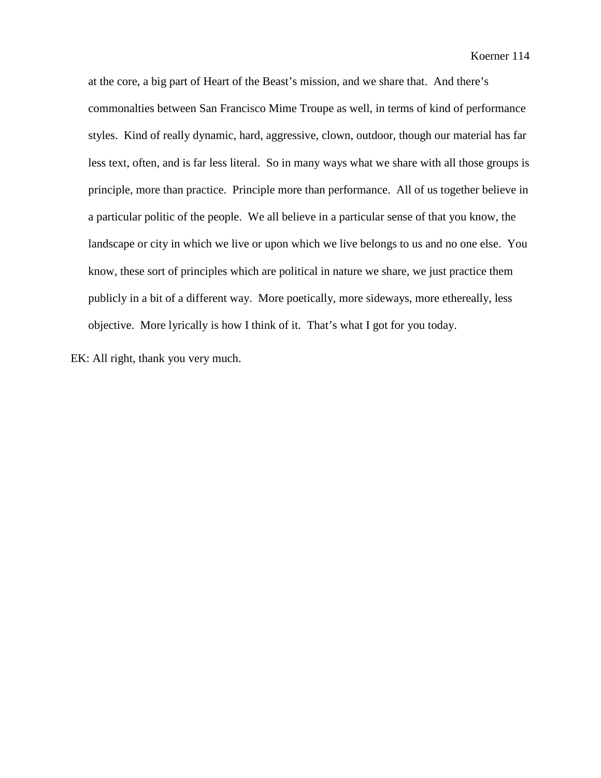at the core, a big part of Heart of the Beast's mission, and we share that. And there's commonalties between San Francisco Mime Troupe as well, in terms of kind of performance styles. Kind of really dynamic, hard, aggressive, clown, outdoor, though our material has far less text, often, and is far less literal. So in many ways what we share with all those groups is principle, more than practice. Principle more than performance. All of us together believe in a particular politic of the people. We all believe in a particular sense of that you know, the landscape or city in which we live or upon which we live belongs to us and no one else. You know, these sort of principles which are political in nature we share, we just practice them publicly in a bit of a different way. More poetically, more sideways, more ethereally, less objective. More lyrically is how I think of it. That's what I got for you today.

EK: All right, thank you very much.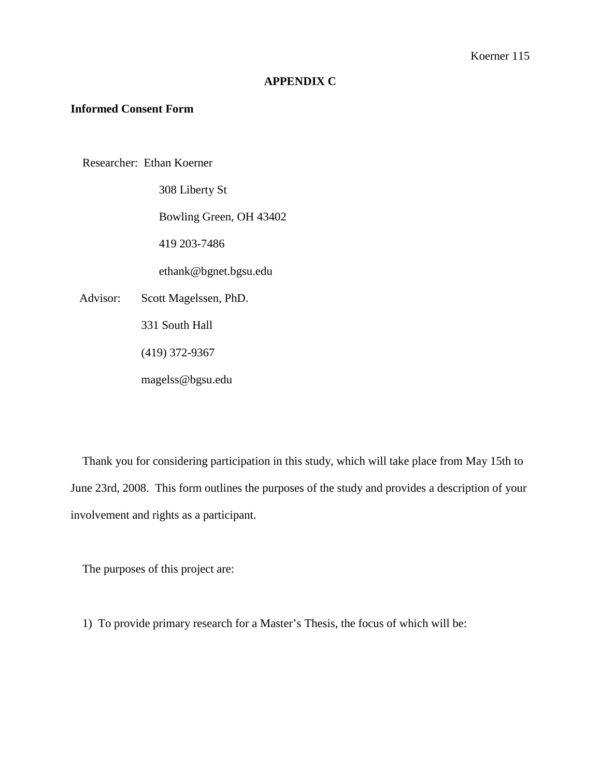## **APPENDIX C**

## **Informed Consent Form**

Researcher: Ethan Koerner

308 Liberty St

Bowling Green, OH 43402

419 203-7486

ethank@bgnet.bgsu.edu

Advisor: Scott Magelssen, PhD.

331 South Hall

(419) 372-9367

magelss@bgsu.edu

 Thank you for considering participation in this study, which will take place from May 15th to June 23rd, 2008. This form outlines the purposes of the study and provides a description of your involvement and rights as a participant.

The purposes of this project are:

1) To provide primary research for a Master's Thesis, the focus of which will be: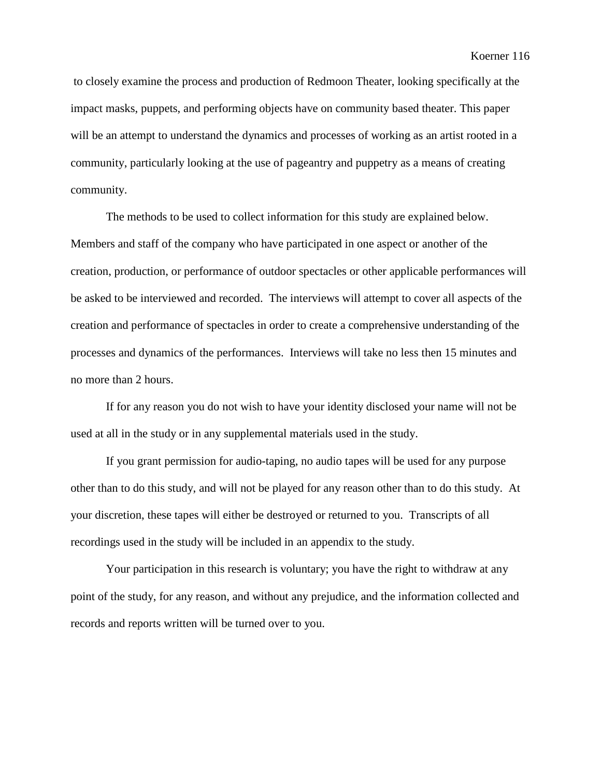to closely examine the process and production of Redmoon Theater, looking specifically at the impact masks, puppets, and performing objects have on community based theater. This paper will be an attempt to understand the dynamics and processes of working as an artist rooted in a community, particularly looking at the use of pageantry and puppetry as a means of creating community.

The methods to be used to collect information for this study are explained below. Members and staff of the company who have participated in one aspect or another of the creation, production, or performance of outdoor spectacles or other applicable performances will be asked to be interviewed and recorded. The interviews will attempt to cover all aspects of the creation and performance of spectacles in order to create a comprehensive understanding of the processes and dynamics of the performances. Interviews will take no less then 15 minutes and no more than 2 hours.

If for any reason you do not wish to have your identity disclosed your name will not be used at all in the study or in any supplemental materials used in the study.

If you grant permission for audio-taping, no audio tapes will be used for any purpose other than to do this study, and will not be played for any reason other than to do this study. At your discretion, these tapes will either be destroyed or returned to you. Transcripts of all recordings used in the study will be included in an appendix to the study.

Your participation in this research is voluntary; you have the right to withdraw at any point of the study, for any reason, and without any prejudice, and the information collected and records and reports written will be turned over to you.